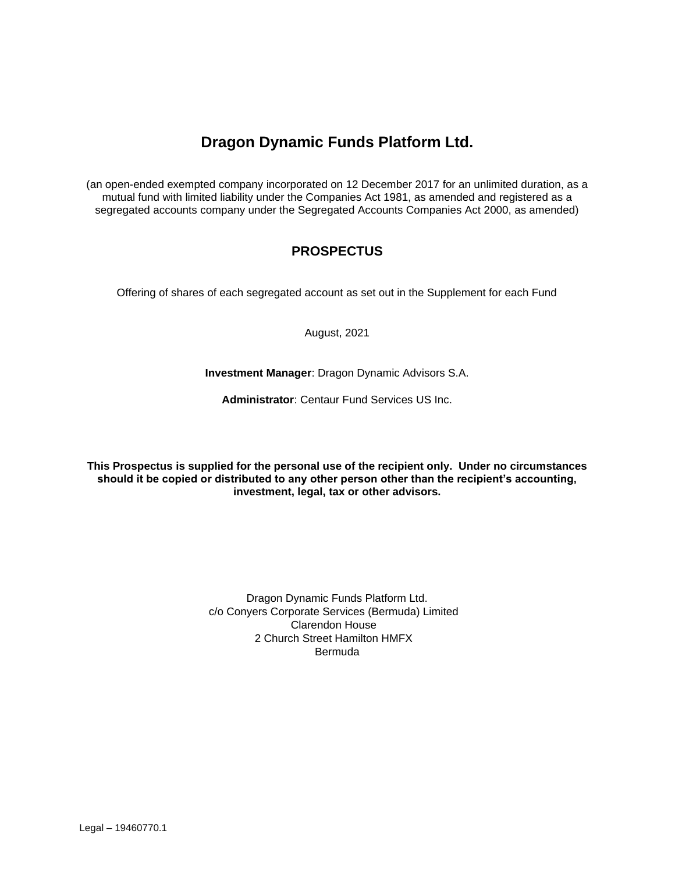# **Dragon Dynamic Funds Platform Ltd.**

(an open-ended exempted company incorporated on 12 December 2017 for an unlimited duration, as a mutual fund with limited liability under the Companies Act 1981, as amended and registered as a segregated accounts company under the Segregated Accounts Companies Act 2000, as amended)

## **PROSPECTUS**

Offering of shares of each segregated account as set out in the Supplement for each Fund

August, 2021

**Investment Manager**: Dragon Dynamic Advisors S.A.

**Administrator**: Centaur Fund Services US Inc.

**This Prospectus is supplied for the personal use of the recipient only. Under no circumstances should it be copied or distributed to any other person other than the recipient's accounting, investment, legal, tax or other advisors.**

> Dragon Dynamic Funds Platform Ltd. c/o Conyers Corporate Services (Bermuda) Limited Clarendon House 2 Church Street Hamilton HMFX Bermuda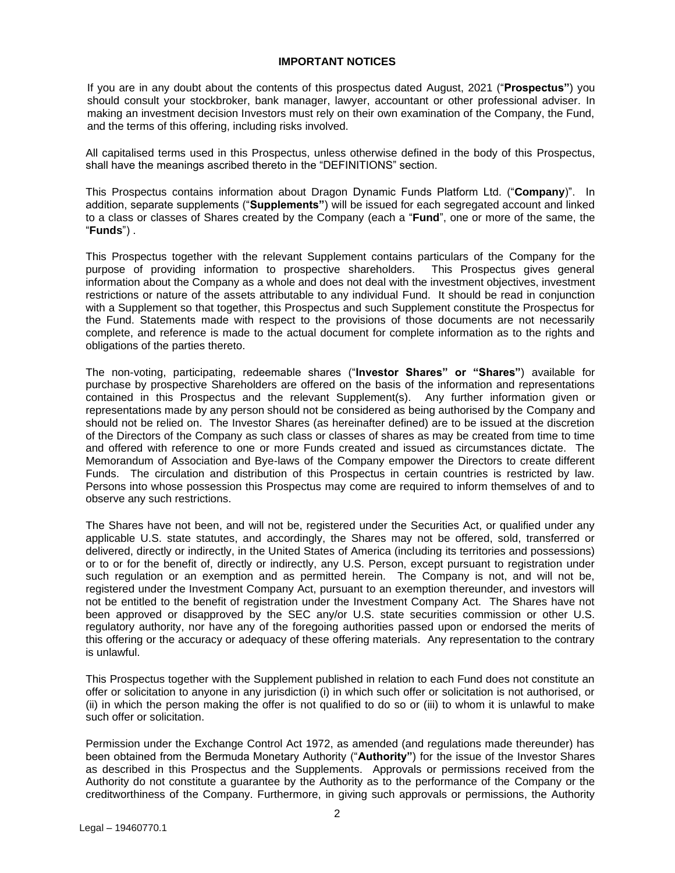## **IMPORTANT NOTICES**

If you are in any doubt about the contents of this prospectus dated August, 2021 ("**Prospectus"**) you should consult your stockbroker, bank manager, lawyer, accountant or other professional adviser. In making an investment decision Investors must rely on their own examination of the Company, the Fund, and the terms of this offering, including risks involved.

All capitalised terms used in this Prospectus, unless otherwise defined in the body of this Prospectus, shall have the meanings ascribed thereto in the "DEFINITIONS" section.

This Prospectus contains information about Dragon Dynamic Funds Platform Ltd. ("**Company**)". In addition, separate supplements ("**Supplements"**) will be issued for each segregated account and linked to a class or classes of Shares created by the Company (each a "**Fund**", one or more of the same, the "**Funds**") .

This Prospectus together with the relevant Supplement contains particulars of the Company for the purpose of providing information to prospective shareholders. This Prospectus gives general information about the Company as a whole and does not deal with the investment objectives, investment restrictions or nature of the assets attributable to any individual Fund. It should be read in conjunction with a Supplement so that together, this Prospectus and such Supplement constitute the Prospectus for the Fund. Statements made with respect to the provisions of those documents are not necessarily complete, and reference is made to the actual document for complete information as to the rights and obligations of the parties thereto.

The non-voting, participating, redeemable shares ("**Investor Shares" or "Shares"**) available for purchase by prospective Shareholders are offered on the basis of the information and representations contained in this Prospectus and the relevant Supplement(s). Any further information given or representations made by any person should not be considered as being authorised by the Company and should not be relied on. The Investor Shares (as hereinafter defined) are to be issued at the discretion of the Directors of the Company as such class or classes of shares as may be created from time to time and offered with reference to one or more Funds created and issued as circumstances dictate. The Memorandum of Association and Bye-laws of the Company empower the Directors to create different Funds. The circulation and distribution of this Prospectus in certain countries is restricted by law. Persons into whose possession this Prospectus may come are required to inform themselves of and to observe any such restrictions.

The Shares have not been, and will not be, registered under the Securities Act, or qualified under any applicable U.S. state statutes, and accordingly, the Shares may not be offered, sold, transferred or delivered, directly or indirectly, in the United States of America (including its territories and possessions) or to or for the benefit of, directly or indirectly, any U.S. Person, except pursuant to registration under such regulation or an exemption and as permitted herein. The Company is not, and will not be, registered under the Investment Company Act, pursuant to an exemption thereunder, and investors will not be entitled to the benefit of registration under the Investment Company Act. The Shares have not been approved or disapproved by the SEC any/or U.S. state securities commission or other U.S. regulatory authority, nor have any of the foregoing authorities passed upon or endorsed the merits of this offering or the accuracy or adequacy of these offering materials. Any representation to the contrary is unlawful.

This Prospectus together with the Supplement published in relation to each Fund does not constitute an offer or solicitation to anyone in any jurisdiction (i) in which such offer or solicitation is not authorised, or (ii) in which the person making the offer is not qualified to do so or (iii) to whom it is unlawful to make such offer or solicitation.

Permission under the Exchange Control Act 1972, as amended (and regulations made thereunder) has been obtained from the Bermuda Monetary Authority ("**Authority"**) for the issue of the Investor Shares as described in this Prospectus and the Supplements. Approvals or permissions received from the Authority do not constitute a guarantee by the Authority as to the performance of the Company or the creditworthiness of the Company. Furthermore, in giving such approvals or permissions, the Authority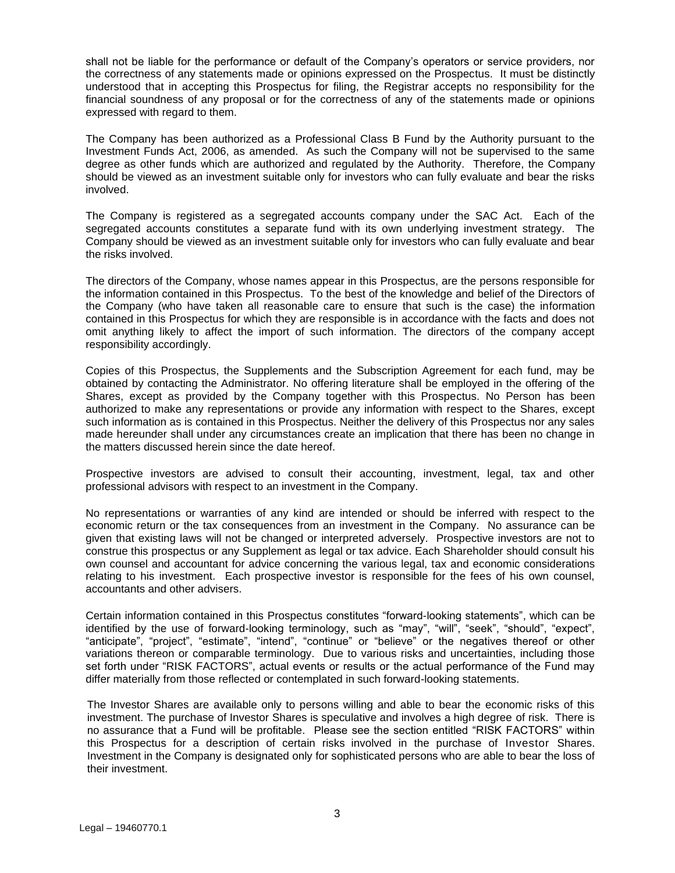shall not be liable for the performance or default of the Company's operators or service providers, nor the correctness of any statements made or opinions expressed on the Prospectus. It must be distinctly understood that in accepting this Prospectus for filing, the Registrar accepts no responsibility for the financial soundness of any proposal or for the correctness of any of the statements made or opinions expressed with regard to them.

The Company has been authorized as a Professional Class B Fund by the Authority pursuant to the Investment Funds Act, 2006, as amended. As such the Company will not be supervised to the same degree as other funds which are authorized and regulated by the Authority. Therefore, the Company should be viewed as an investment suitable only for investors who can fully evaluate and bear the risks involved.

The Company is registered as a segregated accounts company under the SAC Act. Each of the segregated accounts constitutes a separate fund with its own underlying investment strategy. The Company should be viewed as an investment suitable only for investors who can fully evaluate and bear the risks involved.

The directors of the Company, whose names appear in this Prospectus, are the persons responsible for the information contained in this Prospectus. To the best of the knowledge and belief of the Directors of the Company (who have taken all reasonable care to ensure that such is the case) the information contained in this Prospectus for which they are responsible is in accordance with the facts and does not omit anything likely to affect the import of such information. The directors of the company accept responsibility accordingly.

Copies of this Prospectus, the Supplements and the Subscription Agreement for each fund, may be obtained by contacting the Administrator. No offering literature shall be employed in the offering of the Shares, except as provided by the Company together with this Prospectus. No Person has been authorized to make any representations or provide any information with respect to the Shares, except such information as is contained in this Prospectus. Neither the delivery of this Prospectus nor any sales made hereunder shall under any circumstances create an implication that there has been no change in the matters discussed herein since the date hereof.

Prospective investors are advised to consult their accounting, investment, legal, tax and other professional advisors with respect to an investment in the Company.

No representations or warranties of any kind are intended or should be inferred with respect to the economic return or the tax consequences from an investment in the Company. No assurance can be given that existing laws will not be changed or interpreted adversely. Prospective investors are not to construe this prospectus or any Supplement as legal or tax advice. Each Shareholder should consult his own counsel and accountant for advice concerning the various legal, tax and economic considerations relating to his investment. Each prospective investor is responsible for the fees of his own counsel, accountants and other advisers.

Certain information contained in this Prospectus constitutes "forward-looking statements", which can be identified by the use of forward-looking terminology, such as "may", "will", "seek", "should", "expect", "anticipate", "project", "estimate", "intend", "continue" or "believe" or the negatives thereof or other variations thereon or comparable terminology. Due to various risks and uncertainties, including those set forth under "RISK FACTORS", actual events or results or the actual performance of the Fund may differ materially from those reflected or contemplated in such forward-looking statements.

The Investor Shares are available only to persons willing and able to bear the economic risks of this investment. The purchase of Investor Shares is speculative and involves a high degree of risk. There is no assurance that a Fund will be profitable. Please see the section entitled "RISK FACTORS" within this Prospectus for a description of certain risks involved in the purchase of Investor Shares. Investment in the Company is designated only for sophisticated persons who are able to bear the loss of their investment.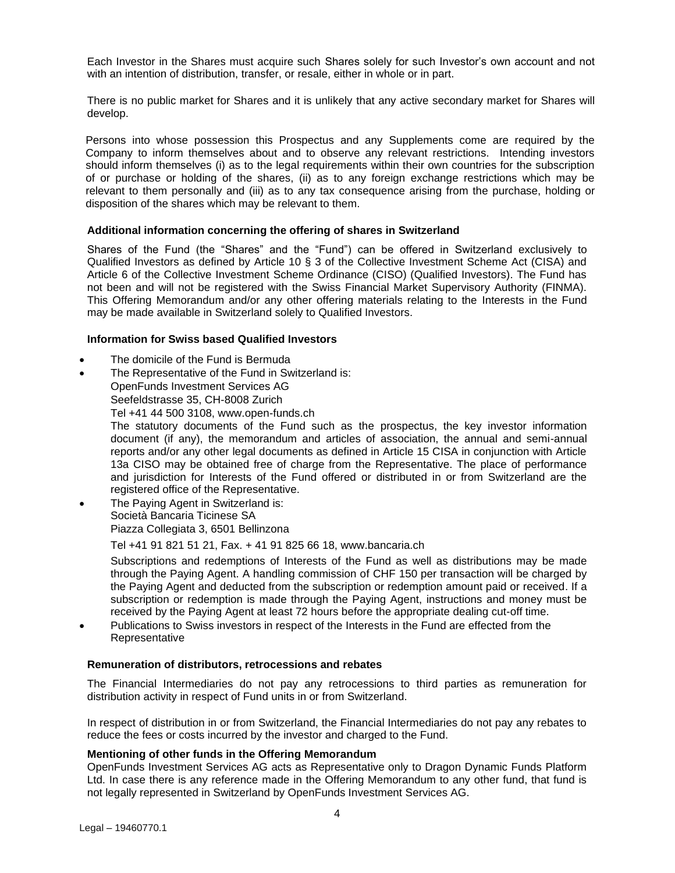Each Investor in the Shares must acquire such Shares solely for such Investor's own account and not with an intention of distribution, transfer, or resale, either in whole or in part.

There is no public market for Shares and it is unlikely that any active secondary market for Shares will develop.

Persons into whose possession this Prospectus and any Supplements come are required by the Company to inform themselves about and to observe any relevant restrictions. Intending investors should inform themselves (i) as to the legal requirements within their own countries for the subscription of or purchase or holding of the shares, (ii) as to any foreign exchange restrictions which may be relevant to them personally and (iii) as to any tax consequence arising from the purchase, holding or disposition of the shares which may be relevant to them.

## **Additional information concerning the offering of shares in Switzerland**

Shares of the Fund (the "Shares" and the "Fund") can be offered in Switzerland exclusively to Qualified Investors as defined by Article 10 § 3 of the Collective Investment Scheme Act (CISA) and Article 6 of the Collective Investment Scheme Ordinance (CISO) (Qualified Investors). The Fund has not been and will not be registered with the Swiss Financial Market Supervisory Authority (FINMA). This Offering Memorandum and/or any other offering materials relating to the Interests in the Fund may be made available in Switzerland solely to Qualified Investors.

## **Information for Swiss based Qualified Investors**

- The domicile of the Fund is Bermuda
- The Representative of the Fund in Switzerland is: OpenFunds Investment Services AG Seefeldstrasse 35, CH-8008 Zurich Tel +41 44 500 3108, www.open-funds.ch The statutory documents of the Fund such as the prospectus, the key investor information document (if any), the memorandum and articles of association, the annual and semi-annual reports and/or any other legal documents as defined in Article 15 CISA in conjunction with Article 13a CISO may be obtained free of charge from the Representative. The place of performance and jurisdiction for Interests of the Fund offered or distributed in or from Switzerland are the registered office of the Representative. The Paying Agent in Switzerland is:
- Società Bancaria Ticinese SA Piazza Collegiata 3, 6501 Bellinzona

Tel +41 91 821 51 21, Fax. + 41 91 825 66 18, www.bancaria.ch

Subscriptions and redemptions of Interests of the Fund as well as distributions may be made through the Paying Agent. A handling commission of CHF 150 per transaction will be charged by the Paying Agent and deducted from the subscription or redemption amount paid or received. If a subscription or redemption is made through the Paying Agent, instructions and money must be received by the Paying Agent at least 72 hours before the appropriate dealing cut-off time.

• Publications to Swiss investors in respect of the Interests in the Fund are effected from the Representative

#### **Remuneration of distributors, retrocessions and rebates**

The Financial Intermediaries do not pay any retrocessions to third parties as remuneration for distribution activity in respect of Fund units in or from Switzerland.

In respect of distribution in or from Switzerland, the Financial Intermediaries do not pay any rebates to reduce the fees or costs incurred by the investor and charged to the Fund.

#### **Mentioning of other funds in the Offering Memorandum**

OpenFunds Investment Services AG acts as Representative only to Dragon Dynamic Funds Platform Ltd. In case there is any reference made in the Offering Memorandum to any other fund, that fund is not legally represented in Switzerland by OpenFunds Investment Services AG.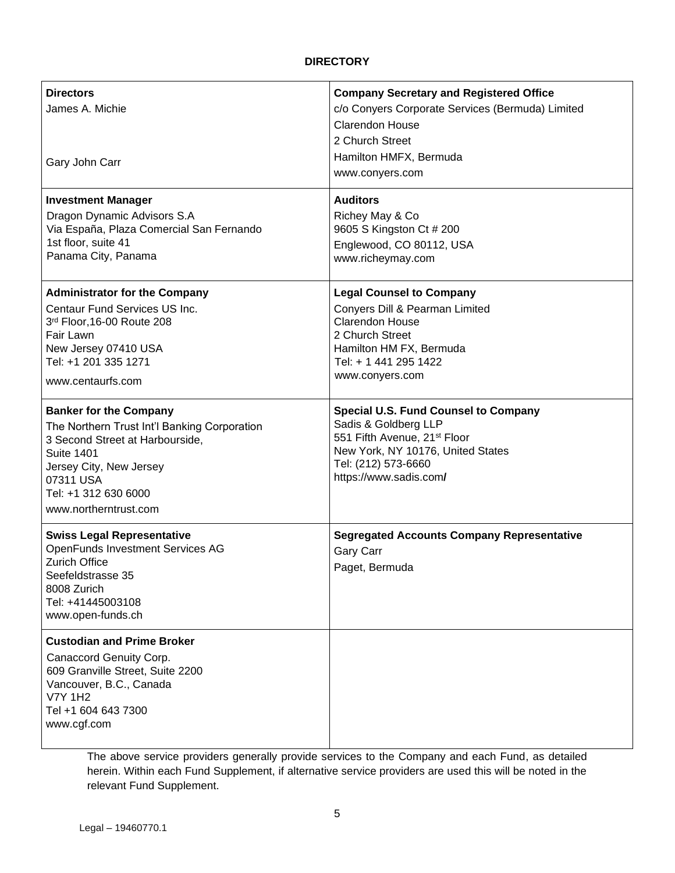## **DIRECTORY**

| <b>Directors</b><br>James A. Michie<br>Gary John Carr                                                                                                                                                                          | <b>Company Secretary and Registered Office</b><br>c/o Conyers Corporate Services (Bermuda) Limited<br><b>Clarendon House</b><br>2 Church Street<br>Hamilton HMFX, Bermuda<br>www.conyers.com          |
|--------------------------------------------------------------------------------------------------------------------------------------------------------------------------------------------------------------------------------|-------------------------------------------------------------------------------------------------------------------------------------------------------------------------------------------------------|
| <b>Investment Manager</b><br>Dragon Dynamic Advisors S.A<br>Via España, Plaza Comercial San Fernando<br>1st floor, suite 41<br>Panama City, Panama                                                                             | <b>Auditors</b><br>Richey May & Co<br>9605 S Kingston Ct # 200<br>Englewood, CO 80112, USA<br>www.richeymay.com                                                                                       |
| <b>Administrator for the Company</b><br>Centaur Fund Services US Inc.<br>3rd Floor, 16-00 Route 208<br>Fair Lawn<br>New Jersey 07410 USA<br>Tel: +1 201 335 1271<br>www.centaurfs.com                                          | <b>Legal Counsel to Company</b><br>Conyers Dill & Pearman Limited<br><b>Clarendon House</b><br>2 Church Street<br>Hamilton HM FX, Bermuda<br>Tel: + 1 441 295 1422<br>www.conyers.com                 |
| <b>Banker for the Company</b><br>The Northern Trust Int'l Banking Corporation<br>3 Second Street at Harbourside,<br><b>Suite 1401</b><br>Jersey City, New Jersey<br>07311 USA<br>Tel: +1 312 630 6000<br>www.northerntrust.com | <b>Special U.S. Fund Counsel to Company</b><br>Sadis & Goldberg LLP<br>551 Fifth Avenue, 21 <sup>st</sup> Floor<br>New York, NY 10176, United States<br>Tel: (212) 573-6660<br>https://www.sadis.com/ |
| <b>Swiss Legal Representative</b><br><b>OpenFunds Investment Services AG</b><br>Zurich Office<br>Seefeldstrasse 35<br>8008 Zurich<br>Tel: +41445003108<br>www.open-funds.ch                                                    | <b>Segregated Accounts Company Representative</b><br>Gary Carr<br>Paget, Bermuda                                                                                                                      |
| <b>Custodian and Prime Broker</b><br>Canaccord Genuity Corp.<br>609 Granville Street, Suite 2200<br>Vancouver, B.C., Canada<br><b>V7Y 1H2</b><br>Tel +1 604 643 7300<br>www.cgf.com                                            |                                                                                                                                                                                                       |

The above service providers generally provide services to the Company and each Fund, as detailed herein. Within each Fund Supplement, if alternative service providers are used this will be noted in the relevant Fund Supplement.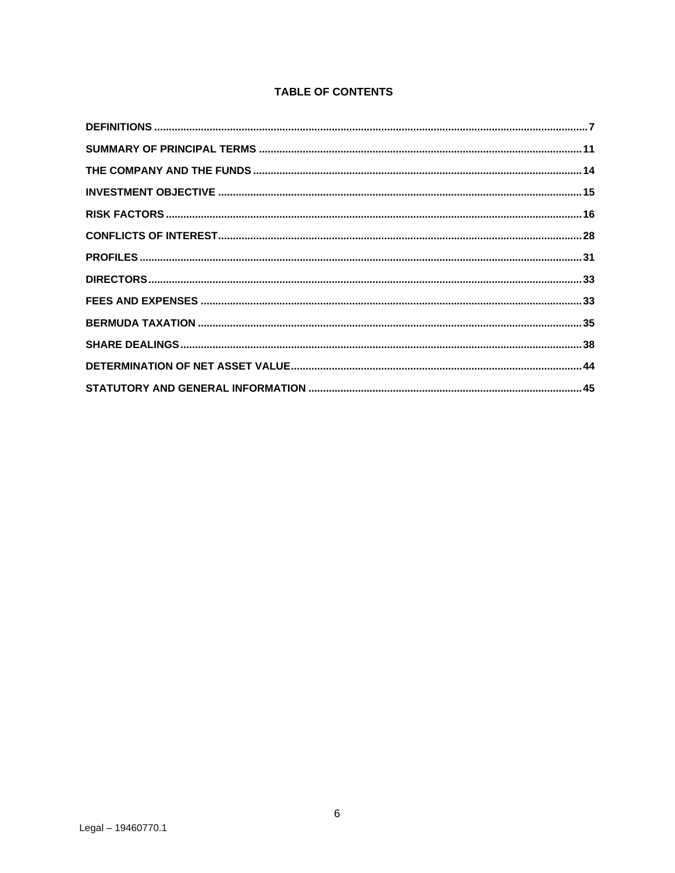## **TABLE OF CONTENTS**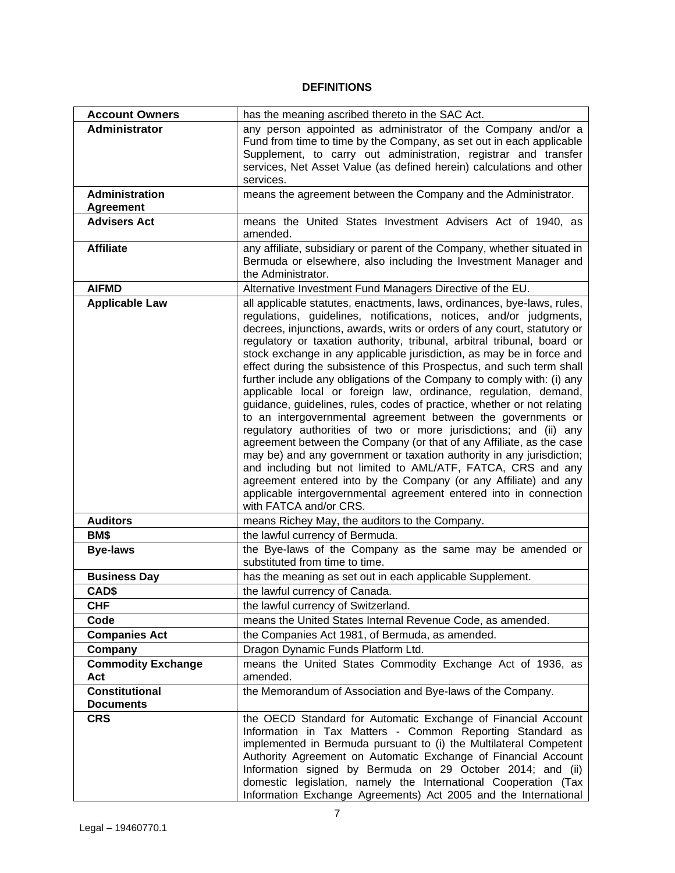## **DEFINITIONS**

<span id="page-6-0"></span>

| <b>Account Owners</b>                     | has the meaning ascribed thereto in the SAC Act.                                                                                                                                                                                                                                                                                                                                                                                                                                                                                                                                                                                                                                                                                                                                                                                                                                                                                                                                                                                                                                                                                                                                                        |
|-------------------------------------------|---------------------------------------------------------------------------------------------------------------------------------------------------------------------------------------------------------------------------------------------------------------------------------------------------------------------------------------------------------------------------------------------------------------------------------------------------------------------------------------------------------------------------------------------------------------------------------------------------------------------------------------------------------------------------------------------------------------------------------------------------------------------------------------------------------------------------------------------------------------------------------------------------------------------------------------------------------------------------------------------------------------------------------------------------------------------------------------------------------------------------------------------------------------------------------------------------------|
| <b>Administrator</b>                      | any person appointed as administrator of the Company and/or a<br>Fund from time to time by the Company, as set out in each applicable<br>Supplement, to carry out administration, registrar and transfer<br>services, Net Asset Value (as defined herein) calculations and other<br>services.                                                                                                                                                                                                                                                                                                                                                                                                                                                                                                                                                                                                                                                                                                                                                                                                                                                                                                           |
| Administration<br><b>Agreement</b>        | means the agreement between the Company and the Administrator.                                                                                                                                                                                                                                                                                                                                                                                                                                                                                                                                                                                                                                                                                                                                                                                                                                                                                                                                                                                                                                                                                                                                          |
| <b>Advisers Act</b>                       | means the United States Investment Advisers Act of 1940, as<br>amended.                                                                                                                                                                                                                                                                                                                                                                                                                                                                                                                                                                                                                                                                                                                                                                                                                                                                                                                                                                                                                                                                                                                                 |
| <b>Affiliate</b>                          | any affiliate, subsidiary or parent of the Company, whether situated in<br>Bermuda or elsewhere, also including the Investment Manager and<br>the Administrator.                                                                                                                                                                                                                                                                                                                                                                                                                                                                                                                                                                                                                                                                                                                                                                                                                                                                                                                                                                                                                                        |
| <b>AIFMD</b>                              | Alternative Investment Fund Managers Directive of the EU.                                                                                                                                                                                                                                                                                                                                                                                                                                                                                                                                                                                                                                                                                                                                                                                                                                                                                                                                                                                                                                                                                                                                               |
| <b>Applicable Law</b>                     | all applicable statutes, enactments, laws, ordinances, bye-laws, rules,<br>regulations, guidelines, notifications, notices, and/or judgments,<br>decrees, injunctions, awards, writs or orders of any court, statutory or<br>regulatory or taxation authority, tribunal, arbitral tribunal, board or<br>stock exchange in any applicable jurisdiction, as may be in force and<br>effect during the subsistence of this Prospectus, and such term shall<br>further include any obligations of the Company to comply with: (i) any<br>applicable local or foreign law, ordinance, regulation, demand,<br>guidance, guidelines, rules, codes of practice, whether or not relating<br>to an intergovernmental agreement between the governments or<br>regulatory authorities of two or more jurisdictions; and (ii) any<br>agreement between the Company (or that of any Affiliate, as the case<br>may be) and any government or taxation authority in any jurisdiction;<br>and including but not limited to AML/ATF, FATCA, CRS and any<br>agreement entered into by the Company (or any Affiliate) and any<br>applicable intergovernmental agreement entered into in connection<br>with FATCA and/or CRS. |
| <b>Auditors</b>                           | means Richey May, the auditors to the Company.                                                                                                                                                                                                                                                                                                                                                                                                                                                                                                                                                                                                                                                                                                                                                                                                                                                                                                                                                                                                                                                                                                                                                          |
| BM\$                                      | the lawful currency of Bermuda.                                                                                                                                                                                                                                                                                                                                                                                                                                                                                                                                                                                                                                                                                                                                                                                                                                                                                                                                                                                                                                                                                                                                                                         |
| <b>Bye-laws</b>                           | the Bye-laws of the Company as the same may be amended or<br>substituted from time to time.                                                                                                                                                                                                                                                                                                                                                                                                                                                                                                                                                                                                                                                                                                                                                                                                                                                                                                                                                                                                                                                                                                             |
| <b>Business Day</b>                       | has the meaning as set out in each applicable Supplement.                                                                                                                                                                                                                                                                                                                                                                                                                                                                                                                                                                                                                                                                                                                                                                                                                                                                                                                                                                                                                                                                                                                                               |
| CAD\$                                     | the lawful currency of Canada.                                                                                                                                                                                                                                                                                                                                                                                                                                                                                                                                                                                                                                                                                                                                                                                                                                                                                                                                                                                                                                                                                                                                                                          |
| CHF                                       | the lawful currency of Switzerland.                                                                                                                                                                                                                                                                                                                                                                                                                                                                                                                                                                                                                                                                                                                                                                                                                                                                                                                                                                                                                                                                                                                                                                     |
| Code                                      | means the United States Internal Revenue Code, as amended.                                                                                                                                                                                                                                                                                                                                                                                                                                                                                                                                                                                                                                                                                                                                                                                                                                                                                                                                                                                                                                                                                                                                              |
| <b>Companies Act</b>                      | the Companies Act 1981, of Bermuda, as amended.                                                                                                                                                                                                                                                                                                                                                                                                                                                                                                                                                                                                                                                                                                                                                                                                                                                                                                                                                                                                                                                                                                                                                         |
| Company                                   | Dragon Dynamic Funds Platform Ltd.                                                                                                                                                                                                                                                                                                                                                                                                                                                                                                                                                                                                                                                                                                                                                                                                                                                                                                                                                                                                                                                                                                                                                                      |
| <b>Commodity Exchange</b>                 | means the United States Commodity Exchange Act of 1936, as                                                                                                                                                                                                                                                                                                                                                                                                                                                                                                                                                                                                                                                                                                                                                                                                                                                                                                                                                                                                                                                                                                                                              |
| Act                                       | amended.                                                                                                                                                                                                                                                                                                                                                                                                                                                                                                                                                                                                                                                                                                                                                                                                                                                                                                                                                                                                                                                                                                                                                                                                |
| <b>Constitutional</b><br><b>Documents</b> | the Memorandum of Association and Bye-laws of the Company.                                                                                                                                                                                                                                                                                                                                                                                                                                                                                                                                                                                                                                                                                                                                                                                                                                                                                                                                                                                                                                                                                                                                              |
| <b>CRS</b>                                | the OECD Standard for Automatic Exchange of Financial Account<br>Information in Tax Matters - Common Reporting Standard as<br>implemented in Bermuda pursuant to (i) the Multilateral Competent<br>Authority Agreement on Automatic Exchange of Financial Account<br>Information signed by Bermuda on 29 October 2014; and (ii)<br>domestic legislation, namely the International Cooperation (Tax<br>Information Exchange Agreements) Act 2005 and the International                                                                                                                                                                                                                                                                                                                                                                                                                                                                                                                                                                                                                                                                                                                                   |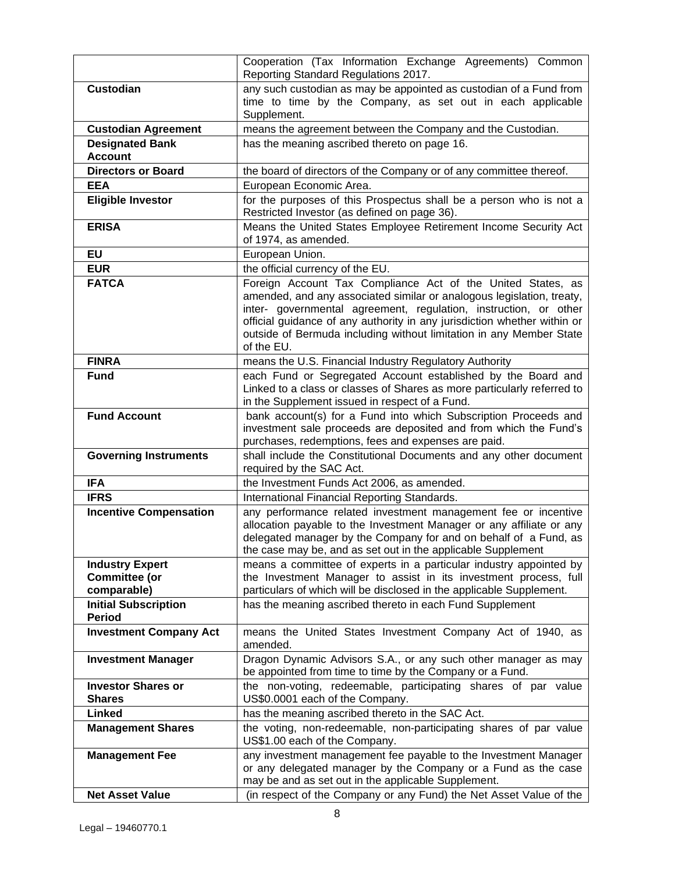|                                                               | Cooperation (Tax Information Exchange Agreements) Common<br>Reporting Standard Regulations 2017.                                                                                                                                                                                                                                                                          |
|---------------------------------------------------------------|---------------------------------------------------------------------------------------------------------------------------------------------------------------------------------------------------------------------------------------------------------------------------------------------------------------------------------------------------------------------------|
| <b>Custodian</b>                                              | any such custodian as may be appointed as custodian of a Fund from<br>time to time by the Company, as set out in each applicable<br>Supplement.                                                                                                                                                                                                                           |
| <b>Custodian Agreement</b>                                    | means the agreement between the Company and the Custodian.                                                                                                                                                                                                                                                                                                                |
| <b>Designated Bank</b><br><b>Account</b>                      | has the meaning ascribed thereto on page 16.                                                                                                                                                                                                                                                                                                                              |
| <b>Directors or Board</b>                                     | the board of directors of the Company or of any committee thereof.                                                                                                                                                                                                                                                                                                        |
| <b>EEA</b>                                                    | European Economic Area.                                                                                                                                                                                                                                                                                                                                                   |
| <b>Eligible Investor</b>                                      | for the purposes of this Prospectus shall be a person who is not a<br>Restricted Investor (as defined on page 36).                                                                                                                                                                                                                                                        |
| <b>ERISA</b>                                                  | Means the United States Employee Retirement Income Security Act<br>of 1974, as amended.                                                                                                                                                                                                                                                                                   |
| <b>EU</b>                                                     | European Union.                                                                                                                                                                                                                                                                                                                                                           |
| <b>EUR</b>                                                    | the official currency of the EU.                                                                                                                                                                                                                                                                                                                                          |
| <b>FATCA</b>                                                  | Foreign Account Tax Compliance Act of the United States, as<br>amended, and any associated similar or analogous legislation, treaty,<br>inter- governmental agreement, regulation, instruction, or other<br>official guidance of any authority in any jurisdiction whether within or<br>outside of Bermuda including without limitation in any Member State<br>of the EU. |
| <b>FINRA</b>                                                  | means the U.S. Financial Industry Regulatory Authority                                                                                                                                                                                                                                                                                                                    |
| <b>Fund</b>                                                   | each Fund or Segregated Account established by the Board and<br>Linked to a class or classes of Shares as more particularly referred to<br>in the Supplement issued in respect of a Fund.                                                                                                                                                                                 |
| <b>Fund Account</b>                                           | bank account(s) for a Fund into which Subscription Proceeds and<br>investment sale proceeds are deposited and from which the Fund's<br>purchases, redemptions, fees and expenses are paid.                                                                                                                                                                                |
| <b>Governing Instruments</b>                                  | shall include the Constitutional Documents and any other document<br>required by the SAC Act.                                                                                                                                                                                                                                                                             |
| <b>IFA</b>                                                    | the Investment Funds Act 2006, as amended.                                                                                                                                                                                                                                                                                                                                |
| <b>IFRS</b>                                                   | International Financial Reporting Standards.                                                                                                                                                                                                                                                                                                                              |
| <b>Incentive Compensation</b>                                 | any performance related investment management fee or incentive<br>allocation payable to the Investment Manager or any affiliate or any<br>delegated manager by the Company for and on behalf of a Fund, as<br>the case may be, and as set out in the applicable Supplement                                                                                                |
| <b>Industry Expert</b><br><b>Committee (or</b><br>comparable) | means a committee of experts in a particular industry appointed by<br>the Investment Manager to assist in its investment process, full<br>particulars of which will be disclosed in the applicable Supplement.                                                                                                                                                            |
| <b>Initial Subscription</b><br><b>Period</b>                  | has the meaning ascribed thereto in each Fund Supplement                                                                                                                                                                                                                                                                                                                  |
| <b>Investment Company Act</b>                                 | means the United States Investment Company Act of 1940, as<br>amended.                                                                                                                                                                                                                                                                                                    |
| <b>Investment Manager</b>                                     | Dragon Dynamic Advisors S.A., or any such other manager as may<br>be appointed from time to time by the Company or a Fund.                                                                                                                                                                                                                                                |
| <b>Investor Shares or</b><br><b>Shares</b>                    | the non-voting, redeemable, participating shares of par value<br>US\$0.0001 each of the Company.                                                                                                                                                                                                                                                                          |
| Linked                                                        | has the meaning ascribed thereto in the SAC Act.                                                                                                                                                                                                                                                                                                                          |
| <b>Management Shares</b>                                      | the voting, non-redeemable, non-participating shares of par value<br>US\$1.00 each of the Company.                                                                                                                                                                                                                                                                        |
| <b>Management Fee</b>                                         | any investment management fee payable to the Investment Manager<br>or any delegated manager by the Company or a Fund as the case<br>may be and as set out in the applicable Supplement.                                                                                                                                                                                   |
| <b>Net Asset Value</b>                                        | (in respect of the Company or any Fund) the Net Asset Value of the                                                                                                                                                                                                                                                                                                        |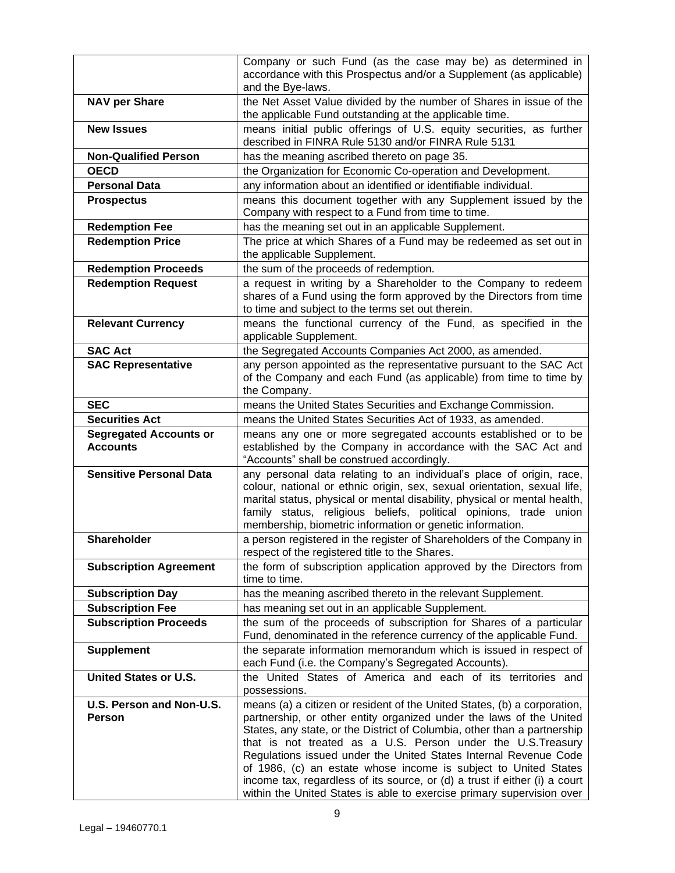|                                                  | Company or such Fund (as the case may be) as determined in<br>accordance with this Prospectus and/or a Supplement (as applicable)<br>and the Bye-laws.                                                                                                                                                                                                                                                                                                                                                                                                                                    |
|--------------------------------------------------|-------------------------------------------------------------------------------------------------------------------------------------------------------------------------------------------------------------------------------------------------------------------------------------------------------------------------------------------------------------------------------------------------------------------------------------------------------------------------------------------------------------------------------------------------------------------------------------------|
| <b>NAV per Share</b>                             | the Net Asset Value divided by the number of Shares in issue of the<br>the applicable Fund outstanding at the applicable time.                                                                                                                                                                                                                                                                                                                                                                                                                                                            |
| <b>New Issues</b>                                | means initial public offerings of U.S. equity securities, as further<br>described in FINRA Rule 5130 and/or FINRA Rule 5131                                                                                                                                                                                                                                                                                                                                                                                                                                                               |
| <b>Non-Qualified Person</b>                      | has the meaning ascribed thereto on page 35.                                                                                                                                                                                                                                                                                                                                                                                                                                                                                                                                              |
| <b>OECD</b>                                      | the Organization for Economic Co-operation and Development.                                                                                                                                                                                                                                                                                                                                                                                                                                                                                                                               |
| <b>Personal Data</b>                             | any information about an identified or identifiable individual.                                                                                                                                                                                                                                                                                                                                                                                                                                                                                                                           |
| <b>Prospectus</b>                                | means this document together with any Supplement issued by the<br>Company with respect to a Fund from time to time.                                                                                                                                                                                                                                                                                                                                                                                                                                                                       |
| <b>Redemption Fee</b>                            | has the meaning set out in an applicable Supplement.                                                                                                                                                                                                                                                                                                                                                                                                                                                                                                                                      |
| <b>Redemption Price</b>                          | The price at which Shares of a Fund may be redeemed as set out in<br>the applicable Supplement.                                                                                                                                                                                                                                                                                                                                                                                                                                                                                           |
| <b>Redemption Proceeds</b>                       | the sum of the proceeds of redemption.                                                                                                                                                                                                                                                                                                                                                                                                                                                                                                                                                    |
| <b>Redemption Request</b>                        | a request in writing by a Shareholder to the Company to redeem<br>shares of a Fund using the form approved by the Directors from time<br>to time and subject to the terms set out therein.                                                                                                                                                                                                                                                                                                                                                                                                |
| <b>Relevant Currency</b>                         | means the functional currency of the Fund, as specified in the<br>applicable Supplement.                                                                                                                                                                                                                                                                                                                                                                                                                                                                                                  |
| <b>SAC Act</b>                                   | the Segregated Accounts Companies Act 2000, as amended.                                                                                                                                                                                                                                                                                                                                                                                                                                                                                                                                   |
| <b>SAC Representative</b>                        | any person appointed as the representative pursuant to the SAC Act<br>of the Company and each Fund (as applicable) from time to time by<br>the Company.                                                                                                                                                                                                                                                                                                                                                                                                                                   |
| <b>SEC</b>                                       | means the United States Securities and Exchange Commission.                                                                                                                                                                                                                                                                                                                                                                                                                                                                                                                               |
| <b>Securities Act</b>                            | means the United States Securities Act of 1933, as amended.                                                                                                                                                                                                                                                                                                                                                                                                                                                                                                                               |
| <b>Segregated Accounts or</b><br><b>Accounts</b> | means any one or more segregated accounts established or to be<br>established by the Company in accordance with the SAC Act and<br>"Accounts" shall be construed accordingly.                                                                                                                                                                                                                                                                                                                                                                                                             |
| <b>Sensitive Personal Data</b>                   | any personal data relating to an individual's place of origin, race,<br>colour, national or ethnic origin, sex, sexual orientation, sexual life,<br>marital status, physical or mental disability, physical or mental health,<br>family status, religious beliefs, political opinions, trade union<br>membership, biometric information or genetic information.                                                                                                                                                                                                                           |
| Shareholder                                      | a person registered in the register of Shareholders of the Company in<br>respect of the registered title to the Shares.                                                                                                                                                                                                                                                                                                                                                                                                                                                                   |
| <b>Subscription Agreement</b>                    | the form of subscription application approved by the Directors from<br>time to time.                                                                                                                                                                                                                                                                                                                                                                                                                                                                                                      |
| <b>Subscription Day</b>                          | has the meaning ascribed thereto in the relevant Supplement.                                                                                                                                                                                                                                                                                                                                                                                                                                                                                                                              |
| <b>Subscription Fee</b>                          | has meaning set out in an applicable Supplement.                                                                                                                                                                                                                                                                                                                                                                                                                                                                                                                                          |
| <b>Subscription Proceeds</b>                     | the sum of the proceeds of subscription for Shares of a particular<br>Fund, denominated in the reference currency of the applicable Fund.                                                                                                                                                                                                                                                                                                                                                                                                                                                 |
| <b>Supplement</b>                                | the separate information memorandum which is issued in respect of<br>each Fund (i.e. the Company's Segregated Accounts).                                                                                                                                                                                                                                                                                                                                                                                                                                                                  |
| <b>United States or U.S.</b>                     | the United States of America and each of its territories and<br>possessions.                                                                                                                                                                                                                                                                                                                                                                                                                                                                                                              |
| U.S. Person and Non-U.S.<br><b>Person</b>        | means (a) a citizen or resident of the United States, (b) a corporation,<br>partnership, or other entity organized under the laws of the United<br>States, any state, or the District of Columbia, other than a partnership<br>that is not treated as a U.S. Person under the U.S. Treasury<br>Regulations issued under the United States Internal Revenue Code<br>of 1986, (c) an estate whose income is subject to United States<br>income tax, regardless of its source, or (d) a trust if either (i) a court<br>within the United States is able to exercise primary supervision over |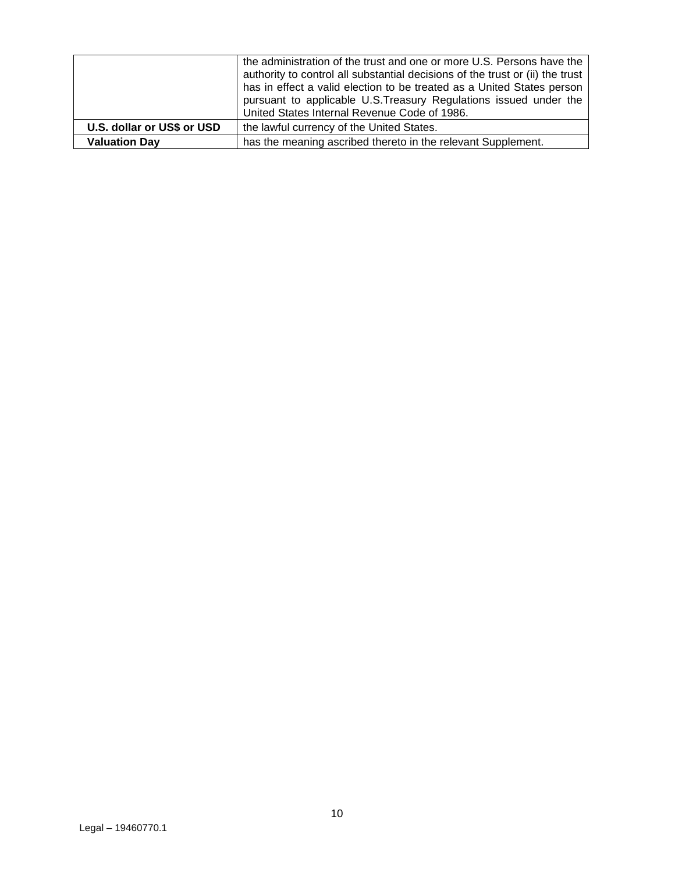|                            | the administration of the trust and one or more U.S. Persons have the<br>authority to control all substantial decisions of the trust or (ii) the trust<br>has in effect a valid election to be treated as a United States person<br>pursuant to applicable U.S. Treasury Regulations issued under the<br>United States Internal Revenue Code of 1986. |
|----------------------------|-------------------------------------------------------------------------------------------------------------------------------------------------------------------------------------------------------------------------------------------------------------------------------------------------------------------------------------------------------|
| U.S. dollar or US\$ or USD | the lawful currency of the United States.                                                                                                                                                                                                                                                                                                             |
| <b>Valuation Day</b>       | has the meaning ascribed thereto in the relevant Supplement.                                                                                                                                                                                                                                                                                          |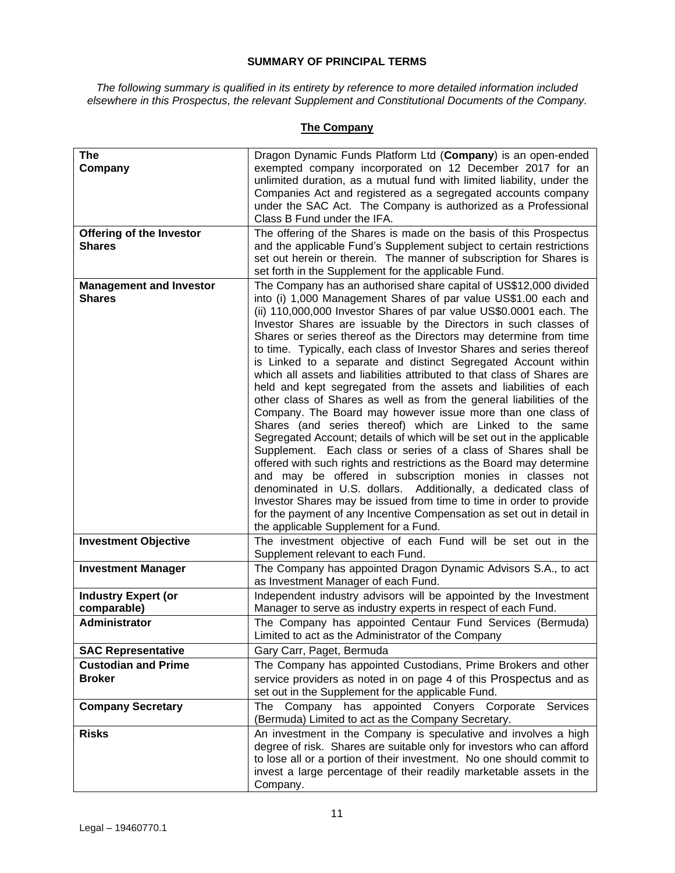## **SUMMARY OF PRINCIPAL TERMS**

<span id="page-10-0"></span>*The following summary is qualified in its entirety by reference to more detailed information included elsewhere in this Prospectus, the relevant Supplement and Constitutional Documents of the Company.* 

## **The Company**

| <b>The</b>                                  | Dragon Dynamic Funds Platform Ltd (Company) is an open-ended                                                                                   |
|---------------------------------------------|------------------------------------------------------------------------------------------------------------------------------------------------|
| Company                                     | exempted company incorporated on 12 December 2017 for an<br>unlimited duration, as a mutual fund with limited liability, under the             |
|                                             | Companies Act and registered as a segregated accounts company                                                                                  |
|                                             | under the SAC Act. The Company is authorized as a Professional<br>Class B Fund under the IFA.                                                  |
| <b>Offering of the Investor</b>             | The offering of the Shares is made on the basis of this Prospectus                                                                             |
| <b>Shares</b>                               | and the applicable Fund's Supplement subject to certain restrictions                                                                           |
|                                             | set out herein or therein. The manner of subscription for Shares is<br>set forth in the Supplement for the applicable Fund.                    |
| <b>Management and Investor</b>              | The Company has an authorised share capital of US\$12,000 divided                                                                              |
| <b>Shares</b>                               | into (i) 1,000 Management Shares of par value US\$1.00 each and<br>(ii) 110,000,000 Investor Shares of par value US\$0.0001 each. The          |
|                                             | Investor Shares are issuable by the Directors in such classes of                                                                               |
|                                             | Shares or series thereof as the Directors may determine from time<br>to time. Typically, each class of Investor Shares and series thereof      |
|                                             | is Linked to a separate and distinct Segregated Account within                                                                                 |
|                                             | which all assets and liabilities attributed to that class of Shares are                                                                        |
|                                             | held and kept segregated from the assets and liabilities of each<br>other class of Shares as well as from the general liabilities of the       |
|                                             | Company. The Board may however issue more than one class of                                                                                    |
|                                             | Shares (and series thereof) which are Linked to the same<br>Segregated Account; details of which will be set out in the applicable             |
|                                             | Supplement. Each class or series of a class of Shares shall be                                                                                 |
|                                             | offered with such rights and restrictions as the Board may determine                                                                           |
|                                             | and may be offered in subscription monies in classes not<br>denominated in U.S. dollars. Additionally, a dedicated class of                    |
|                                             | Investor Shares may be issued from time to time in order to provide                                                                            |
|                                             | for the payment of any Incentive Compensation as set out in detail in<br>the applicable Supplement for a Fund.                                 |
| <b>Investment Objective</b>                 | The investment objective of each Fund will be set out in the                                                                                   |
|                                             | Supplement relevant to each Fund.                                                                                                              |
| <b>Investment Manager</b>                   | The Company has appointed Dragon Dynamic Advisors S.A., to act<br>as Investment Manager of each Fund.                                          |
| <b>Industry Expert (or</b><br>comparable)   | Independent industry advisors will be appointed by the Investment<br>Manager to serve as industry experts in respect of each Fund.             |
| <b>Administrator</b>                        | The Company has appointed Centaur Fund Services (Bermuda)                                                                                      |
|                                             | Limited to act as the Administrator of the Company                                                                                             |
| <b>SAC Representative</b>                   | Gary Carr, Paget, Bermuda                                                                                                                      |
| <b>Custodian and Prime</b><br><b>Broker</b> | The Company has appointed Custodians, Prime Brokers and other<br>service providers as noted in on page 4 of this Prospectus and as             |
|                                             | set out in the Supplement for the applicable Fund.                                                                                             |
| <b>Company Secretary</b>                    | The Company has appointed Conyers Corporate Services<br>(Bermuda) Limited to act as the Company Secretary.                                     |
| <b>Risks</b>                                | An investment in the Company is speculative and involves a high                                                                                |
|                                             | degree of risk. Shares are suitable only for investors who can afford<br>to lose all or a portion of their investment. No one should commit to |
|                                             | invest a large percentage of their readily marketable assets in the                                                                            |
|                                             | Company.                                                                                                                                       |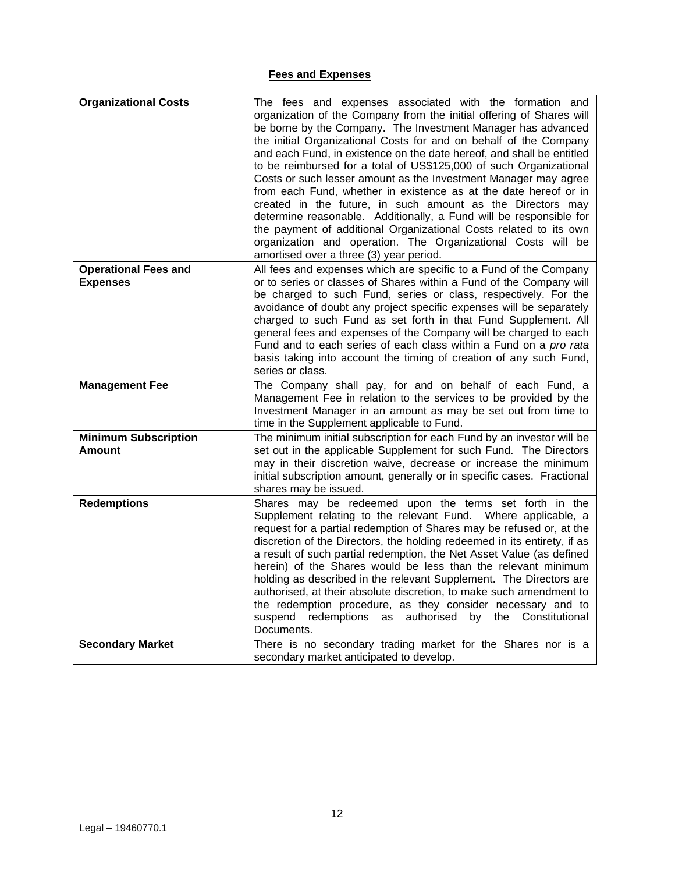## **Fees and Expenses**

| <b>Organizational Costs</b>                    | The fees and expenses associated with the formation and<br>organization of the Company from the initial offering of Shares will<br>be borne by the Company. The Investment Manager has advanced<br>the initial Organizational Costs for and on behalf of the Company<br>and each Fund, in existence on the date hereof, and shall be entitled<br>to be reimbursed for a total of US\$125,000 of such Organizational<br>Costs or such lesser amount as the Investment Manager may agree<br>from each Fund, whether in existence as at the date hereof or in<br>created in the future, in such amount as the Directors may<br>determine reasonable. Additionally, a Fund will be responsible for            |
|------------------------------------------------|-----------------------------------------------------------------------------------------------------------------------------------------------------------------------------------------------------------------------------------------------------------------------------------------------------------------------------------------------------------------------------------------------------------------------------------------------------------------------------------------------------------------------------------------------------------------------------------------------------------------------------------------------------------------------------------------------------------|
|                                                | the payment of additional Organizational Costs related to its own<br>organization and operation. The Organizational Costs will be<br>amortised over a three (3) year period.                                                                                                                                                                                                                                                                                                                                                                                                                                                                                                                              |
| <b>Operational Fees and</b><br><b>Expenses</b> | All fees and expenses which are specific to a Fund of the Company<br>or to series or classes of Shares within a Fund of the Company will<br>be charged to such Fund, series or class, respectively. For the<br>avoidance of doubt any project specific expenses will be separately<br>charged to such Fund as set forth in that Fund Supplement. All<br>general fees and expenses of the Company will be charged to each<br>Fund and to each series of each class within a Fund on a pro rata<br>basis taking into account the timing of creation of any such Fund,<br>series or class.                                                                                                                   |
| <b>Management Fee</b>                          | The Company shall pay, for and on behalf of each Fund, a<br>Management Fee in relation to the services to be provided by the<br>Investment Manager in an amount as may be set out from time to<br>time in the Supplement applicable to Fund.                                                                                                                                                                                                                                                                                                                                                                                                                                                              |
| <b>Minimum Subscription</b><br>Amount          | The minimum initial subscription for each Fund by an investor will be<br>set out in the applicable Supplement for such Fund. The Directors<br>may in their discretion waive, decrease or increase the minimum<br>initial subscription amount, generally or in specific cases. Fractional<br>shares may be issued.                                                                                                                                                                                                                                                                                                                                                                                         |
| <b>Redemptions</b>                             | Shares may be redeemed upon the terms set forth in the<br>Supplement relating to the relevant Fund. Where applicable, a<br>request for a partial redemption of Shares may be refused or, at the<br>discretion of the Directors, the holding redeemed in its entirety, if as<br>a result of such partial redemption, the Net Asset Value (as defined<br>herein) of the Shares would be less than the relevant minimum<br>holding as described in the relevant Supplement. The Directors are<br>authorised, at their absolute discretion, to make such amendment to<br>the redemption procedure, as they consider necessary and to<br>suspend redemptions as authorised by the Constitutional<br>Documents. |
| <b>Secondary Market</b>                        | There is no secondary trading market for the Shares nor is a<br>secondary market anticipated to develop.                                                                                                                                                                                                                                                                                                                                                                                                                                                                                                                                                                                                  |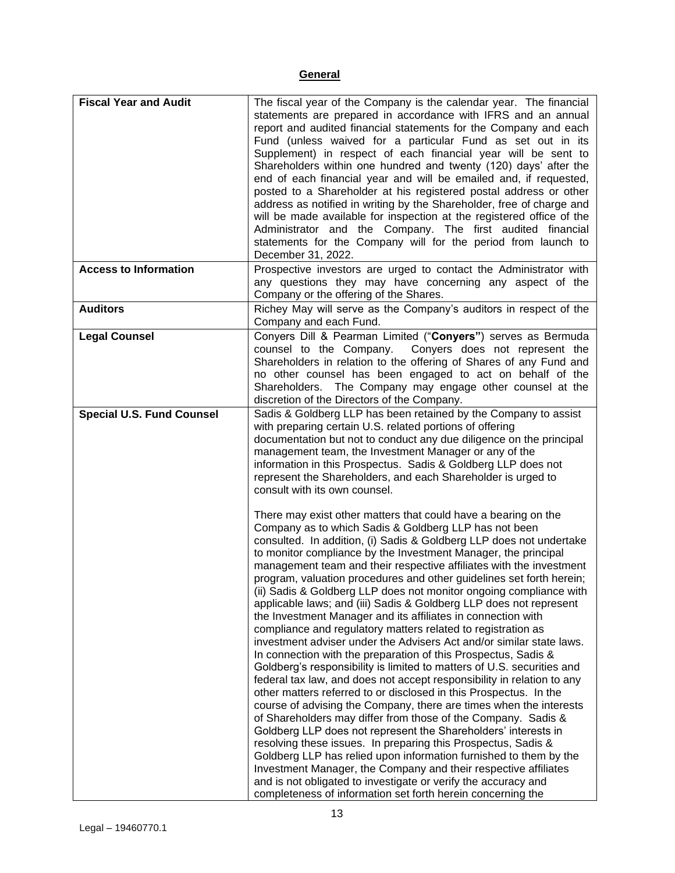## **General**

| <b>Fiscal Year and Audit</b><br><b>Access to Information</b> | The fiscal year of the Company is the calendar year. The financial<br>statements are prepared in accordance with IFRS and an annual<br>report and audited financial statements for the Company and each<br>Fund (unless waived for a particular Fund as set out in its<br>Supplement) in respect of each financial year will be sent to<br>Shareholders within one hundred and twenty (120) days' after the<br>end of each financial year and will be emailed and, if requested,<br>posted to a Shareholder at his registered postal address or other<br>address as notified in writing by the Shareholder, free of charge and<br>will be made available for inspection at the registered office of the<br>Administrator and the Company. The first audited financial<br>statements for the Company will for the period from launch to<br>December 31, 2022.<br>Prospective investors are urged to contact the Administrator with                                                                                                                                                                                                                                                                                                                                                                                                             |
|--------------------------------------------------------------|-----------------------------------------------------------------------------------------------------------------------------------------------------------------------------------------------------------------------------------------------------------------------------------------------------------------------------------------------------------------------------------------------------------------------------------------------------------------------------------------------------------------------------------------------------------------------------------------------------------------------------------------------------------------------------------------------------------------------------------------------------------------------------------------------------------------------------------------------------------------------------------------------------------------------------------------------------------------------------------------------------------------------------------------------------------------------------------------------------------------------------------------------------------------------------------------------------------------------------------------------------------------------------------------------------------------------------------------------|
|                                                              | any questions they may have concerning any aspect of the<br>Company or the offering of the Shares.                                                                                                                                                                                                                                                                                                                                                                                                                                                                                                                                                                                                                                                                                                                                                                                                                                                                                                                                                                                                                                                                                                                                                                                                                                            |
| <b>Auditors</b>                                              | Richey May will serve as the Company's auditors in respect of the<br>Company and each Fund.                                                                                                                                                                                                                                                                                                                                                                                                                                                                                                                                                                                                                                                                                                                                                                                                                                                                                                                                                                                                                                                                                                                                                                                                                                                   |
| <b>Legal Counsel</b>                                         | Conyers Dill & Pearman Limited ("Conyers") serves as Bermuda<br>counsel to the Company. Conyers does not represent the<br>Shareholders in relation to the offering of Shares of any Fund and<br>no other counsel has been engaged to act on behalf of the<br>Shareholders. The Company may engage other counsel at the<br>discretion of the Directors of the Company.                                                                                                                                                                                                                                                                                                                                                                                                                                                                                                                                                                                                                                                                                                                                                                                                                                                                                                                                                                         |
| <b>Special U.S. Fund Counsel</b>                             | Sadis & Goldberg LLP has been retained by the Company to assist<br>with preparing certain U.S. related portions of offering<br>documentation but not to conduct any due diligence on the principal<br>management team, the Investment Manager or any of the<br>information in this Prospectus. Sadis & Goldberg LLP does not<br>represent the Shareholders, and each Shareholder is urged to<br>consult with its own counsel.<br>There may exist other matters that could have a bearing on the<br>Company as to which Sadis & Goldberg LLP has not been<br>consulted. In addition, (i) Sadis & Goldberg LLP does not undertake<br>to monitor compliance by the Investment Manager, the principal                                                                                                                                                                                                                                                                                                                                                                                                                                                                                                                                                                                                                                             |
|                                                              | management team and their respective affiliates with the investment<br>program, valuation procedures and other guidelines set forth herein;<br>(ii) Sadis & Goldberg LLP does not monitor ongoing compliance with<br>applicable laws; and (iii) Sadis & Goldberg LLP does not represent<br>the Investment Manager and its affiliates in connection with<br>compliance and regulatory matters related to registration as<br>investment adviser under the Advisers Act and/or similar state laws.<br>In connection with the preparation of this Prospectus, Sadis &<br>Goldberg's responsibility is limited to matters of U.S. securities and<br>federal tax law, and does not accept responsibility in relation to any<br>other matters referred to or disclosed in this Prospectus. In the<br>course of advising the Company, there are times when the interests<br>of Shareholders may differ from those of the Company. Sadis &<br>Goldberg LLP does not represent the Shareholders' interests in<br>resolving these issues. In preparing this Prospectus, Sadis &<br>Goldberg LLP has relied upon information furnished to them by the<br>Investment Manager, the Company and their respective affiliates<br>and is not obligated to investigate or verify the accuracy and<br>completeness of information set forth herein concerning the |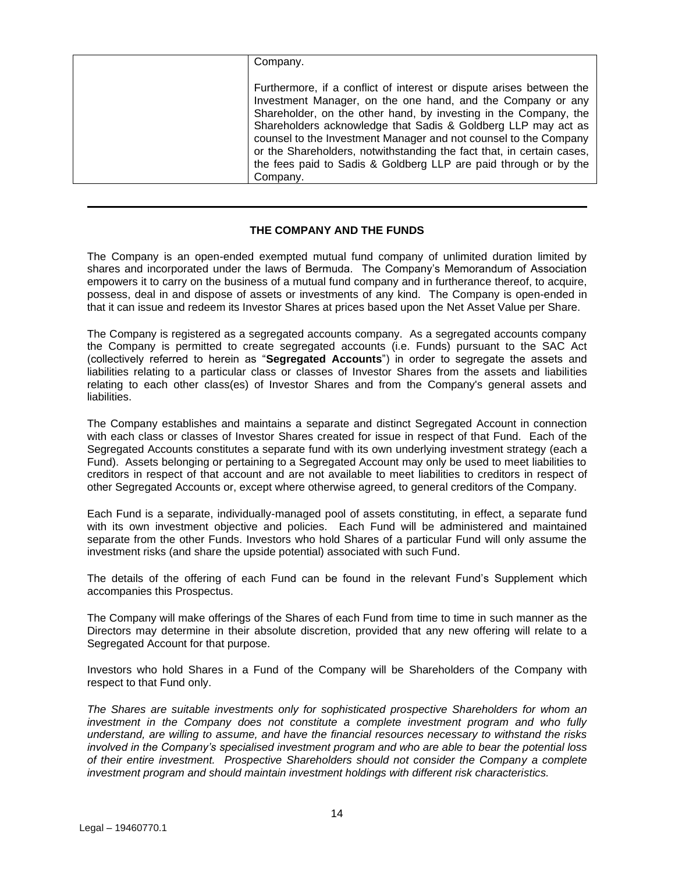| Company.                                                                                                                                                                                                                                                                                                                                                                                                                                                                                              |
|-------------------------------------------------------------------------------------------------------------------------------------------------------------------------------------------------------------------------------------------------------------------------------------------------------------------------------------------------------------------------------------------------------------------------------------------------------------------------------------------------------|
| Furthermore, if a conflict of interest or dispute arises between the<br>Investment Manager, on the one hand, and the Company or any<br>Shareholder, on the other hand, by investing in the Company, the<br>Shareholders acknowledge that Sadis & Goldberg LLP may act as<br>counsel to the Investment Manager and not counsel to the Company<br>or the Shareholders, notwithstanding the fact that, in certain cases,<br>the fees paid to Sadis & Goldberg LLP are paid through or by the<br>Company. |

## **THE COMPANY AND THE FUNDS**

<span id="page-13-0"></span>The Company is an open-ended exempted mutual fund company of unlimited duration limited by shares and incorporated under the laws of Bermuda. The Company's Memorandum of Association empowers it to carry on the business of a mutual fund company and in furtherance thereof, to acquire, possess, deal in and dispose of assets or investments of any kind. The Company is open-ended in that it can issue and redeem its Investor Shares at prices based upon the Net Asset Value per Share.

The Company is registered as a segregated accounts company. As a segregated accounts company the Company is permitted to create segregated accounts (i.e. Funds) pursuant to the SAC Act (collectively referred to herein as "**Segregated Accounts**") in order to segregate the assets and liabilities relating to a particular class or classes of Investor Shares from the assets and liabilities relating to each other class(es) of Investor Shares and from the Company's general assets and liabilities.

The Company establishes and maintains a separate and distinct Segregated Account in connection with each class or classes of Investor Shares created for issue in respect of that Fund. Each of the Segregated Accounts constitutes a separate fund with its own underlying investment strategy (each a Fund). Assets belonging or pertaining to a Segregated Account may only be used to meet liabilities to creditors in respect of that account and are not available to meet liabilities to creditors in respect of other Segregated Accounts or, except where otherwise agreed, to general creditors of the Company.

Each Fund is a separate, individually-managed pool of assets constituting, in effect, a separate fund with its own investment objective and policies. Each Fund will be administered and maintained separate from the other Funds. Investors who hold Shares of a particular Fund will only assume the investment risks (and share the upside potential) associated with such Fund.

The details of the offering of each Fund can be found in the relevant Fund's Supplement which accompanies this Prospectus.

The Company will make offerings of the Shares of each Fund from time to time in such manner as the Directors may determine in their absolute discretion, provided that any new offering will relate to a Segregated Account for that purpose.

Investors who hold Shares in a Fund of the Company will be Shareholders of the Company with respect to that Fund only.

*The Shares are suitable investments only for sophisticated prospective Shareholders for whom an investment in the Company does not constitute a complete investment program and who fully understand, are willing to assume, and have the financial resources necessary to withstand the risks involved in the Company's specialised investment program and who are able to bear the potential loss of their entire investment. Prospective Shareholders should not consider the Company a complete investment program and should maintain investment holdings with different risk characteristics.*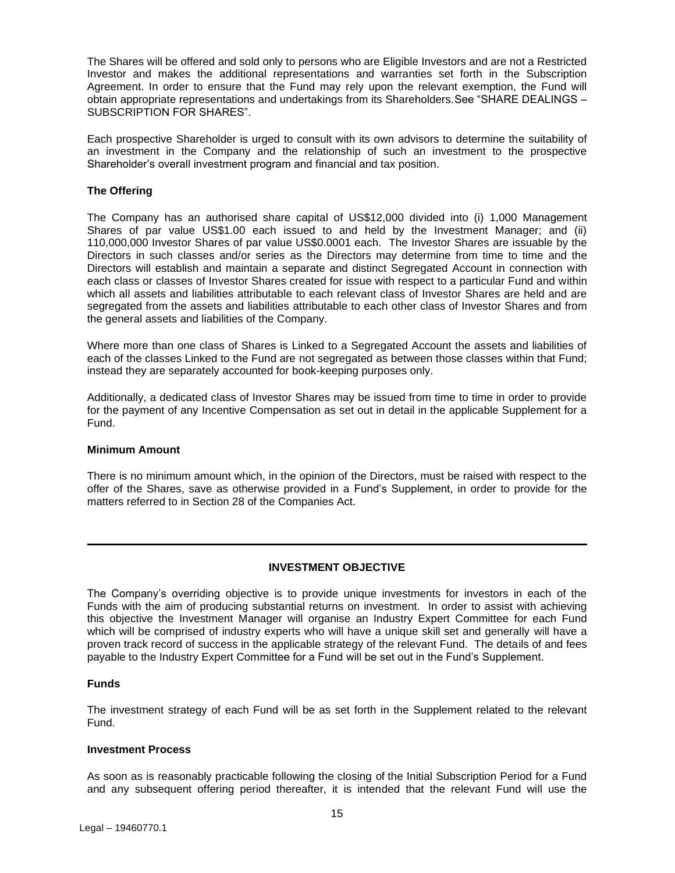The Shares will be offered and sold only to persons who are Eligible Investors and are not a Restricted Investor and makes the additional representations and warranties set forth in the Subscription Agreement. In order to ensure that the Fund may rely upon the relevant exemption, the Fund will obtain appropriate representations and undertakings from its Shareholders.See "SHARE DEALINGS – SUBSCRIPTION FOR SHARES".

Each prospective Shareholder is urged to consult with its own advisors to determine the suitability of an investment in the Company and the relationship of such an investment to the prospective Shareholder's overall investment program and financial and tax position.

## **The Offering**

The Company has an authorised share capital of US\$12,000 divided into (i) 1,000 Management Shares of par value US\$1.00 each issued to and held by the Investment Manager; and (ii) 110,000,000 Investor Shares of par value US\$0.0001 each. The Investor Shares are issuable by the Directors in such classes and/or series as the Directors may determine from time to time and the Directors will establish and maintain a separate and distinct Segregated Account in connection with each class or classes of Investor Shares created for issue with respect to a particular Fund and within which all assets and liabilities attributable to each relevant class of Investor Shares are held and are segregated from the assets and liabilities attributable to each other class of Investor Shares and from the general assets and liabilities of the Company.

Where more than one class of Shares is Linked to a Segregated Account the assets and liabilities of each of the classes Linked to the Fund are not segregated as between those classes within that Fund; instead they are separately accounted for book-keeping purposes only.

Additionally, a dedicated class of Investor Shares may be issued from time to time in order to provide for the payment of any Incentive Compensation as set out in detail in the applicable Supplement for a Fund.

## **Minimum Amount**

There is no minimum amount which, in the opinion of the Directors, must be raised with respect to the offer of the Shares, save as otherwise provided in a Fund's Supplement, in order to provide for the matters referred to in Section 28 of the Companies Act.

## **INVESTMENT OBJECTIVE**

<span id="page-14-0"></span>The Company's overriding objective is to provide unique investments for investors in each of the Funds with the aim of producing substantial returns on investment. In order to assist with achieving this objective the Investment Manager will organise an Industry Expert Committee for each Fund which will be comprised of industry experts who will have a unique skill set and generally will have a proven track record of success in the applicable strategy of the relevant Fund. The details of and fees payable to the Industry Expert Committee for a Fund will be set out in the Fund's Supplement.

## **Funds**

The investment strategy of each Fund will be as set forth in the Supplement related to the relevant Fund.

## **Investment Process**

As soon as is reasonably practicable following the closing of the Initial Subscription Period for a Fund and any subsequent offering period thereafter, it is intended that the relevant Fund will use the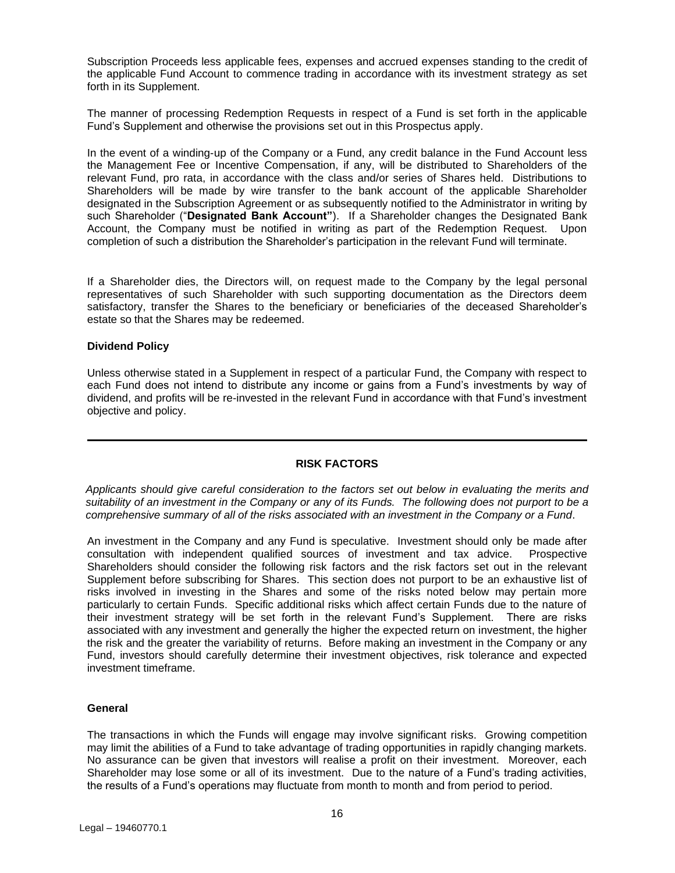Subscription Proceeds less applicable fees, expenses and accrued expenses standing to the credit of the applicable Fund Account to commence trading in accordance with its investment strategy as set forth in its Supplement.

The manner of processing Redemption Requests in respect of a Fund is set forth in the applicable Fund's Supplement and otherwise the provisions set out in this Prospectus apply.

In the event of a winding-up of the Company or a Fund, any credit balance in the Fund Account less the Management Fee or Incentive Compensation, if any, will be distributed to Shareholders of the relevant Fund, pro rata, in accordance with the class and/or series of Shares held. Distributions to Shareholders will be made by wire transfer to the bank account of the applicable Shareholder designated in the Subscription Agreement or as subsequently notified to the Administrator in writing by such Shareholder ("**Designated Bank Account"**). If a Shareholder changes the Designated Bank Account, the Company must be notified in writing as part of the Redemption Request. Upon completion of such a distribution the Shareholder's participation in the relevant Fund will terminate.

If a Shareholder dies, the Directors will, on request made to the Company by the legal personal representatives of such Shareholder with such supporting documentation as the Directors deem satisfactory, transfer the Shares to the beneficiary or beneficiaries of the deceased Shareholder's estate so that the Shares may be redeemed.

#### **Dividend Policy**

Unless otherwise stated in a Supplement in respect of a particular Fund, the Company with respect to each Fund does not intend to distribute any income or gains from a Fund's investments by way of dividend, and profits will be re-invested in the relevant Fund in accordance with that Fund's investment objective and policy.

#### **RISK FACTORS**

<span id="page-15-0"></span>*Applicants should give careful consideration to the factors set out below in evaluating the merits and suitability of an investment in the Company or any of its Funds. The following does not purport to be a comprehensive summary of all of the risks associated with an investment in the Company or a Fund*.

An investment in the Company and any Fund is speculative. Investment should only be made after consultation with independent qualified sources of investment and tax advice. Prospective Shareholders should consider the following risk factors and the risk factors set out in the relevant Supplement before subscribing for Shares. This section does not purport to be an exhaustive list of risks involved in investing in the Shares and some of the risks noted below may pertain more particularly to certain Funds. Specific additional risks which affect certain Funds due to the nature of their investment strategy will be set forth in the relevant Fund's Supplement. There are risks associated with any investment and generally the higher the expected return on investment, the higher the risk and the greater the variability of returns. Before making an investment in the Company or any Fund, investors should carefully determine their investment objectives, risk tolerance and expected investment timeframe.

## **General**

The transactions in which the Funds will engage may involve significant risks. Growing competition may limit the abilities of a Fund to take advantage of trading opportunities in rapidly changing markets. No assurance can be given that investors will realise a profit on their investment. Moreover, each Shareholder may lose some or all of its investment. Due to the nature of a Fund's trading activities, the results of a Fund's operations may fluctuate from month to month and from period to period.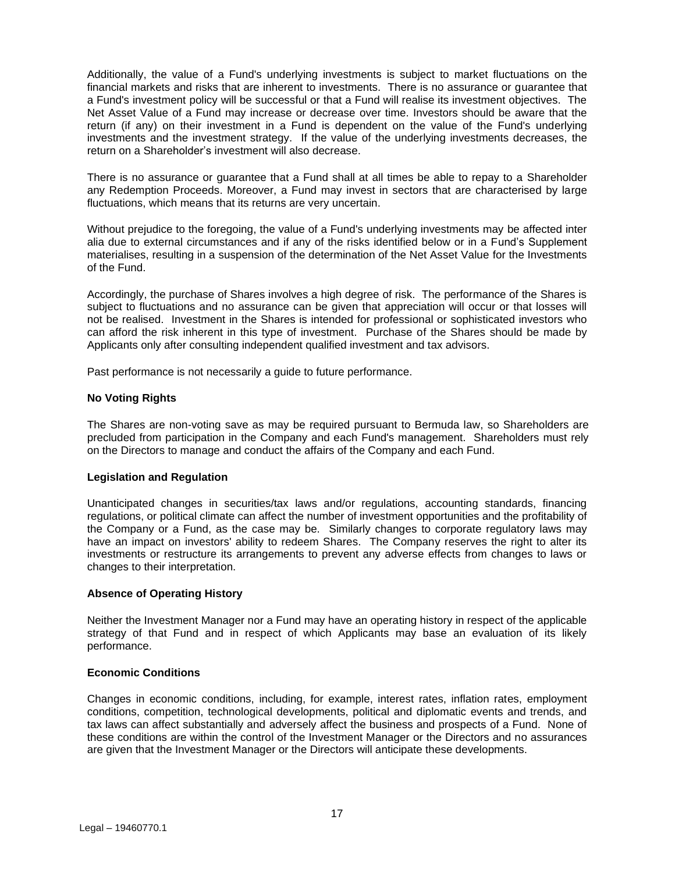Additionally, the value of a Fund's underlying investments is subject to market fluctuations on the financial markets and risks that are inherent to investments. There is no assurance or guarantee that a Fund's investment policy will be successful or that a Fund will realise its investment objectives. The Net Asset Value of a Fund may increase or decrease over time. Investors should be aware that the return (if any) on their investment in a Fund is dependent on the value of the Fund's underlying investments and the investment strategy. If the value of the underlying investments decreases, the return on a Shareholder's investment will also decrease.

There is no assurance or guarantee that a Fund shall at all times be able to repay to a Shareholder any Redemption Proceeds. Moreover, a Fund may invest in sectors that are characterised by large fluctuations, which means that its returns are very uncertain.

Without prejudice to the foregoing, the value of a Fund's underlying investments may be affected inter alia due to external circumstances and if any of the risks identified below or in a Fund's Supplement materialises, resulting in a suspension of the determination of the Net Asset Value for the Investments of the Fund.

Accordingly, the purchase of Shares involves a high degree of risk. The performance of the Shares is subject to fluctuations and no assurance can be given that appreciation will occur or that losses will not be realised. Investment in the Shares is intended for professional or sophisticated investors who can afford the risk inherent in this type of investment. Purchase of the Shares should be made by Applicants only after consulting independent qualified investment and tax advisors.

Past performance is not necessarily a guide to future performance.

## **No Voting Rights**

The Shares are non-voting save as may be required pursuant to Bermuda law, so Shareholders are precluded from participation in the Company and each Fund's management. Shareholders must rely on the Directors to manage and conduct the affairs of the Company and each Fund.

## **Legislation and Regulation**

Unanticipated changes in securities/tax laws and/or regulations, accounting standards, financing regulations, or political climate can affect the number of investment opportunities and the profitability of the Company or a Fund, as the case may be. Similarly changes to corporate regulatory laws may have an impact on investors' ability to redeem Shares. The Company reserves the right to alter its investments or restructure its arrangements to prevent any adverse effects from changes to laws or changes to their interpretation.

## **Absence of Operating History**

Neither the Investment Manager nor a Fund may have an operating history in respect of the applicable strategy of that Fund and in respect of which Applicants may base an evaluation of its likely performance.

## **Economic Conditions**

Changes in economic conditions, including, for example, interest rates, inflation rates, employment conditions, competition, technological developments, political and diplomatic events and trends, and tax laws can affect substantially and adversely affect the business and prospects of a Fund. None of these conditions are within the control of the Investment Manager or the Directors and no assurances are given that the Investment Manager or the Directors will anticipate these developments.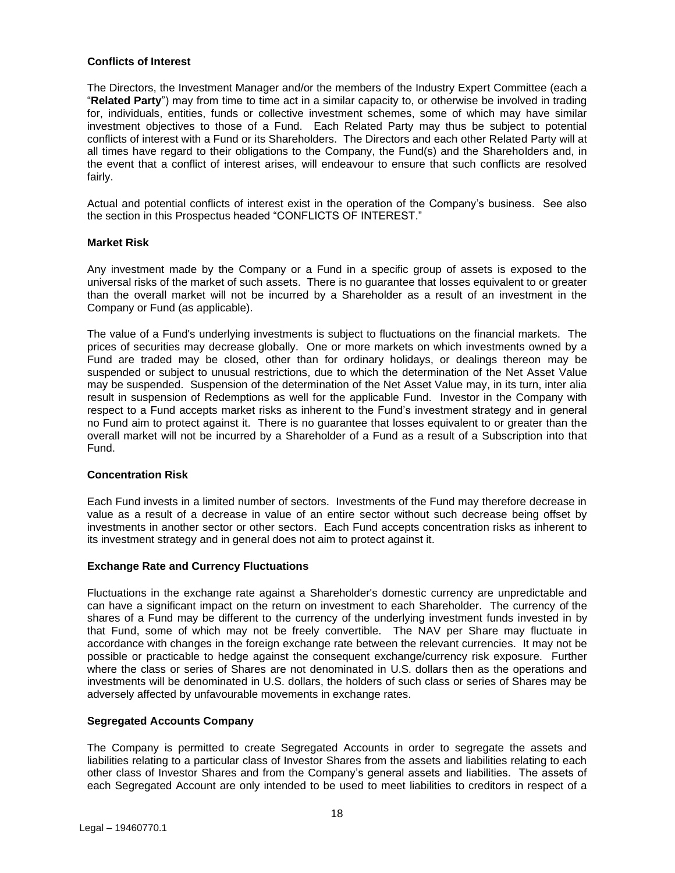## **Conflicts of Interest**

The Directors, the Investment Manager and/or the members of the Industry Expert Committee (each a "**Related Party**") may from time to time act in a similar capacity to, or otherwise be involved in trading for, individuals, entities, funds or collective investment schemes, some of which may have similar investment objectives to those of a Fund. Each Related Party may thus be subject to potential conflicts of interest with a Fund or its Shareholders. The Directors and each other Related Party will at all times have regard to their obligations to the Company, the Fund(s) and the Shareholders and, in the event that a conflict of interest arises, will endeavour to ensure that such conflicts are resolved fairly.

Actual and potential conflicts of interest exist in the operation of the Company's business. See also the section in this Prospectus headed "CONFLICTS OF INTEREST."

## **Market Risk**

Any investment made by the Company or a Fund in a specific group of assets is exposed to the universal risks of the market of such assets. There is no guarantee that losses equivalent to or greater than the overall market will not be incurred by a Shareholder as a result of an investment in the Company or Fund (as applicable).

The value of a Fund's underlying investments is subject to fluctuations on the financial markets. The prices of securities may decrease globally. One or more markets on which investments owned by a Fund are traded may be closed, other than for ordinary holidays, or dealings thereon may be suspended or subject to unusual restrictions, due to which the determination of the Net Asset Value may be suspended. Suspension of the determination of the Net Asset Value may, in its turn, inter alia result in suspension of Redemptions as well for the applicable Fund. Investor in the Company with respect to a Fund accepts market risks as inherent to the Fund's investment strategy and in general no Fund aim to protect against it. There is no guarantee that losses equivalent to or greater than the overall market will not be incurred by a Shareholder of a Fund as a result of a Subscription into that Fund.

## **Concentration Risk**

Each Fund invests in a limited number of sectors. Investments of the Fund may therefore decrease in value as a result of a decrease in value of an entire sector without such decrease being offset by investments in another sector or other sectors. Each Fund accepts concentration risks as inherent to its investment strategy and in general does not aim to protect against it.

## **Exchange Rate and Currency Fluctuations**

Fluctuations in the exchange rate against a Shareholder's domestic currency are unpredictable and can have a significant impact on the return on investment to each Shareholder. The currency of the shares of a Fund may be different to the currency of the underlying investment funds invested in by that Fund, some of which may not be freely convertible. The NAV per Share may fluctuate in accordance with changes in the foreign exchange rate between the relevant currencies. It may not be possible or practicable to hedge against the consequent exchange/currency risk exposure. Further where the class or series of Shares are not denominated in U.S. dollars then as the operations and investments will be denominated in U.S. dollars, the holders of such class or series of Shares may be adversely affected by unfavourable movements in exchange rates.

## **Segregated Accounts Company**

The Company is permitted to create Segregated Accounts in order to segregate the assets and liabilities relating to a particular class of Investor Shares from the assets and liabilities relating to each other class of Investor Shares and from the Company's general assets and liabilities. The assets of each Segregated Account are only intended to be used to meet liabilities to creditors in respect of a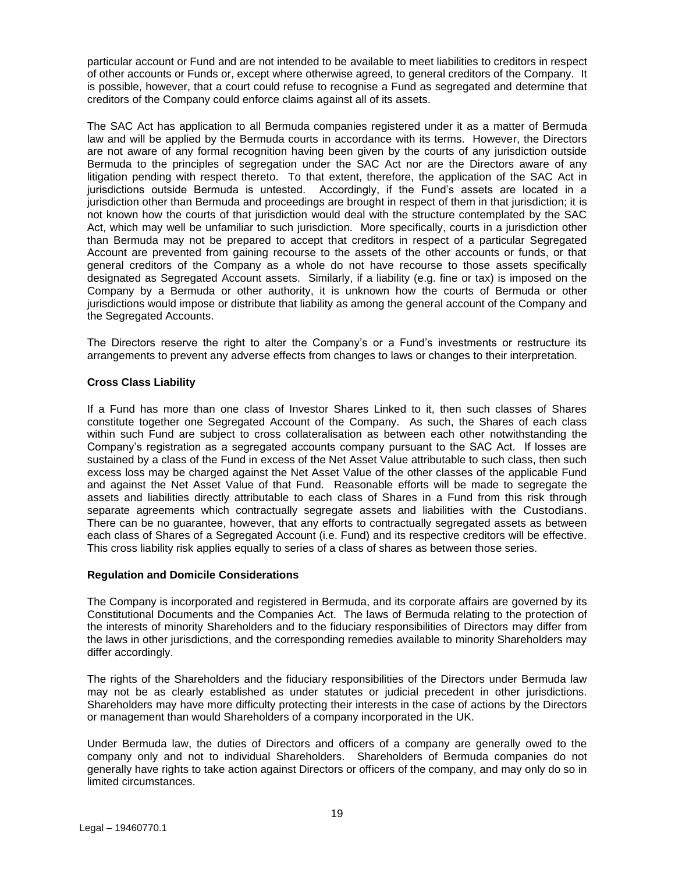particular account or Fund and are not intended to be available to meet liabilities to creditors in respect of other accounts or Funds or, except where otherwise agreed, to general creditors of the Company. It is possible, however, that a court could refuse to recognise a Fund as segregated and determine that creditors of the Company could enforce claims against all of its assets.

The SAC Act has application to all Bermuda companies registered under it as a matter of Bermuda law and will be applied by the Bermuda courts in accordance with its terms. However, the Directors are not aware of any formal recognition having been given by the courts of any jurisdiction outside Bermuda to the principles of segregation under the SAC Act nor are the Directors aware of any litigation pending with respect thereto. To that extent, therefore, the application of the SAC Act in jurisdictions outside Bermuda is untested. Accordingly, if the Fund's assets are located in a jurisdiction other than Bermuda and proceedings are brought in respect of them in that jurisdiction; it is not known how the courts of that jurisdiction would deal with the structure contemplated by the SAC Act, which may well be unfamiliar to such jurisdiction. More specifically, courts in a jurisdiction other than Bermuda may not be prepared to accept that creditors in respect of a particular Segregated Account are prevented from gaining recourse to the assets of the other accounts or funds, or that general creditors of the Company as a whole do not have recourse to those assets specifically designated as Segregated Account assets. Similarly, if a liability (e.g. fine or tax) is imposed on the Company by a Bermuda or other authority, it is unknown how the courts of Bermuda or other jurisdictions would impose or distribute that liability as among the general account of the Company and the Segregated Accounts.

The Directors reserve the right to alter the Company's or a Fund's investments or restructure its arrangements to prevent any adverse effects from changes to laws or changes to their interpretation.

## **Cross Class Liability**

If a Fund has more than one class of Investor Shares Linked to it, then such classes of Shares constitute together one Segregated Account of the Company. As such, the Shares of each class within such Fund are subject to cross collateralisation as between each other notwithstanding the Company's registration as a segregated accounts company pursuant to the SAC Act. If losses are sustained by a class of the Fund in excess of the Net Asset Value attributable to such class, then such excess loss may be charged against the Net Asset Value of the other classes of the applicable Fund and against the Net Asset Value of that Fund. Reasonable efforts will be made to segregate the assets and liabilities directly attributable to each class of Shares in a Fund from this risk through separate agreements which contractually segregate assets and liabilities with the Custodians. There can be no guarantee, however, that any efforts to contractually segregated assets as between each class of Shares of a Segregated Account (i.e. Fund) and its respective creditors will be effective. This cross liability risk applies equally to series of a class of shares as between those series.

## **Regulation and Domicile Considerations**

The Company is incorporated and registered in Bermuda, and its corporate affairs are governed by its Constitutional Documents and the Companies Act. The laws of Bermuda relating to the protection of the interests of minority Shareholders and to the fiduciary responsibilities of Directors may differ from the laws in other jurisdictions, and the corresponding remedies available to minority Shareholders may differ accordingly.

The rights of the Shareholders and the fiduciary responsibilities of the Directors under Bermuda law may not be as clearly established as under statutes or judicial precedent in other jurisdictions. Shareholders may have more difficulty protecting their interests in the case of actions by the Directors or management than would Shareholders of a company incorporated in the UK.

Under Bermuda law, the duties of Directors and officers of a company are generally owed to the company only and not to individual Shareholders. Shareholders of Bermuda companies do not generally have rights to take action against Directors or officers of the company, and may only do so in limited circumstances.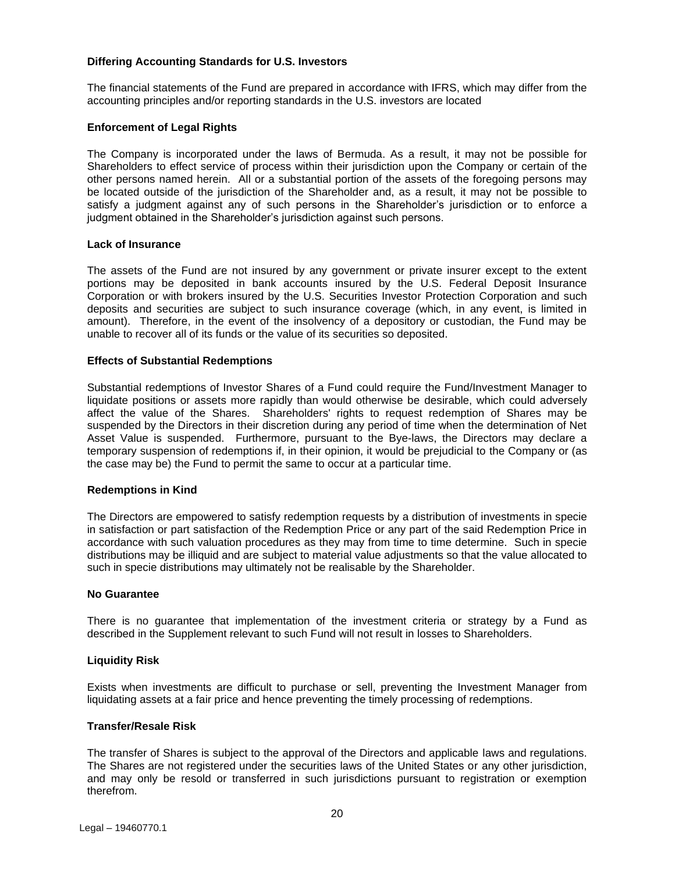## **Differing Accounting Standards for U.S. Investors**

The financial statements of the Fund are prepared in accordance with IFRS, which may differ from the accounting principles and/or reporting standards in the U.S. investors are located

## **Enforcement of Legal Rights**

The Company is incorporated under the laws of Bermuda. As a result, it may not be possible for Shareholders to effect service of process within their jurisdiction upon the Company or certain of the other persons named herein. All or a substantial portion of the assets of the foregoing persons may be located outside of the jurisdiction of the Shareholder and, as a result, it may not be possible to satisfy a judgment against any of such persons in the Shareholder's jurisdiction or to enforce a judgment obtained in the Shareholder's jurisdiction against such persons.

#### **Lack of Insurance**

The assets of the Fund are not insured by any government or private insurer except to the extent portions may be deposited in bank accounts insured by the U.S. Federal Deposit Insurance Corporation or with brokers insured by the U.S. Securities Investor Protection Corporation and such deposits and securities are subject to such insurance coverage (which, in any event, is limited in amount). Therefore, in the event of the insolvency of a depository or custodian, the Fund may be unable to recover all of its funds or the value of its securities so deposited.

#### **Effects of Substantial Redemptions**

Substantial redemptions of Investor Shares of a Fund could require the Fund/Investment Manager to liquidate positions or assets more rapidly than would otherwise be desirable, which could adversely affect the value of the Shares. Shareholders' rights to request redemption of Shares may be suspended by the Directors in their discretion during any period of time when the determination of Net Asset Value is suspended. Furthermore, pursuant to the Bye-laws, the Directors may declare a temporary suspension of redemptions if, in their opinion, it would be prejudicial to the Company or (as the case may be) the Fund to permit the same to occur at a particular time.

#### **Redemptions in Kind**

The Directors are empowered to satisfy redemption requests by a distribution of investments in specie in satisfaction or part satisfaction of the Redemption Price or any part of the said Redemption Price in accordance with such valuation procedures as they may from time to time determine. Such in specie distributions may be illiquid and are subject to material value adjustments so that the value allocated to such in specie distributions may ultimately not be realisable by the Shareholder.

#### **No Guarantee**

There is no guarantee that implementation of the investment criteria or strategy by a Fund as described in the Supplement relevant to such Fund will not result in losses to Shareholders.

#### **Liquidity Risk**

Exists when investments are difficult to purchase or sell, preventing the Investment Manager from liquidating assets at a fair price and hence preventing the timely processing of redemptions.

#### **Transfer/Resale Risk**

The transfer of Shares is subject to the approval of the Directors and applicable laws and regulations. The Shares are not registered under the securities laws of the United States or any other jurisdiction, and may only be resold or transferred in such jurisdictions pursuant to registration or exemption therefrom.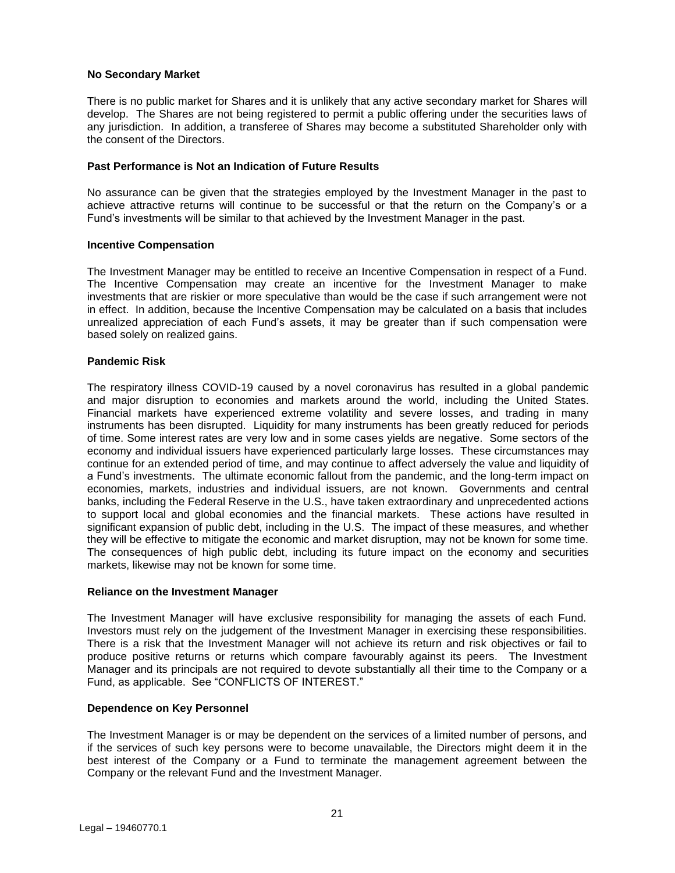#### **No Secondary Market**

There is no public market for Shares and it is unlikely that any active secondary market for Shares will develop. The Shares are not being registered to permit a public offering under the securities laws of any jurisdiction. In addition, a transferee of Shares may become a substituted Shareholder only with the consent of the Directors.

## **Past Performance is Not an Indication of Future Results**

No assurance can be given that the strategies employed by the Investment Manager in the past to achieve attractive returns will continue to be successful or that the return on the Company's or a Fund's investments will be similar to that achieved by the Investment Manager in the past.

## **Incentive Compensation**

The Investment Manager may be entitled to receive an Incentive Compensation in respect of a Fund. The Incentive Compensation may create an incentive for the Investment Manager to make investments that are riskier or more speculative than would be the case if such arrangement were not in effect. In addition, because the Incentive Compensation may be calculated on a basis that includes unrealized appreciation of each Fund's assets, it may be greater than if such compensation were based solely on realized gains.

## **Pandemic Risk**

The respiratory illness COVID-19 caused by a novel coronavirus has resulted in a global pandemic and major disruption to economies and markets around the world, including the United States. Financial markets have experienced extreme volatility and severe losses, and trading in many instruments has been disrupted. Liquidity for many instruments has been greatly reduced for periods of time. Some interest rates are very low and in some cases yields are negative. Some sectors of the economy and individual issuers have experienced particularly large losses. These circumstances may continue for an extended period of time, and may continue to affect adversely the value and liquidity of a Fund's investments. The ultimate economic fallout from the pandemic, and the long-term impact on economies, markets, industries and individual issuers, are not known. Governments and central banks, including the Federal Reserve in the U.S., have taken extraordinary and unprecedented actions to support local and global economies and the financial markets. These actions have resulted in significant expansion of public debt, including in the U.S. The impact of these measures, and whether they will be effective to mitigate the economic and market disruption, may not be known for some time. The consequences of high public debt, including its future impact on the economy and securities markets, likewise may not be known for some time.

## **Reliance on the Investment Manager**

The Investment Manager will have exclusive responsibility for managing the assets of each Fund. Investors must rely on the judgement of the Investment Manager in exercising these responsibilities. There is a risk that the Investment Manager will not achieve its return and risk objectives or fail to produce positive returns or returns which compare favourably against its peers. The Investment Manager and its principals are not required to devote substantially all their time to the Company or a Fund, as applicable. See "CONFLICTS OF INTEREST."

## **Dependence on Key Personnel**

The Investment Manager is or may be dependent on the services of a limited number of persons, and if the services of such key persons were to become unavailable, the Directors might deem it in the best interest of the Company or a Fund to terminate the management agreement between the Company or the relevant Fund and the Investment Manager.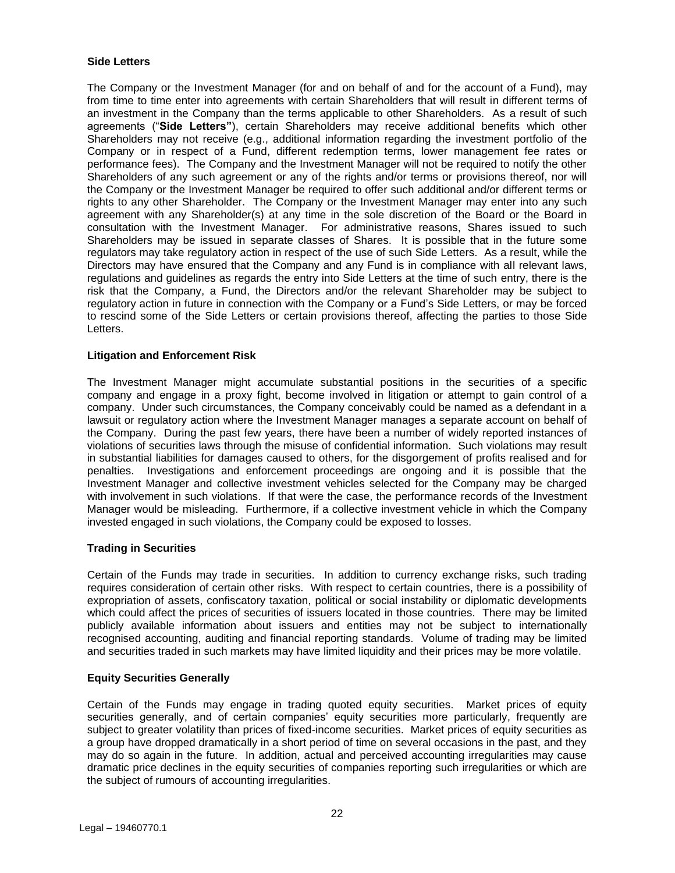## **Side Letters**

The Company or the Investment Manager (for and on behalf of and for the account of a Fund), may from time to time enter into agreements with certain Shareholders that will result in different terms of an investment in the Company than the terms applicable to other Shareholders. As a result of such agreements ("**Side Letters"**), certain Shareholders may receive additional benefits which other Shareholders may not receive (e.g., additional information regarding the investment portfolio of the Company or in respect of a Fund, different redemption terms, lower management fee rates or performance fees). The Company and the Investment Manager will not be required to notify the other Shareholders of any such agreement or any of the rights and/or terms or provisions thereof, nor will the Company or the Investment Manager be required to offer such additional and/or different terms or rights to any other Shareholder. The Company or the Investment Manager may enter into any such agreement with any Shareholder(s) at any time in the sole discretion of the Board or the Board in consultation with the Investment Manager. For administrative reasons, Shares issued to such Shareholders may be issued in separate classes of Shares. It is possible that in the future some regulators may take regulatory action in respect of the use of such Side Letters. As a result, while the Directors may have ensured that the Company and any Fund is in compliance with all relevant laws, regulations and guidelines as regards the entry into Side Letters at the time of such entry, there is the risk that the Company, a Fund, the Directors and/or the relevant Shareholder may be subject to regulatory action in future in connection with the Company or a Fund's Side Letters, or may be forced to rescind some of the Side Letters or certain provisions thereof, affecting the parties to those Side Letters.

## **Litigation and Enforcement Risk**

The Investment Manager might accumulate substantial positions in the securities of a specific company and engage in a proxy fight, become involved in litigation or attempt to gain control of a company. Under such circumstances, the Company conceivably could be named as a defendant in a lawsuit or regulatory action where the Investment Manager manages a separate account on behalf of the Company. During the past few years, there have been a number of widely reported instances of violations of securities laws through the misuse of confidential information. Such violations may result in substantial liabilities for damages caused to others, for the disgorgement of profits realised and for penalties. Investigations and enforcement proceedings are ongoing and it is possible that the Investment Manager and collective investment vehicles selected for the Company may be charged with involvement in such violations. If that were the case, the performance records of the Investment Manager would be misleading. Furthermore, if a collective investment vehicle in which the Company invested engaged in such violations, the Company could be exposed to losses.

## **Trading in Securities**

Certain of the Funds may trade in securities. In addition to currency exchange risks, such trading requires consideration of certain other risks. With respect to certain countries, there is a possibility of expropriation of assets, confiscatory taxation, political or social instability or diplomatic developments which could affect the prices of securities of issuers located in those countries. There may be limited publicly available information about issuers and entities may not be subject to internationally recognised accounting, auditing and financial reporting standards. Volume of trading may be limited and securities traded in such markets may have limited liquidity and their prices may be more volatile.

## **Equity Securities Generally**

Certain of the Funds may engage in trading quoted equity securities. Market prices of equity securities generally, and of certain companies' equity securities more particularly, frequently are subject to greater volatility than prices of fixed-income securities. Market prices of equity securities as a group have dropped dramatically in a short period of time on several occasions in the past, and they may do so again in the future. In addition, actual and perceived accounting irregularities may cause dramatic price declines in the equity securities of companies reporting such irregularities or which are the subject of rumours of accounting irregularities.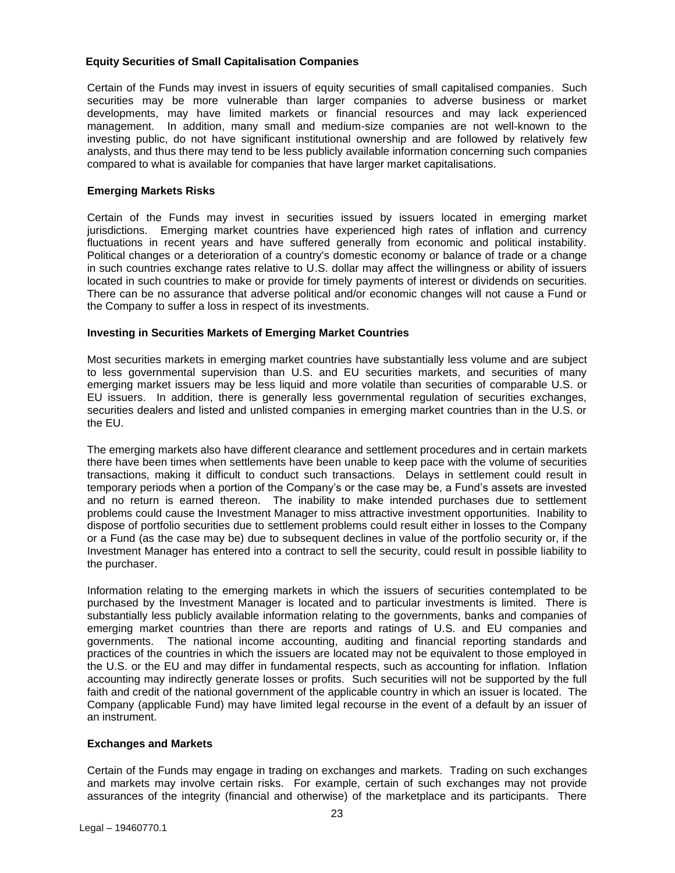## **Equity Securities of Small Capitalisation Companies**

Certain of the Funds may invest in issuers of equity securities of small capitalised companies. Such securities may be more vulnerable than larger companies to adverse business or market developments, may have limited markets or financial resources and may lack experienced management. In addition, many small and medium-size companies are not well-known to the investing public, do not have significant institutional ownership and are followed by relatively few analysts, and thus there may tend to be less publicly available information concerning such companies compared to what is available for companies that have larger market capitalisations.

## **Emerging Markets Risks**

Certain of the Funds may invest in securities issued by issuers located in emerging market jurisdictions. Emerging market countries have experienced high rates of inflation and currency fluctuations in recent years and have suffered generally from economic and political instability. Political changes or a deterioration of a country's domestic economy or balance of trade or a change in such countries exchange rates relative to U.S. dollar may affect the willingness or ability of issuers located in such countries to make or provide for timely payments of interest or dividends on securities. There can be no assurance that adverse political and/or economic changes will not cause a Fund or the Company to suffer a loss in respect of its investments.

## **Investing in Securities Markets of Emerging Market Countries**

Most securities markets in emerging market countries have substantially less volume and are subject to less governmental supervision than U.S. and EU securities markets, and securities of many emerging market issuers may be less liquid and more volatile than securities of comparable U.S. or EU issuers. In addition, there is generally less governmental regulation of securities exchanges, securities dealers and listed and unlisted companies in emerging market countries than in the U.S. or the EU.

The emerging markets also have different clearance and settlement procedures and in certain markets there have been times when settlements have been unable to keep pace with the volume of securities transactions, making it difficult to conduct such transactions. Delays in settlement could result in temporary periods when a portion of the Company's or the case may be, a Fund's assets are invested and no return is earned thereon. The inability to make intended purchases due to settlement problems could cause the Investment Manager to miss attractive investment opportunities. Inability to dispose of portfolio securities due to settlement problems could result either in losses to the Company or a Fund (as the case may be) due to subsequent declines in value of the portfolio security or, if the Investment Manager has entered into a contract to sell the security, could result in possible liability to the purchaser.

Information relating to the emerging markets in which the issuers of securities contemplated to be purchased by the Investment Manager is located and to particular investments is limited. There is substantially less publicly available information relating to the governments, banks and companies of emerging market countries than there are reports and ratings of U.S. and EU companies and governments. The national income accounting, auditing and financial reporting standards and practices of the countries in which the issuers are located may not be equivalent to those employed in the U.S. or the EU and may differ in fundamental respects, such as accounting for inflation. Inflation accounting may indirectly generate losses or profits. Such securities will not be supported by the full faith and credit of the national government of the applicable country in which an issuer is located. The Company (applicable Fund) may have limited legal recourse in the event of a default by an issuer of an instrument.

## **Exchanges and Markets**

Certain of the Funds may engage in trading on exchanges and markets. Trading on such exchanges and markets may involve certain risks. For example, certain of such exchanges may not provide assurances of the integrity (financial and otherwise) of the marketplace and its participants. There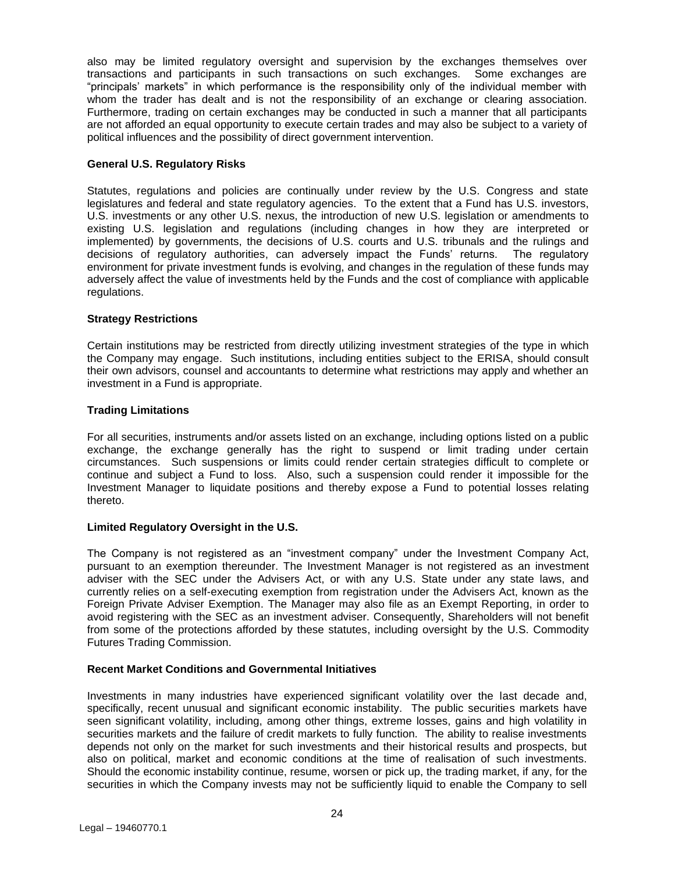also may be limited regulatory oversight and supervision by the exchanges themselves over transactions and participants in such transactions on such exchanges. Some exchanges are "principals' markets" in which performance is the responsibility only of the individual member with whom the trader has dealt and is not the responsibility of an exchange or clearing association. Furthermore, trading on certain exchanges may be conducted in such a manner that all participants are not afforded an equal opportunity to execute certain trades and may also be subject to a variety of political influences and the possibility of direct government intervention.

## **General U.S. Regulatory Risks**

Statutes, regulations and policies are continually under review by the U.S. Congress and state legislatures and federal and state regulatory agencies. To the extent that a Fund has U.S. investors, U.S. investments or any other U.S. nexus, the introduction of new U.S. legislation or amendments to existing U.S. legislation and regulations (including changes in how they are interpreted or implemented) by governments, the decisions of U.S. courts and U.S. tribunals and the rulings and decisions of regulatory authorities, can adversely impact the Funds' returns. The regulatory environment for private investment funds is evolving, and changes in the regulation of these funds may adversely affect the value of investments held by the Funds and the cost of compliance with applicable regulations.

## **Strategy Restrictions**

Certain institutions may be restricted from directly utilizing investment strategies of the type in which the Company may engage. Such institutions, including entities subject to the ERISA, should consult their own advisors, counsel and accountants to determine what restrictions may apply and whether an investment in a Fund is appropriate.

## **Trading Limitations**

For all securities, instruments and/or assets listed on an exchange, including options listed on a public exchange, the exchange generally has the right to suspend or limit trading under certain circumstances. Such suspensions or limits could render certain strategies difficult to complete or continue and subject a Fund to loss. Also, such a suspension could render it impossible for the Investment Manager to liquidate positions and thereby expose a Fund to potential losses relating thereto.

## **Limited Regulatory Oversight in the U.S.**

The Company is not registered as an "investment company" under the Investment Company Act, pursuant to an exemption thereunder. The Investment Manager is not registered as an investment adviser with the SEC under the Advisers Act, or with any U.S. State under any state laws, and currently relies on a self-executing exemption from registration under the Advisers Act, known as the Foreign Private Adviser Exemption. The Manager may also file as an Exempt Reporting, in order to avoid registering with the SEC as an investment adviser. Consequently, Shareholders will not benefit from some of the protections afforded by these statutes, including oversight by the U.S. Commodity Futures Trading Commission.

## **Recent Market Conditions and Governmental Initiatives**

Investments in many industries have experienced significant volatility over the last decade and, specifically, recent unusual and significant economic instability. The public securities markets have seen significant volatility, including, among other things, extreme losses, gains and high volatility in securities markets and the failure of credit markets to fully function. The ability to realise investments depends not only on the market for such investments and their historical results and prospects, but also on political, market and economic conditions at the time of realisation of such investments. Should the economic instability continue, resume, worsen or pick up, the trading market, if any, for the securities in which the Company invests may not be sufficiently liquid to enable the Company to sell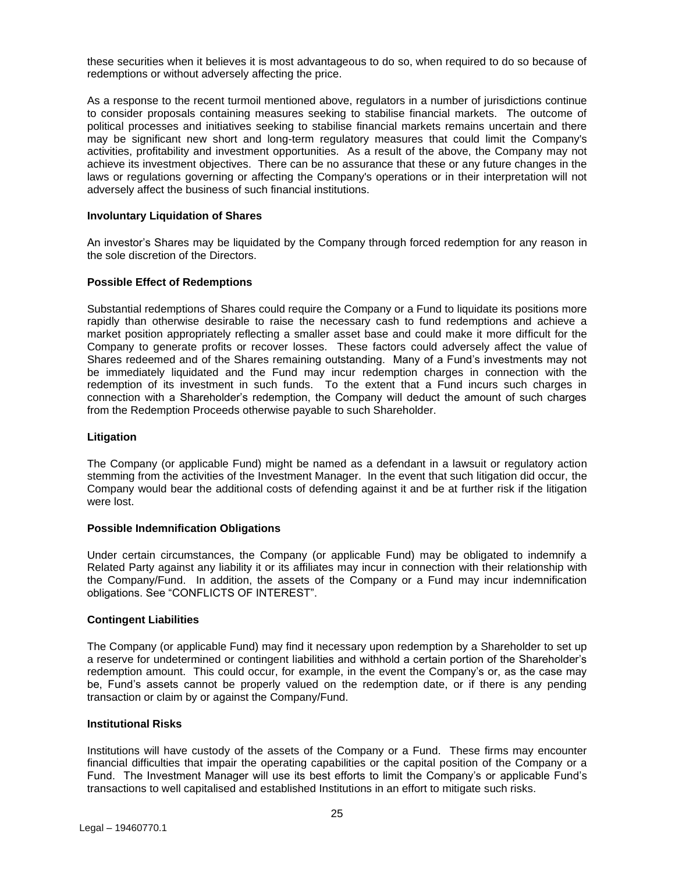these securities when it believes it is most advantageous to do so, when required to do so because of redemptions or without adversely affecting the price.

As a response to the recent turmoil mentioned above, regulators in a number of jurisdictions continue to consider proposals containing measures seeking to stabilise financial markets. The outcome of political processes and initiatives seeking to stabilise financial markets remains uncertain and there may be significant new short and long-term regulatory measures that could limit the Company's activities, profitability and investment opportunities. As a result of the above, the Company may not achieve its investment objectives. There can be no assurance that these or any future changes in the laws or regulations governing or affecting the Company's operations or in their interpretation will not adversely affect the business of such financial institutions.

#### **Involuntary Liquidation of Shares**

An investor's Shares may be liquidated by the Company through forced redemption for any reason in the sole discretion of the Directors.

#### **Possible Effect of Redemptions**

Substantial redemptions of Shares could require the Company or a Fund to liquidate its positions more rapidly than otherwise desirable to raise the necessary cash to fund redemptions and achieve a market position appropriately reflecting a smaller asset base and could make it more difficult for the Company to generate profits or recover losses. These factors could adversely affect the value of Shares redeemed and of the Shares remaining outstanding. Many of a Fund's investments may not be immediately liquidated and the Fund may incur redemption charges in connection with the redemption of its investment in such funds. To the extent that a Fund incurs such charges in connection with a Shareholder's redemption, the Company will deduct the amount of such charges from the Redemption Proceeds otherwise payable to such Shareholder.

#### **Litigation**

The Company (or applicable Fund) might be named as a defendant in a lawsuit or regulatory action stemming from the activities of the Investment Manager. In the event that such litigation did occur, the Company would bear the additional costs of defending against it and be at further risk if the litigation were lost.

#### **Possible Indemnification Obligations**

Under certain circumstances, the Company (or applicable Fund) may be obligated to indemnify a Related Party against any liability it or its affiliates may incur in connection with their relationship with the Company/Fund. In addition, the assets of the Company or a Fund may incur indemnification obligations. See "CONFLICTS OF INTEREST".

#### **Contingent Liabilities**

The Company (or applicable Fund) may find it necessary upon redemption by a Shareholder to set up a reserve for undetermined or contingent liabilities and withhold a certain portion of the Shareholder's redemption amount. This could occur, for example, in the event the Company's or, as the case may be, Fund's assets cannot be properly valued on the redemption date, or if there is any pending transaction or claim by or against the Company/Fund.

#### **Institutional Risks**

Institutions will have custody of the assets of the Company or a Fund. These firms may encounter financial difficulties that impair the operating capabilities or the capital position of the Company or a Fund. The Investment Manager will use its best efforts to limit the Company's or applicable Fund's transactions to well capitalised and established Institutions in an effort to mitigate such risks.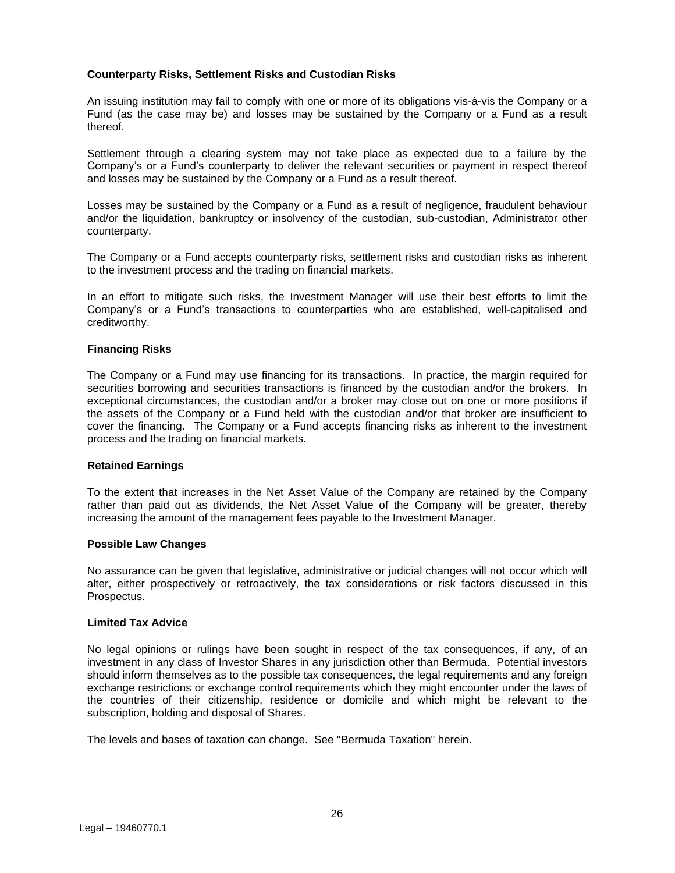## **Counterparty Risks, Settlement Risks and Custodian Risks**

An issuing institution may fail to comply with one or more of its obligations vis-à-vis the Company or a Fund (as the case may be) and losses may be sustained by the Company or a Fund as a result thereof.

Settlement through a clearing system may not take place as expected due to a failure by the Company's or a Fund's counterparty to deliver the relevant securities or payment in respect thereof and losses may be sustained by the Company or a Fund as a result thereof.

Losses may be sustained by the Company or a Fund as a result of negligence, fraudulent behaviour and/or the liquidation, bankruptcy or insolvency of the custodian, sub-custodian, Administrator other counterparty.

The Company or a Fund accepts counterparty risks, settlement risks and custodian risks as inherent to the investment process and the trading on financial markets.

In an effort to mitigate such risks, the Investment Manager will use their best efforts to limit the Company's or a Fund's transactions to counterparties who are established, well-capitalised and creditworthy.

## **Financing Risks**

The Company or a Fund may use financing for its transactions. In practice, the margin required for securities borrowing and securities transactions is financed by the custodian and/or the brokers. In exceptional circumstances, the custodian and/or a broker may close out on one or more positions if the assets of the Company or a Fund held with the custodian and/or that broker are insufficient to cover the financing. The Company or a Fund accepts financing risks as inherent to the investment process and the trading on financial markets.

## **Retained Earnings**

To the extent that increases in the Net Asset Value of the Company are retained by the Company rather than paid out as dividends, the Net Asset Value of the Company will be greater, thereby increasing the amount of the management fees payable to the Investment Manager.

## **Possible Law Changes**

No assurance can be given that legislative, administrative or judicial changes will not occur which will alter, either prospectively or retroactively, the tax considerations or risk factors discussed in this Prospectus.

## **Limited Tax Advice**

No legal opinions or rulings have been sought in respect of the tax consequences, if any, of an investment in any class of Investor Shares in any jurisdiction other than Bermuda. Potential investors should inform themselves as to the possible tax consequences, the legal requirements and any foreign exchange restrictions or exchange control requirements which they might encounter under the laws of the countries of their citizenship, residence or domicile and which might be relevant to the subscription, holding and disposal of Shares.

The levels and bases of taxation can change. See "Bermuda Taxation" herein.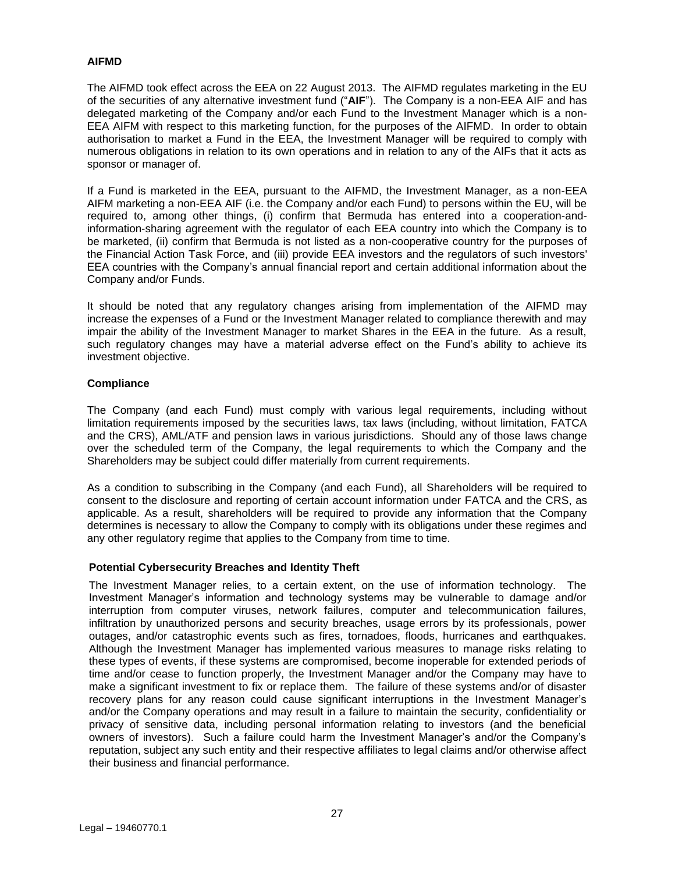## **AIFMD**

The AIFMD took effect across the EEA on 22 August 2013. The AIFMD regulates marketing in the EU of the securities of any alternative investment fund ("**AIF**"). The Company is a non-EEA AIF and has delegated marketing of the Company and/or each Fund to the Investment Manager which is a non-EEA AIFM with respect to this marketing function, for the purposes of the AIFMD. In order to obtain authorisation to market a Fund in the EEA, the Investment Manager will be required to comply with numerous obligations in relation to its own operations and in relation to any of the AIFs that it acts as sponsor or manager of.

If a Fund is marketed in the EEA, pursuant to the AIFMD, the Investment Manager, as a non-EEA AIFM marketing a non-EEA AIF (i.e. the Company and/or each Fund) to persons within the EU, will be required to, among other things, (i) confirm that Bermuda has entered into a cooperation-andinformation-sharing agreement with the regulator of each EEA country into which the Company is to be marketed, (ii) confirm that Bermuda is not listed as a non-cooperative country for the purposes of the Financial Action Task Force, and (iii) provide EEA investors and the regulators of such investors' EEA countries with the Company's annual financial report and certain additional information about the Company and/or Funds.

It should be noted that any regulatory changes arising from implementation of the AIFMD may increase the expenses of a Fund or the Investment Manager related to compliance therewith and may impair the ability of the Investment Manager to market Shares in the EEA in the future. As a result, such regulatory changes may have a material adverse effect on the Fund's ability to achieve its investment objective.

## **Compliance**

The Company (and each Fund) must comply with various legal requirements, including without limitation requirements imposed by the securities laws, tax laws (including, without limitation, FATCA and the CRS), AML/ATF and pension laws in various jurisdictions. Should any of those laws change over the scheduled term of the Company, the legal requirements to which the Company and the Shareholders may be subject could differ materially from current requirements.

As a condition to subscribing in the Company (and each Fund), all Shareholders will be required to consent to the disclosure and reporting of certain account information under FATCA and the CRS, as applicable. As a result, shareholders will be required to provide any information that the Company determines is necessary to allow the Company to comply with its obligations under these regimes and any other regulatory regime that applies to the Company from time to time.

## **Potential Cybersecurity Breaches and Identity Theft**

The Investment Manager relies, to a certain extent, on the use of information technology. The Investment Manager's information and technology systems may be vulnerable to damage and/or interruption from computer viruses, network failures, computer and telecommunication failures, infiltration by unauthorized persons and security breaches, usage errors by its professionals, power outages, and/or catastrophic events such as fires, tornadoes, floods, hurricanes and earthquakes. Although the Investment Manager has implemented various measures to manage risks relating to these types of events, if these systems are compromised, become inoperable for extended periods of time and/or cease to function properly, the Investment Manager and/or the Company may have to make a significant investment to fix or replace them. The failure of these systems and/or of disaster recovery plans for any reason could cause significant interruptions in the Investment Manager's and/or the Company operations and may result in a failure to maintain the security, confidentiality or privacy of sensitive data, including personal information relating to investors (and the beneficial owners of investors). Such a failure could harm the Investment Manager's and/or the Company's reputation, subject any such entity and their respective affiliates to legal claims and/or otherwise affect their business and financial performance.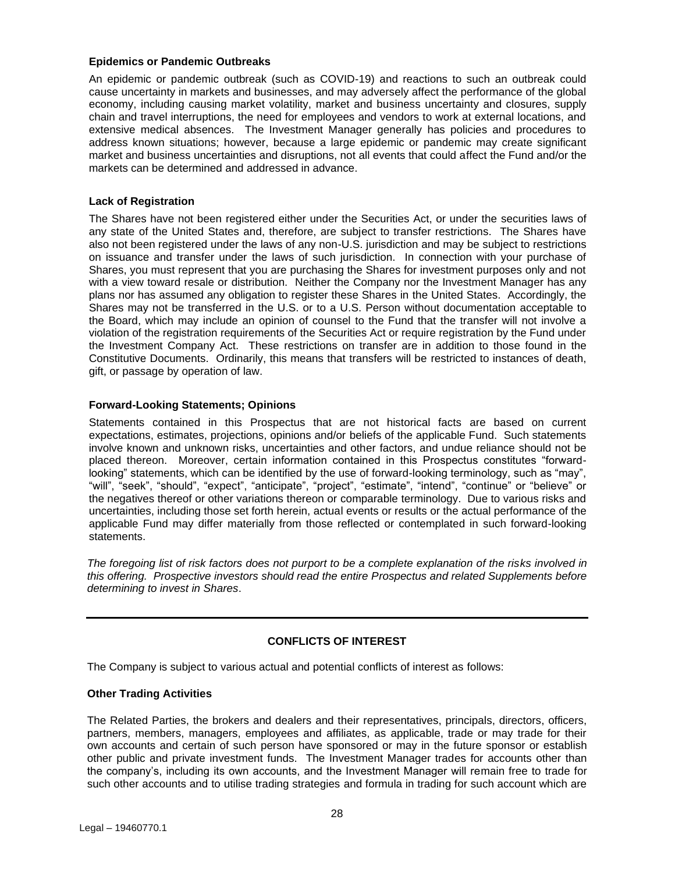## **Epidemics or Pandemic Outbreaks**

An epidemic or pandemic outbreak (such as COVID-19) and reactions to such an outbreak could cause uncertainty in markets and businesses, and may adversely affect the performance of the global economy, including causing market volatility, market and business uncertainty and closures, supply chain and travel interruptions, the need for employees and vendors to work at external locations, and extensive medical absences. The Investment Manager generally has policies and procedures to address known situations; however, because a large epidemic or pandemic may create significant market and business uncertainties and disruptions, not all events that could affect the Fund and/or the markets can be determined and addressed in advance.

## **Lack of Registration**

The Shares have not been registered either under the Securities Act, or under the securities laws of any state of the United States and, therefore, are subject to transfer restrictions. The Shares have also not been registered under the laws of any non-U.S. jurisdiction and may be subject to restrictions on issuance and transfer under the laws of such jurisdiction. In connection with your purchase of Shares, you must represent that you are purchasing the Shares for investment purposes only and not with a view toward resale or distribution. Neither the Company nor the Investment Manager has any plans nor has assumed any obligation to register these Shares in the United States. Accordingly, the Shares may not be transferred in the U.S. or to a U.S. Person without documentation acceptable to the Board, which may include an opinion of counsel to the Fund that the transfer will not involve a violation of the registration requirements of the Securities Act or require registration by the Fund under the Investment Company Act. These restrictions on transfer are in addition to those found in the Constitutive Documents. Ordinarily, this means that transfers will be restricted to instances of death, gift, or passage by operation of law.

## **Forward-Looking Statements; Opinions**

Statements contained in this Prospectus that are not historical facts are based on current expectations, estimates, projections, opinions and/or beliefs of the applicable Fund. Such statements involve known and unknown risks, uncertainties and other factors, and undue reliance should not be placed thereon. Moreover, certain information contained in this Prospectus constitutes "forwardlooking" statements, which can be identified by the use of forward-looking terminology, such as "may", "will", "seek", "should", "expect", "anticipate", "project", "estimate", "intend", "continue" or "believe" or the negatives thereof or other variations thereon or comparable terminology. Due to various risks and uncertainties, including those set forth herein, actual events or results or the actual performance of the applicable Fund may differ materially from those reflected or contemplated in such forward-looking statements.

*The foregoing list of risk factors does not purport to be a complete explanation of the risks involved in this offering. Prospective investors should read the entire Prospectus and related Supplements before determining to invest in Shares*.

## **CONFLICTS OF INTEREST**

<span id="page-27-0"></span>The Company is subject to various actual and potential conflicts of interest as follows:

## **Other Trading Activities**

The Related Parties, the brokers and dealers and their representatives, principals, directors, officers, partners, members, managers, employees and affiliates, as applicable, trade or may trade for their own accounts and certain of such person have sponsored or may in the future sponsor or establish other public and private investment funds. The Investment Manager trades for accounts other than the company's, including its own accounts, and the Investment Manager will remain free to trade for such other accounts and to utilise trading strategies and formula in trading for such account which are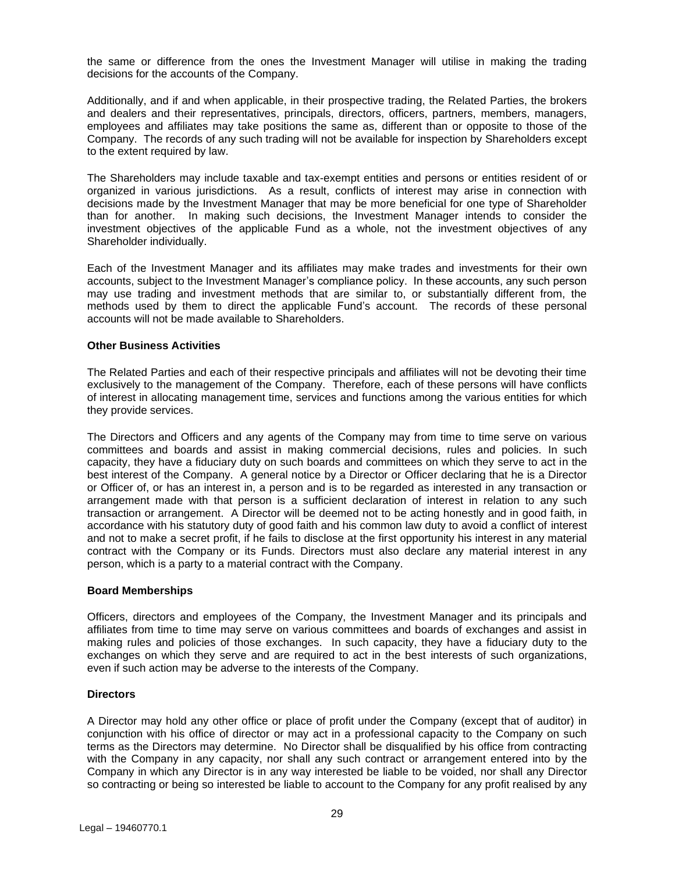the same or difference from the ones the Investment Manager will utilise in making the trading decisions for the accounts of the Company.

Additionally, and if and when applicable, in their prospective trading, the Related Parties, the brokers and dealers and their representatives, principals, directors, officers, partners, members, managers, employees and affiliates may take positions the same as, different than or opposite to those of the Company. The records of any such trading will not be available for inspection by Shareholders except to the extent required by law.

The Shareholders may include taxable and tax-exempt entities and persons or entities resident of or organized in various jurisdictions. As a result, conflicts of interest may arise in connection with decisions made by the Investment Manager that may be more beneficial for one type of Shareholder than for another. In making such decisions, the Investment Manager intends to consider the investment objectives of the applicable Fund as a whole, not the investment objectives of any Shareholder individually.

Each of the Investment Manager and its affiliates may make trades and investments for their own accounts, subject to the Investment Manager's compliance policy. In these accounts, any such person may use trading and investment methods that are similar to, or substantially different from, the methods used by them to direct the applicable Fund's account. The records of these personal accounts will not be made available to Shareholders.

## **Other Business Activities**

The Related Parties and each of their respective principals and affiliates will not be devoting their time exclusively to the management of the Company. Therefore, each of these persons will have conflicts of interest in allocating management time, services and functions among the various entities for which they provide services.

The Directors and Officers and any agents of the Company may from time to time serve on various committees and boards and assist in making commercial decisions, rules and policies. In such capacity, they have a fiduciary duty on such boards and committees on which they serve to act in the best interest of the Company. A general notice by a Director or Officer declaring that he is a Director or Officer of, or has an interest in, a person and is to be regarded as interested in any transaction or arrangement made with that person is a sufficient declaration of interest in relation to any such transaction or arrangement. A Director will be deemed not to be acting honestly and in good faith, in accordance with his statutory duty of good faith and his common law duty to avoid a conflict of interest and not to make a secret profit, if he fails to disclose at the first opportunity his interest in any material contract with the Company or its Funds. Directors must also declare any material interest in any person, which is a party to a material contract with the Company.

#### **Board Memberships**

Officers, directors and employees of the Company, the Investment Manager and its principals and affiliates from time to time may serve on various committees and boards of exchanges and assist in making rules and policies of those exchanges. In such capacity, they have a fiduciary duty to the exchanges on which they serve and are required to act in the best interests of such organizations, even if such action may be adverse to the interests of the Company.

## **Directors**

A Director may hold any other office or place of profit under the Company (except that of auditor) in conjunction with his office of director or may act in a professional capacity to the Company on such terms as the Directors may determine. No Director shall be disqualified by his office from contracting with the Company in any capacity, nor shall any such contract or arrangement entered into by the Company in which any Director is in any way interested be liable to be voided, nor shall any Director so contracting or being so interested be liable to account to the Company for any profit realised by any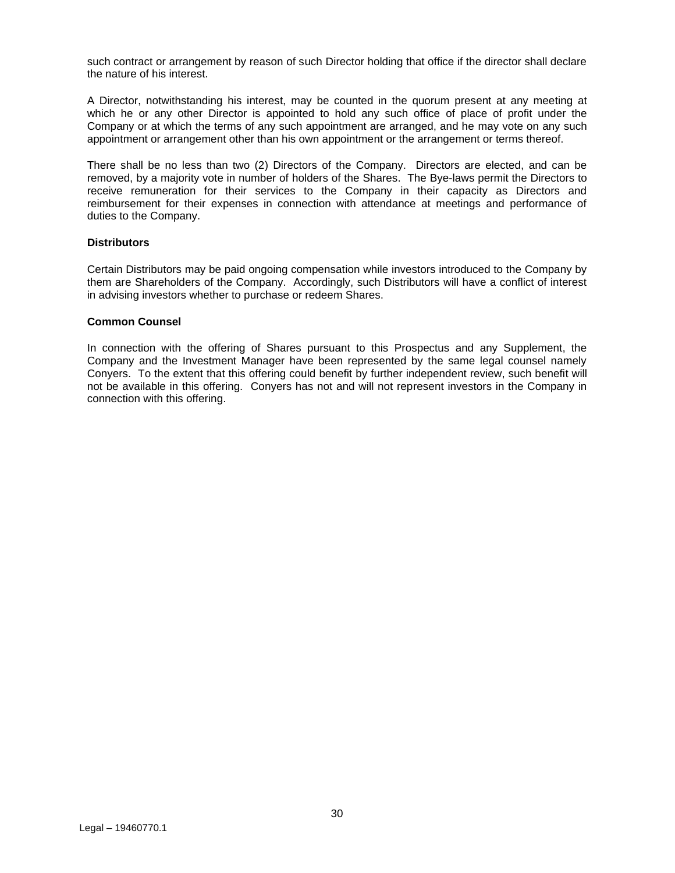such contract or arrangement by reason of such Director holding that office if the director shall declare the nature of his interest.

A Director, notwithstanding his interest, may be counted in the quorum present at any meeting at which he or any other Director is appointed to hold any such office of place of profit under the Company or at which the terms of any such appointment are arranged, and he may vote on any such appointment or arrangement other than his own appointment or the arrangement or terms thereof.

There shall be no less than two (2) Directors of the Company. Directors are elected, and can be removed, by a majority vote in number of holders of the Shares. The Bye-laws permit the Directors to receive remuneration for their services to the Company in their capacity as Directors and reimbursement for their expenses in connection with attendance at meetings and performance of duties to the Company.

## **Distributors**

Certain Distributors may be paid ongoing compensation while investors introduced to the Company by them are Shareholders of the Company. Accordingly, such Distributors will have a conflict of interest in advising investors whether to purchase or redeem Shares.

#### **Common Counsel**

In connection with the offering of Shares pursuant to this Prospectus and any Supplement, the Company and the Investment Manager have been represented by the same legal counsel namely Conyers. To the extent that this offering could benefit by further independent review, such benefit will not be available in this offering. Conyers has not and will not represent investors in the Company in connection with this offering.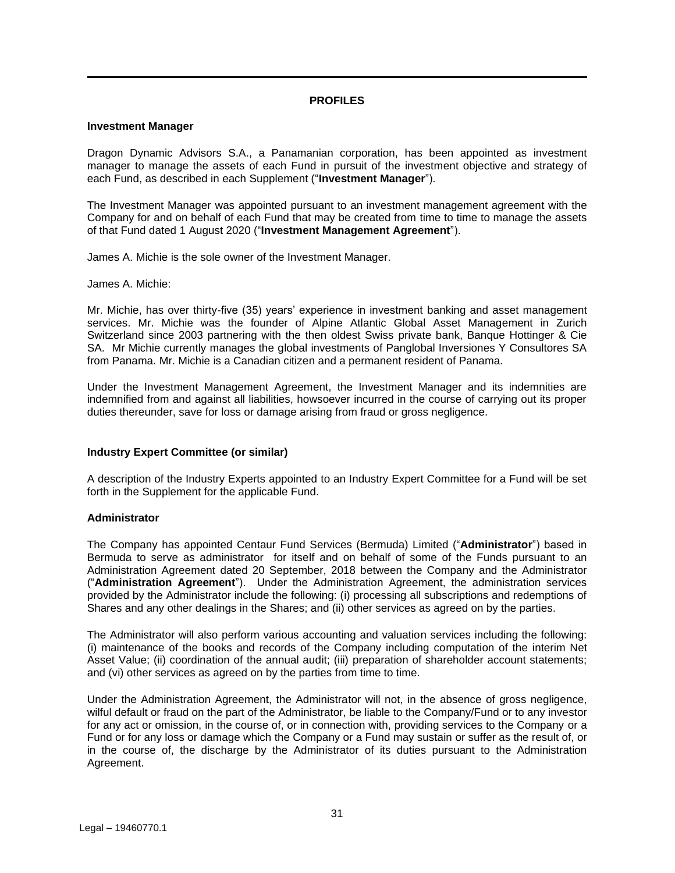## **PROFILES**

## <span id="page-30-0"></span>**Investment Manager**

Dragon Dynamic Advisors S.A., a Panamanian corporation, has been appointed as investment manager to manage the assets of each Fund in pursuit of the investment objective and strategy of each Fund, as described in each Supplement ("**Investment Manager**").

The Investment Manager was appointed pursuant to an investment management agreement with the Company for and on behalf of each Fund that may be created from time to time to manage the assets of that Fund dated 1 August 2020 ("**Investment Management Agreement**").

James A. Michie is the sole owner of the Investment Manager.

James A. Michie:

Mr. Michie, has over thirty-five (35) years' experience in investment banking and asset management services. Mr. Michie was the founder of Alpine Atlantic Global Asset Management in Zurich Switzerland since 2003 partnering with the then oldest Swiss private bank, Banque Hottinger & Cie SA. Mr Michie currently manages the global investments of Panglobal Inversiones Y Consultores SA from Panama. Mr. Michie is a Canadian citizen and a permanent resident of Panama.

Under the Investment Management Agreement, the Investment Manager and its indemnities are indemnified from and against all liabilities, howsoever incurred in the course of carrying out its proper duties thereunder, save for loss or damage arising from fraud or gross negligence.

## **Industry Expert Committee (or similar)**

A description of the Industry Experts appointed to an Industry Expert Committee for a Fund will be set forth in the Supplement for the applicable Fund.

## **Administrator**

The Company has appointed Centaur Fund Services (Bermuda) Limited ("**Administrator**") based in Bermuda to serve as administrator for itself and on behalf of some of the Funds pursuant to an Administration Agreement dated 20 September, 2018 between the Company and the Administrator ("**Administration Agreement**"). Under the Administration Agreement, the administration services provided by the Administrator include the following: (i) processing all subscriptions and redemptions of Shares and any other dealings in the Shares; and (ii) other services as agreed on by the parties.

The Administrator will also perform various accounting and valuation services including the following: (i) maintenance of the books and records of the Company including computation of the interim Net Asset Value; (ii) coordination of the annual audit; (iii) preparation of shareholder account statements; and (vi) other services as agreed on by the parties from time to time.

Under the Administration Agreement, the Administrator will not, in the absence of gross negligence, wilful default or fraud on the part of the Administrator, be liable to the Company/Fund or to any investor for any act or omission, in the course of, or in connection with, providing services to the Company or a Fund or for any loss or damage which the Company or a Fund may sustain or suffer as the result of, or in the course of, the discharge by the Administrator of its duties pursuant to the Administration Agreement.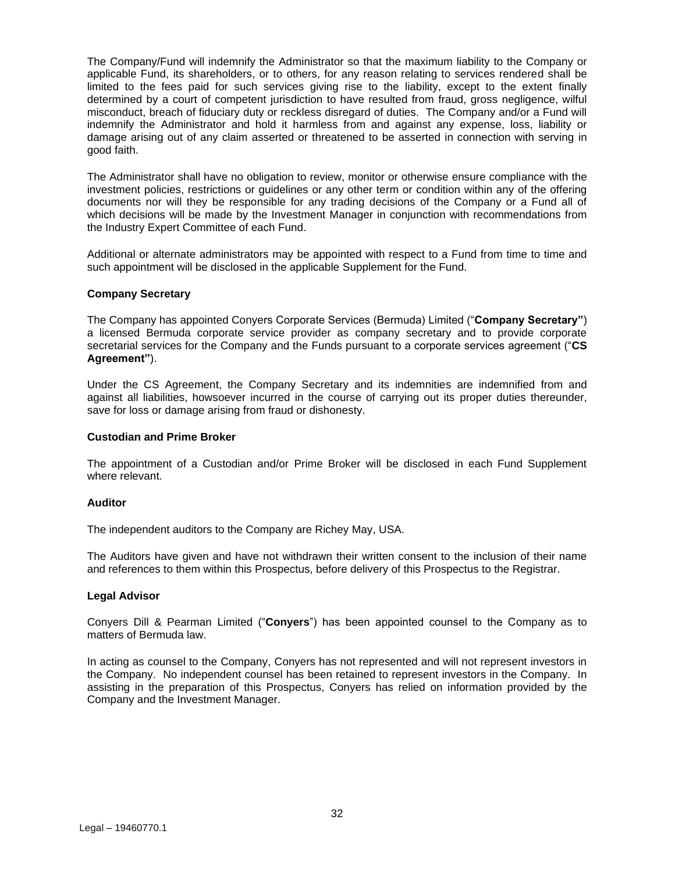The Company/Fund will indemnify the Administrator so that the maximum liability to the Company or applicable Fund, its shareholders, or to others, for any reason relating to services rendered shall be limited to the fees paid for such services giving rise to the liability, except to the extent finally determined by a court of competent jurisdiction to have resulted from fraud, gross negligence, wilful misconduct, breach of fiduciary duty or reckless disregard of duties. The Company and/or a Fund will indemnify the Administrator and hold it harmless from and against any expense, loss, liability or damage arising out of any claim asserted or threatened to be asserted in connection with serving in good faith.

The Administrator shall have no obligation to review, monitor or otherwise ensure compliance with the investment policies, restrictions or guidelines or any other term or condition within any of the offering documents nor will they be responsible for any trading decisions of the Company or a Fund all of which decisions will be made by the Investment Manager in conjunction with recommendations from the Industry Expert Committee of each Fund.

Additional or alternate administrators may be appointed with respect to a Fund from time to time and such appointment will be disclosed in the applicable Supplement for the Fund.

#### **Company Secretary**

The Company has appointed Conyers Corporate Services (Bermuda) Limited ("**Company Secretary"**) a licensed Bermuda corporate service provider as company secretary and to provide corporate secretarial services for the Company and the Funds pursuant to a corporate services agreement ("**CS Agreement"**).

Under the CS Agreement, the Company Secretary and its indemnities are indemnified from and against all liabilities, howsoever incurred in the course of carrying out its proper duties thereunder, save for loss or damage arising from fraud or dishonesty.

#### **Custodian and Prime Broker**

The appointment of a Custodian and/or Prime Broker will be disclosed in each Fund Supplement where relevant.

#### **Auditor**

The independent auditors to the Company are Richey May, USA.

The Auditors have given and have not withdrawn their written consent to the inclusion of their name and references to them within this Prospectus, before delivery of this Prospectus to the Registrar.

#### **Legal Advisor**

Conyers Dill & Pearman Limited ("**Conyers**") has been appointed counsel to the Company as to matters of Bermuda law.

In acting as counsel to the Company, Conyers has not represented and will not represent investors in the Company. No independent counsel has been retained to represent investors in the Company. In assisting in the preparation of this Prospectus, Conyers has relied on information provided by the Company and the Investment Manager.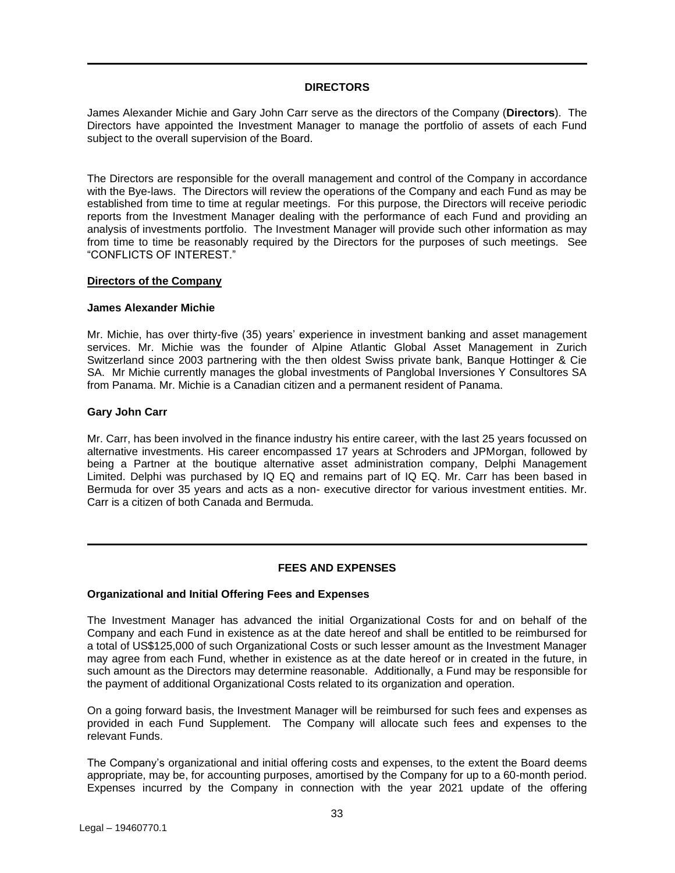## **DIRECTORS**

<span id="page-32-0"></span>James Alexander Michie and Gary John Carr serve as the directors of the Company (**Directors**). The Directors have appointed the Investment Manager to manage the portfolio of assets of each Fund subject to the overall supervision of the Board.

The Directors are responsible for the overall management and control of the Company in accordance with the Bye-laws. The Directors will review the operations of the Company and each Fund as may be established from time to time at regular meetings. For this purpose, the Directors will receive periodic reports from the Investment Manager dealing with the performance of each Fund and providing an analysis of investments portfolio. The Investment Manager will provide such other information as may from time to time be reasonably required by the Directors for the purposes of such meetings. See "CONFLICTS OF INTEREST."

#### **Directors of the Company**

#### **James Alexander Michie**

Mr. Michie, has over thirty-five (35) years' experience in investment banking and asset management services. Mr. Michie was the founder of Alpine Atlantic Global Asset Management in Zurich Switzerland since 2003 partnering with the then oldest Swiss private bank, Banque Hottinger & Cie SA. Mr Michie currently manages the global investments of Panglobal Inversiones Y Consultores SA from Panama. Mr. Michie is a Canadian citizen and a permanent resident of Panama.

#### **Gary John Carr**

Mr. Carr, has been involved in the finance industry his entire career, with the last 25 years focussed on alternative investments. His career encompassed 17 years at Schroders and JPMorgan, followed by being a Partner at the boutique alternative asset administration company, Delphi Management Limited. Delphi was purchased by IQ EQ and remains part of IQ EQ. Mr. Carr has been based in Bermuda for over 35 years and acts as a non- executive director for various investment entities. Mr. Carr is a citizen of both Canada and Bermuda.

## **FEES AND EXPENSES**

## <span id="page-32-1"></span>**Organizational and Initial Offering Fees and Expenses**

The Investment Manager has advanced the initial Organizational Costs for and on behalf of the Company and each Fund in existence as at the date hereof and shall be entitled to be reimbursed for a total of US\$125,000 of such Organizational Costs or such lesser amount as the Investment Manager may agree from each Fund, whether in existence as at the date hereof or in created in the future, in such amount as the Directors may determine reasonable. Additionally, a Fund may be responsible for the payment of additional Organizational Costs related to its organization and operation.

On a going forward basis, the Investment Manager will be reimbursed for such fees and expenses as provided in each Fund Supplement. The Company will allocate such fees and expenses to the relevant Funds.

The Company's organizational and initial offering costs and expenses, to the extent the Board deems appropriate, may be, for accounting purposes, amortised by the Company for up to a 60-month period. Expenses incurred by the Company in connection with the year 2021 update of the offering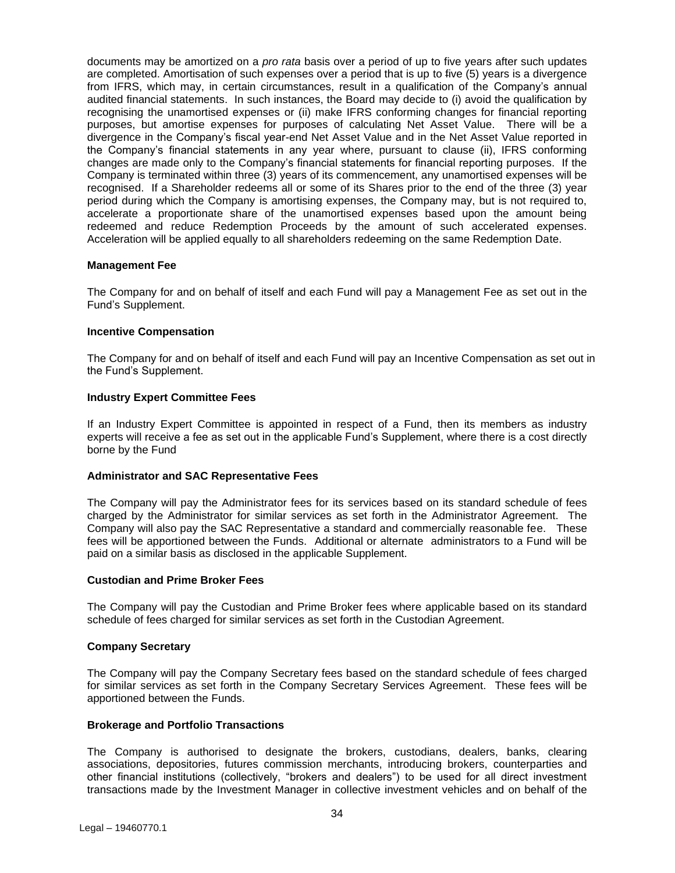documents may be amortized on a *pro rata* basis over a period of up to five years after such updates are completed. Amortisation of such expenses over a period that is up to five (5) years is a divergence from IFRS, which may, in certain circumstances, result in a qualification of the Company's annual audited financial statements. In such instances, the Board may decide to (i) avoid the qualification by recognising the unamortised expenses or (ii) make IFRS conforming changes for financial reporting purposes, but amortise expenses for purposes of calculating Net Asset Value. There will be a divergence in the Company's fiscal year-end Net Asset Value and in the Net Asset Value reported in the Company's financial statements in any year where, pursuant to clause (ii), IFRS conforming changes are made only to the Company's financial statements for financial reporting purposes. If the Company is terminated within three (3) years of its commencement, any unamortised expenses will be recognised. If a Shareholder redeems all or some of its Shares prior to the end of the three (3) year period during which the Company is amortising expenses, the Company may, but is not required to, accelerate a proportionate share of the unamortised expenses based upon the amount being redeemed and reduce Redemption Proceeds by the amount of such accelerated expenses. Acceleration will be applied equally to all shareholders redeeming on the same Redemption Date.

## **Management Fee**

The Company for and on behalf of itself and each Fund will pay a Management Fee as set out in the Fund's Supplement.

#### **Incentive Compensation**

The Company for and on behalf of itself and each Fund will pay an Incentive Compensation as set out in the Fund's Supplement.

#### **Industry Expert Committee Fees**

If an Industry Expert Committee is appointed in respect of a Fund, then its members as industry experts will receive a fee as set out in the applicable Fund's Supplement, where there is a cost directly borne by the Fund

#### **Administrator and SAC Representative Fees**

The Company will pay the Administrator fees for its services based on its standard schedule of fees charged by the Administrator for similar services as set forth in the Administrator Agreement. The Company will also pay the SAC Representative a standard and commercially reasonable fee. These fees will be apportioned between the Funds. Additional or alternate administrators to a Fund will be paid on a similar basis as disclosed in the applicable Supplement.

#### **Custodian and Prime Broker Fees**

The Company will pay the Custodian and Prime Broker fees where applicable based on its standard schedule of fees charged for similar services as set forth in the Custodian Agreement.

#### **Company Secretary**

The Company will pay the Company Secretary fees based on the standard schedule of fees charged for similar services as set forth in the Company Secretary Services Agreement. These fees will be apportioned between the Funds.

#### **Brokerage and Portfolio Transactions**

The Company is authorised to designate the brokers, custodians, dealers, banks, clearing associations, depositories, futures commission merchants, introducing brokers, counterparties and other financial institutions (collectively, "brokers and dealers") to be used for all direct investment transactions made by the Investment Manager in collective investment vehicles and on behalf of the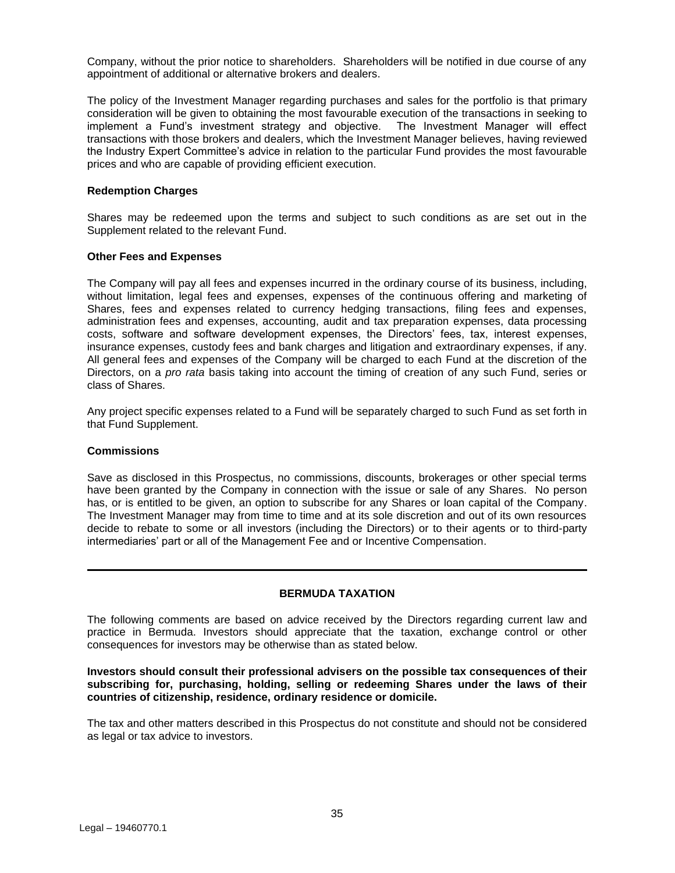Company, without the prior notice to shareholders. Shareholders will be notified in due course of any appointment of additional or alternative brokers and dealers.

The policy of the Investment Manager regarding purchases and sales for the portfolio is that primary consideration will be given to obtaining the most favourable execution of the transactions in seeking to implement a Fund's investment strategy and objective. The Investment Manager will effect transactions with those brokers and dealers, which the Investment Manager believes, having reviewed the Industry Expert Committee's advice in relation to the particular Fund provides the most favourable prices and who are capable of providing efficient execution.

#### **Redemption Charges**

Shares may be redeemed upon the terms and subject to such conditions as are set out in the Supplement related to the relevant Fund.

#### **Other Fees and Expenses**

The Company will pay all fees and expenses incurred in the ordinary course of its business, including, without limitation, legal fees and expenses, expenses of the continuous offering and marketing of Shares, fees and expenses related to currency hedging transactions, filing fees and expenses, administration fees and expenses, accounting, audit and tax preparation expenses, data processing costs, software and software development expenses, the Directors' fees, tax, interest expenses, insurance expenses, custody fees and bank charges and litigation and extraordinary expenses, if any. All general fees and expenses of the Company will be charged to each Fund at the discretion of the Directors, on a *pro rata* basis taking into account the timing of creation of any such Fund, series or class of Shares.

Any project specific expenses related to a Fund will be separately charged to such Fund as set forth in that Fund Supplement.

#### **Commissions**

Save as disclosed in this Prospectus, no commissions, discounts, brokerages or other special terms have been granted by the Company in connection with the issue or sale of any Shares. No person has, or is entitled to be given, an option to subscribe for any Shares or loan capital of the Company. The Investment Manager may from time to time and at its sole discretion and out of its own resources decide to rebate to some or all investors (including the Directors) or to their agents or to third-party intermediaries' part or all of the Management Fee and or Incentive Compensation.

## **BERMUDA TAXATION**

<span id="page-34-0"></span>The following comments are based on advice received by the Directors regarding current law and practice in Bermuda. Investors should appreciate that the taxation, exchange control or other consequences for investors may be otherwise than as stated below.

#### **Investors should consult their professional advisers on the possible tax consequences of their subscribing for, purchasing, holding, selling or redeeming Shares under the laws of their countries of citizenship, residence, ordinary residence or domicile.**

The tax and other matters described in this Prospectus do not constitute and should not be considered as legal or tax advice to investors.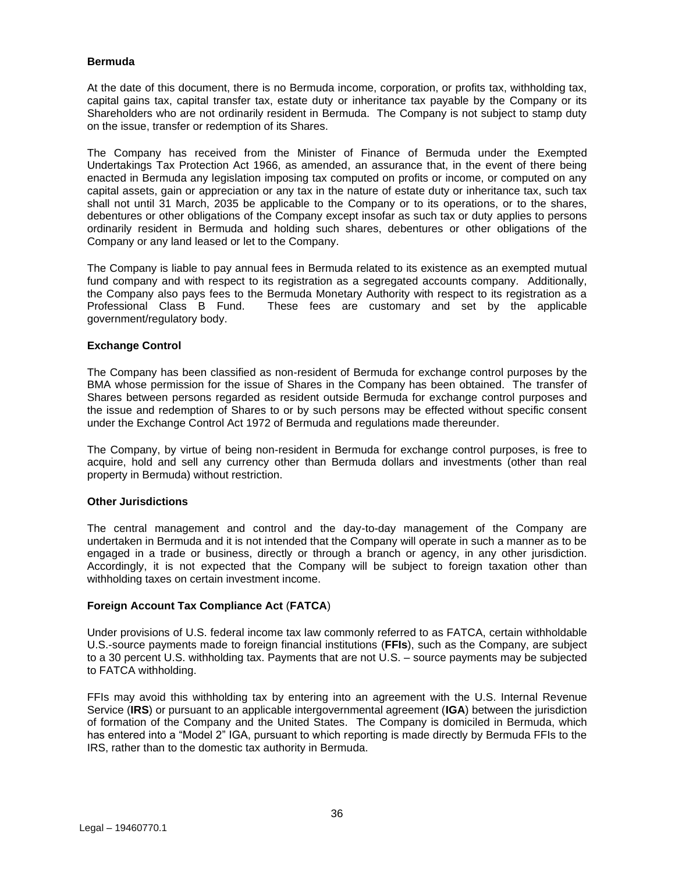## **Bermuda**

At the date of this document, there is no Bermuda income, corporation, or profits tax, withholding tax, capital gains tax, capital transfer tax, estate duty or inheritance tax payable by the Company or its Shareholders who are not ordinarily resident in Bermuda. The Company is not subject to stamp duty on the issue, transfer or redemption of its Shares.

The Company has received from the Minister of Finance of Bermuda under the Exempted Undertakings Tax Protection Act 1966, as amended, an assurance that, in the event of there being enacted in Bermuda any legislation imposing tax computed on profits or income, or computed on any capital assets, gain or appreciation or any tax in the nature of estate duty or inheritance tax, such tax shall not until 31 March, 2035 be applicable to the Company or to its operations, or to the shares, debentures or other obligations of the Company except insofar as such tax or duty applies to persons ordinarily resident in Bermuda and holding such shares, debentures or other obligations of the Company or any land leased or let to the Company.

The Company is liable to pay annual fees in Bermuda related to its existence as an exempted mutual fund company and with respect to its registration as a segregated accounts company. Additionally, the Company also pays fees to the Bermuda Monetary Authority with respect to its registration as a Professional Class B Fund. These fees are customary and set by the applicable government/regulatory body.

## **Exchange Control**

The Company has been classified as non-resident of Bermuda for exchange control purposes by the BMA whose permission for the issue of Shares in the Company has been obtained. The transfer of Shares between persons regarded as resident outside Bermuda for exchange control purposes and the issue and redemption of Shares to or by such persons may be effected without specific consent under the Exchange Control Act 1972 of Bermuda and regulations made thereunder.

The Company, by virtue of being non-resident in Bermuda for exchange control purposes, is free to acquire, hold and sell any currency other than Bermuda dollars and investments (other than real property in Bermuda) without restriction.

## **Other Jurisdictions**

The central management and control and the day-to-day management of the Company are undertaken in Bermuda and it is not intended that the Company will operate in such a manner as to be engaged in a trade or business, directly or through a branch or agency, in any other jurisdiction. Accordingly, it is not expected that the Company will be subject to foreign taxation other than withholding taxes on certain investment income.

## **Foreign Account Tax Compliance Act** (**FATCA**)

Under provisions of U.S. federal income tax law commonly referred to as FATCA, certain withholdable U.S.-source payments made to foreign financial institutions (**FFIs**), such as the Company, are subject to a 30 percent U.S. withholding tax. Payments that are not U.S. – source payments may be subjected to FATCA withholding.

FFIs may avoid this withholding tax by entering into an agreement with the U.S. Internal Revenue Service (**IRS**) or pursuant to an applicable intergovernmental agreement (**IGA**) between the jurisdiction of formation of the Company and the United States. The Company is domiciled in Bermuda, which has entered into a "Model 2" IGA, pursuant to which reporting is made directly by Bermuda FFIs to the IRS, rather than to the domestic tax authority in Bermuda.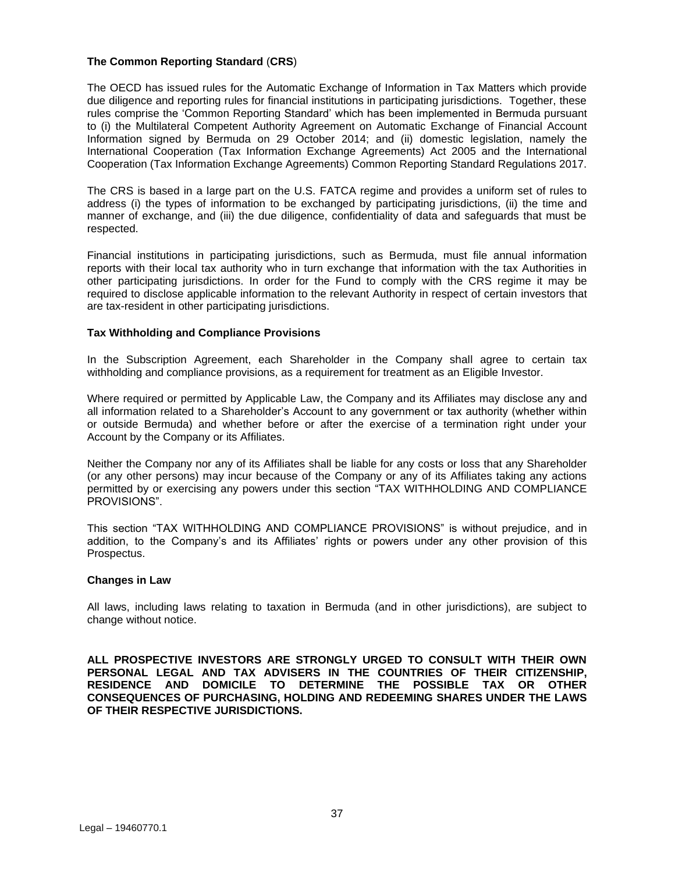## **The Common Reporting Standard** (**CRS**)

The OECD has issued rules for the Automatic Exchange of Information in Tax Matters which provide due diligence and reporting rules for financial institutions in participating jurisdictions. Together, these rules comprise the 'Common Reporting Standard' which has been implemented in Bermuda pursuant to (i) the Multilateral Competent Authority Agreement on Automatic Exchange of Financial Account Information signed by Bermuda on 29 October 2014; and (ii) domestic legislation, namely the International Cooperation (Tax Information Exchange Agreements) Act 2005 and the International Cooperation (Tax Information Exchange Agreements) Common Reporting Standard Regulations 2017.

The CRS is based in a large part on the U.S. FATCA regime and provides a uniform set of rules to address (i) the types of information to be exchanged by participating jurisdictions, (ii) the time and manner of exchange, and (iii) the due diligence, confidentiality of data and safeguards that must be respected.

Financial institutions in participating jurisdictions, such as Bermuda, must file annual information reports with their local tax authority who in turn exchange that information with the tax Authorities in other participating jurisdictions. In order for the Fund to comply with the CRS regime it may be required to disclose applicable information to the relevant Authority in respect of certain investors that are tax-resident in other participating jurisdictions.

## **Tax Withholding and Compliance Provisions**

In the Subscription Agreement, each Shareholder in the Company shall agree to certain tax withholding and compliance provisions, as a requirement for treatment as an Eligible Investor.

Where required or permitted by Applicable Law, the Company and its Affiliates may disclose any and all information related to a Shareholder's Account to any government or tax authority (whether within or outside Bermuda) and whether before or after the exercise of a termination right under your Account by the Company or its Affiliates.

Neither the Company nor any of its Affiliates shall be liable for any costs or loss that any Shareholder (or any other persons) may incur because of the Company or any of its Affiliates taking any actions permitted by or exercising any powers under this section "TAX WITHHOLDING AND COMPLIANCE PROVISIONS".

This section "TAX WITHHOLDING AND COMPLIANCE PROVISIONS" is without prejudice, and in addition, to the Company's and its Affiliates' rights or powers under any other provision of this Prospectus.

## **Changes in Law**

All laws, including laws relating to taxation in Bermuda (and in other jurisdictions), are subject to change without notice.

**ALL PROSPECTIVE INVESTORS ARE STRONGLY URGED TO CONSULT WITH THEIR OWN PERSONAL LEGAL AND TAX ADVISERS IN THE COUNTRIES OF THEIR CITIZENSHIP, RESIDENCE AND DOMICILE TO DETERMINE THE POSSIBLE TAX OR OTHER CONSEQUENCES OF PURCHASING, HOLDING AND REDEEMING SHARES UNDER THE LAWS OF THEIR RESPECTIVE JURISDICTIONS.**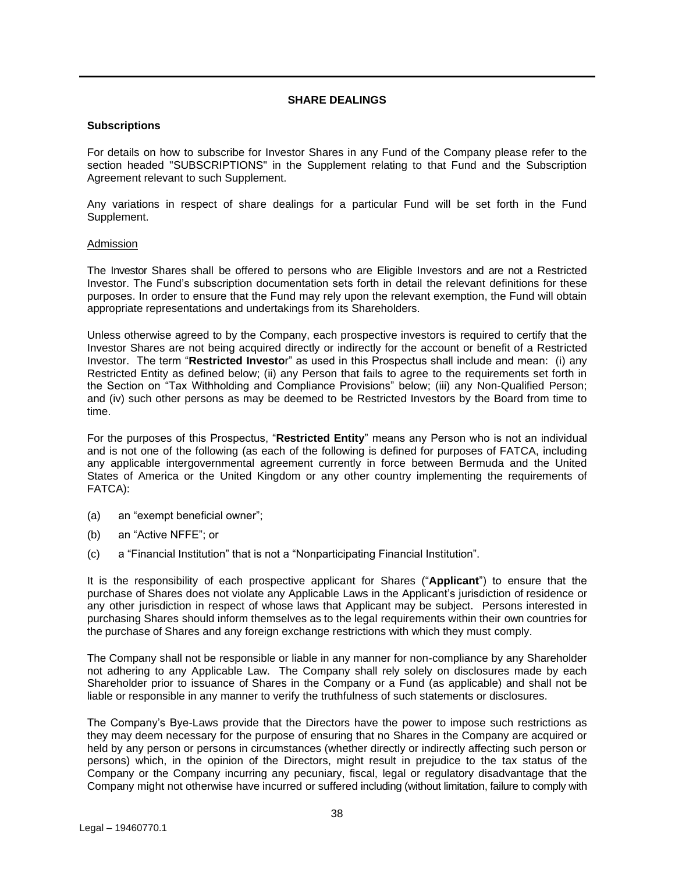## **SHARE DEALINGS**

## <span id="page-37-0"></span>**Subscriptions**

For details on how to subscribe for Investor Shares in any Fund of the Company please refer to the section headed "SUBSCRIPTIONS" in the Supplement relating to that Fund and the Subscription Agreement relevant to such Supplement.

Any variations in respect of share dealings for a particular Fund will be set forth in the Fund Supplement.

#### Admission

The Investor Shares shall be offered to persons who are Eligible Investors and are not a Restricted Investor. The Fund's subscription documentation sets forth in detail the relevant definitions for these purposes. In order to ensure that the Fund may rely upon the relevant exemption, the Fund will obtain appropriate representations and undertakings from its Shareholders.

Unless otherwise agreed to by the Company, each prospective investors is required to certify that the Investor Shares are not being acquired directly or indirectly for the account or benefit of a Restricted Investor. The term "**Restricted Investo**r" as used in this Prospectus shall include and mean: (i) any Restricted Entity as defined below; (ii) any Person that fails to agree to the requirements set forth in the Section on "Tax Withholding and Compliance Provisions" below; (iii) any Non-Qualified Person; and (iv) such other persons as may be deemed to be Restricted Investors by the Board from time to time.

For the purposes of this Prospectus, "**Restricted Entity**" means any Person who is not an individual and is not one of the following (as each of the following is defined for purposes of FATCA, including any applicable intergovernmental agreement currently in force between Bermuda and the United States of America or the United Kingdom or any other country implementing the requirements of FATCA):

- (a) an "exempt beneficial owner";
- (b) an "Active NFFE"; or
- (c) a "Financial Institution" that is not a "Nonparticipating Financial Institution".

It is the responsibility of each prospective applicant for Shares ("**Applicant**") to ensure that the purchase of Shares does not violate any Applicable Laws in the Applicant's jurisdiction of residence or any other jurisdiction in respect of whose laws that Applicant may be subject. Persons interested in purchasing Shares should inform themselves as to the legal requirements within their own countries for the purchase of Shares and any foreign exchange restrictions with which they must comply.

The Company shall not be responsible or liable in any manner for non-compliance by any Shareholder not adhering to any Applicable Law. The Company shall rely solely on disclosures made by each Shareholder prior to issuance of Shares in the Company or a Fund (as applicable) and shall not be liable or responsible in any manner to verify the truthfulness of such statements or disclosures.

The Company's Bye-Laws provide that the Directors have the power to impose such restrictions as they may deem necessary for the purpose of ensuring that no Shares in the Company are acquired or held by any person or persons in circumstances (whether directly or indirectly affecting such person or persons) which, in the opinion of the Directors, might result in prejudice to the tax status of the Company or the Company incurring any pecuniary, fiscal, legal or regulatory disadvantage that the Company might not otherwise have incurred or suffered including (without limitation, failure to comply with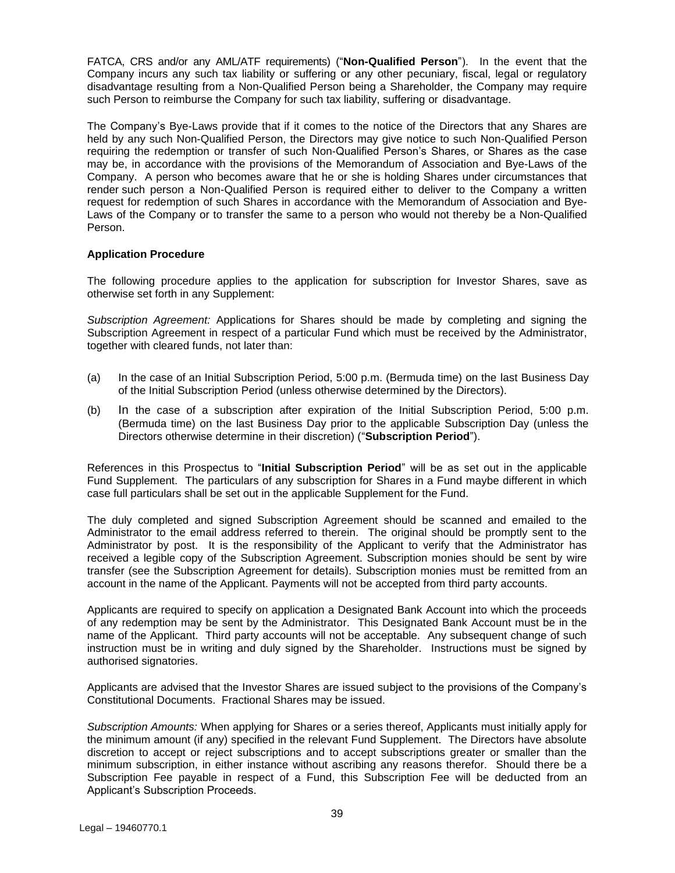FATCA, CRS and/or any AML/ATF requirements) ("**Non-Qualified Person**"). In the event that the Company incurs any such tax liability or suffering or any other pecuniary, fiscal, legal or regulatory disadvantage resulting from a Non-Qualified Person being a Shareholder, the Company may require such Person to reimburse the Company for such tax liability, suffering or disadvantage.

The Company's Bye-Laws provide that if it comes to the notice of the Directors that any Shares are held by any such Non-Qualified Person, the Directors may give notice to such Non-Qualified Person requiring the redemption or transfer of such Non-Qualified Person's Shares, or Shares as the case may be, in accordance with the provisions of the Memorandum of Association and Bye-Laws of the Company. A person who becomes aware that he or she is holding Shares under circumstances that render such person a Non-Qualified Person is required either to deliver to the Company a written request for redemption of such Shares in accordance with the Memorandum of Association and Bye-Laws of the Company or to transfer the same to a person who would not thereby be a Non-Qualified Person.

## **Application Procedure**

The following procedure applies to the application for subscription for Investor Shares, save as otherwise set forth in any Supplement:

*Subscription Agreement:* Applications for Shares should be made by completing and signing the Subscription Agreement in respect of a particular Fund which must be received by the Administrator, together with cleared funds, not later than:

- (a) In the case of an Initial Subscription Period, 5:00 p.m. (Bermuda time) on the last Business Day of the Initial Subscription Period (unless otherwise determined by the Directors).
- (b) In the case of a subscription after expiration of the Initial Subscription Period, 5:00 p.m. (Bermuda time) on the last Business Day prior to the applicable Subscription Day (unless the Directors otherwise determine in their discretion) ("**Subscription Period**").

References in this Prospectus to "**Initial Subscription Period**" will be as set out in the applicable Fund Supplement. The particulars of any subscription for Shares in a Fund maybe different in which case full particulars shall be set out in the applicable Supplement for the Fund.

The duly completed and signed Subscription Agreement should be scanned and emailed to the Administrator to the email address referred to therein. The original should be promptly sent to the Administrator by post. It is the responsibility of the Applicant to verify that the Administrator has received a legible copy of the Subscription Agreement. Subscription monies should be sent by wire transfer (see the Subscription Agreement for details). Subscription monies must be remitted from an account in the name of the Applicant. Payments will not be accepted from third party accounts.

Applicants are required to specify on application a Designated Bank Account into which the proceeds of any redemption may be sent by the Administrator. This Designated Bank Account must be in the name of the Applicant. Third party accounts will not be acceptable. Any subsequent change of such instruction must be in writing and duly signed by the Shareholder. Instructions must be signed by authorised signatories.

Applicants are advised that the Investor Shares are issued subject to the provisions of the Company's Constitutional Documents. Fractional Shares may be issued.

*Subscription Amounts:* When applying for Shares or a series thereof, Applicants must initially apply for the minimum amount (if any) specified in the relevant Fund Supplement. The Directors have absolute discretion to accept or reject subscriptions and to accept subscriptions greater or smaller than the minimum subscription, in either instance without ascribing any reasons therefor. Should there be a Subscription Fee payable in respect of a Fund, this Subscription Fee will be deducted from an Applicant's Subscription Proceeds.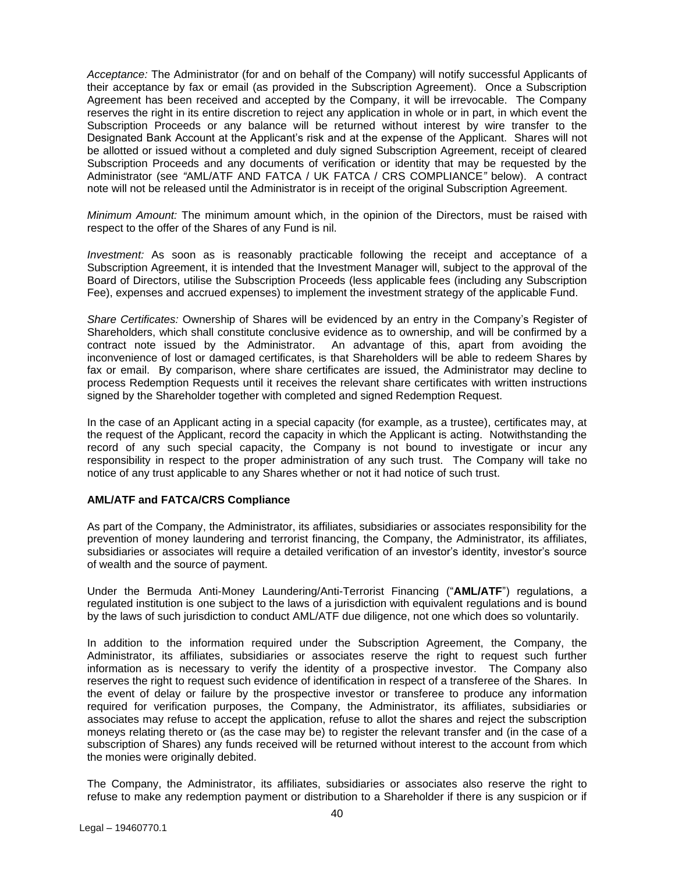*Acceptance:* The Administrator (for and on behalf of the Company) will notify successful Applicants of their acceptance by fax or email (as provided in the Subscription Agreement). Once a Subscription Agreement has been received and accepted by the Company, it will be irrevocable. The Company reserves the right in its entire discretion to reject any application in whole or in part, in which event the Subscription Proceeds or any balance will be returned without interest by wire transfer to the Designated Bank Account at the Applicant's risk and at the expense of the Applicant. Shares will not be allotted or issued without a completed and duly signed Subscription Agreement, receipt of cleared Subscription Proceeds and any documents of verification or identity that may be requested by the Administrator (see *"*AML/ATF AND FATCA / UK FATCA / CRS COMPLIANCE*"* below). A contract note will not be released until the Administrator is in receipt of the original Subscription Agreement.

*Minimum Amount:* The minimum amount which, in the opinion of the Directors, must be raised with respect to the offer of the Shares of any Fund is nil.

*Investment:* As soon as is reasonably practicable following the receipt and acceptance of a Subscription Agreement, it is intended that the Investment Manager will, subject to the approval of the Board of Directors, utilise the Subscription Proceeds (less applicable fees (including any Subscription Fee), expenses and accrued expenses) to implement the investment strategy of the applicable Fund.

*Share Certificates:* Ownership of Shares will be evidenced by an entry in the Company's Register of Shareholders, which shall constitute conclusive evidence as to ownership, and will be confirmed by a contract note issued by the Administrator. An advantage of this, apart from avoiding the inconvenience of lost or damaged certificates, is that Shareholders will be able to redeem Shares by fax or email. By comparison, where share certificates are issued, the Administrator may decline to process Redemption Requests until it receives the relevant share certificates with written instructions signed by the Shareholder together with completed and signed Redemption Request.

In the case of an Applicant acting in a special capacity (for example, as a trustee), certificates may, at the request of the Applicant, record the capacity in which the Applicant is acting. Notwithstanding the record of any such special capacity, the Company is not bound to investigate or incur any responsibility in respect to the proper administration of any such trust. The Company will take no notice of any trust applicable to any Shares whether or not it had notice of such trust.

## **AML/ATF and FATCA/CRS Compliance**

As part of the Company, the Administrator, its affiliates, subsidiaries or associates responsibility for the prevention of money laundering and terrorist financing, the Company, the Administrator, its affiliates, subsidiaries or associates will require a detailed verification of an investor's identity, investor's source of wealth and the source of payment.

Under the Bermuda Anti-Money Laundering/Anti-Terrorist Financing ("**AML/ATF**") regulations, a regulated institution is one subject to the laws of a jurisdiction with equivalent regulations and is bound by the laws of such jurisdiction to conduct AML/ATF due diligence, not one which does so voluntarily.

In addition to the information required under the Subscription Agreement, the Company, the Administrator, its affiliates, subsidiaries or associates reserve the right to request such further information as is necessary to verify the identity of a prospective investor. The Company also reserves the right to request such evidence of identification in respect of a transferee of the Shares. In the event of delay or failure by the prospective investor or transferee to produce any information required for verification purposes, the Company, the Administrator, its affiliates, subsidiaries or associates may refuse to accept the application, refuse to allot the shares and reject the subscription moneys relating thereto or (as the case may be) to register the relevant transfer and (in the case of a subscription of Shares) any funds received will be returned without interest to the account from which the monies were originally debited.

The Company, the Administrator, its affiliates, subsidiaries or associates also reserve the right to refuse to make any redemption payment or distribution to a Shareholder if there is any suspicion or if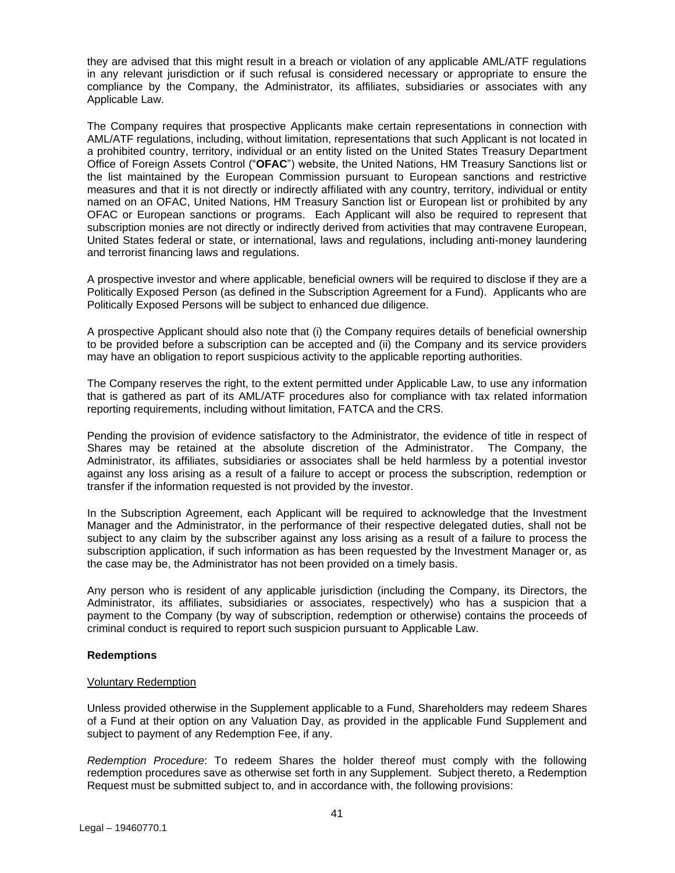they are advised that this might result in a breach or violation of any applicable AML/ATF regulations in any relevant jurisdiction or if such refusal is considered necessary or appropriate to ensure the compliance by the Company, the Administrator, its affiliates, subsidiaries or associates with any Applicable Law.

The Company requires that prospective Applicants make certain representations in connection with AML/ATF regulations, including, without limitation, representations that such Applicant is not located in a prohibited country, territory, individual or an entity listed on the United States Treasury Department Office of Foreign Assets Control ("**OFAC**") website, the United Nations, HM Treasury Sanctions list or the list maintained by the European Commission pursuant to European sanctions and restrictive measures and that it is not directly or indirectly affiliated with any country, territory, individual or entity named on an OFAC, United Nations, HM Treasury Sanction list or European list or prohibited by any OFAC or European sanctions or programs. Each Applicant will also be required to represent that subscription monies are not directly or indirectly derived from activities that may contravene European, United States federal or state, or international, laws and regulations, including anti-money laundering and terrorist financing laws and regulations.

A prospective investor and where applicable, beneficial owners will be required to disclose if they are a Politically Exposed Person (as defined in the Subscription Agreement for a Fund). Applicants who are Politically Exposed Persons will be subject to enhanced due diligence.

A prospective Applicant should also note that (i) the Company requires details of beneficial ownership to be provided before a subscription can be accepted and (ii) the Company and its service providers may have an obligation to report suspicious activity to the applicable reporting authorities.

The Company reserves the right, to the extent permitted under Applicable Law, to use any information that is gathered as part of its AML/ATF procedures also for compliance with tax related information reporting requirements, including without limitation, FATCA and the CRS.

Pending the provision of evidence satisfactory to the Administrator, the evidence of title in respect of Shares may be retained at the absolute discretion of the Administrator. The Company, the Administrator, its affiliates, subsidiaries or associates shall be held harmless by a potential investor against any loss arising as a result of a failure to accept or process the subscription, redemption or transfer if the information requested is not provided by the investor.

In the Subscription Agreement, each Applicant will be required to acknowledge that the Investment Manager and the Administrator, in the performance of their respective delegated duties, shall not be subject to any claim by the subscriber against any loss arising as a result of a failure to process the subscription application, if such information as has been requested by the Investment Manager or, as the case may be, the Administrator has not been provided on a timely basis.

Any person who is resident of any applicable jurisdiction (including the Company, its Directors, the Administrator, its affiliates, subsidiaries or associates, respectively) who has a suspicion that a payment to the Company (by way of subscription, redemption or otherwise) contains the proceeds of criminal conduct is required to report such suspicion pursuant to Applicable Law.

## **Redemptions**

## Voluntary Redemption

Unless provided otherwise in the Supplement applicable to a Fund, Shareholders may redeem Shares of a Fund at their option on any Valuation Day, as provided in the applicable Fund Supplement and subject to payment of any Redemption Fee, if any.

*Redemption Procedure*: To redeem Shares the holder thereof must comply with the following redemption procedures save as otherwise set forth in any Supplement. Subject thereto, a Redemption Request must be submitted subject to, and in accordance with, the following provisions: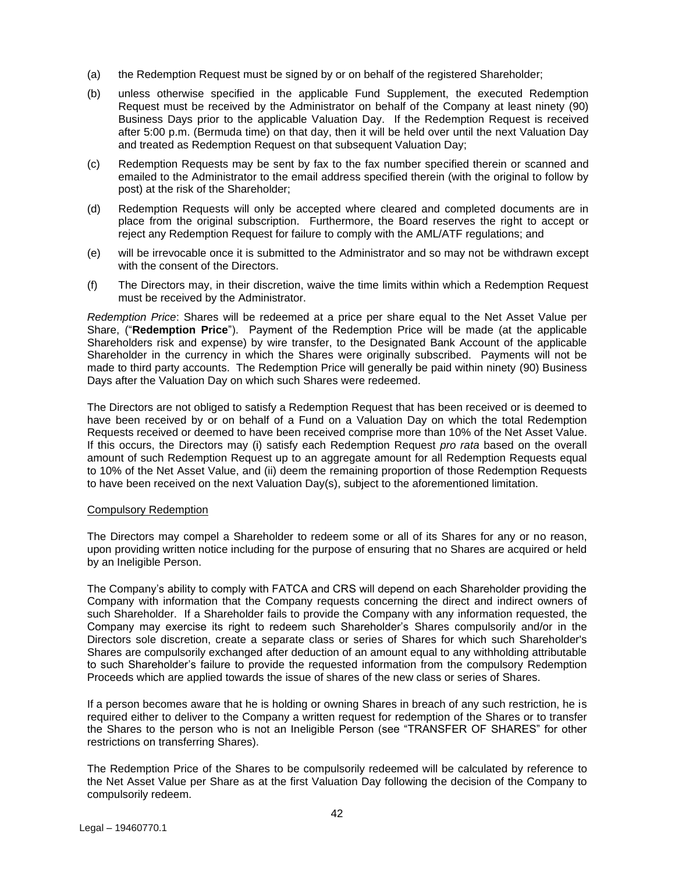- (a) the Redemption Request must be signed by or on behalf of the registered Shareholder;
- (b) unless otherwise specified in the applicable Fund Supplement, the executed Redemption Request must be received by the Administrator on behalf of the Company at least ninety (90) Business Days prior to the applicable Valuation Day. If the Redemption Request is received after 5:00 p.m. (Bermuda time) on that day, then it will be held over until the next Valuation Day and treated as Redemption Request on that subsequent Valuation Day;
- (c) Redemption Requests may be sent by fax to the fax number specified therein or scanned and emailed to the Administrator to the email address specified therein (with the original to follow by post) at the risk of the Shareholder;
- (d) Redemption Requests will only be accepted where cleared and completed documents are in place from the original subscription. Furthermore, the Board reserves the right to accept or reject any Redemption Request for failure to comply with the AML/ATF regulations; and
- (e) will be irrevocable once it is submitted to the Administrator and so may not be withdrawn except with the consent of the Directors.
- (f) The Directors may, in their discretion, waive the time limits within which a Redemption Request must be received by the Administrator.

*Redemption Price*: Shares will be redeemed at a price per share equal to the Net Asset Value per Share, ("**Redemption Price**"). Payment of the Redemption Price will be made (at the applicable Shareholders risk and expense) by wire transfer, to the Designated Bank Account of the applicable Shareholder in the currency in which the Shares were originally subscribed. Payments will not be made to third party accounts. The Redemption Price will generally be paid within ninety (90) Business Days after the Valuation Day on which such Shares were redeemed.

The Directors are not obliged to satisfy a Redemption Request that has been received or is deemed to have been received by or on behalf of a Fund on a Valuation Day on which the total Redemption Requests received or deemed to have been received comprise more than 10% of the Net Asset Value. If this occurs, the Directors may (i) satisfy each Redemption Request *pro rata* based on the overall amount of such Redemption Request up to an aggregate amount for all Redemption Requests equal to 10% of the Net Asset Value, and (ii) deem the remaining proportion of those Redemption Requests to have been received on the next Valuation Day(s), subject to the aforementioned limitation.

#### Compulsory Redemption

The Directors may compel a Shareholder to redeem some or all of its Shares for any or no reason, upon providing written notice including for the purpose of ensuring that no Shares are acquired or held by an Ineligible Person.

The Company's ability to comply with FATCA and CRS will depend on each Shareholder providing the Company with information that the Company requests concerning the direct and indirect owners of such Shareholder. If a Shareholder fails to provide the Company with any information requested, the Company may exercise its right to redeem such Shareholder's Shares compulsorily and/or in the Directors sole discretion, create a separate class or series of Shares for which such Shareholder's Shares are compulsorily exchanged after deduction of an amount equal to any withholding attributable to such Shareholder's failure to provide the requested information from the compulsory Redemption Proceeds which are applied towards the issue of shares of the new class or series of Shares.

If a person becomes aware that he is holding or owning Shares in breach of any such restriction, he is required either to deliver to the Company a written request for redemption of the Shares or to transfer the Shares to the person who is not an Ineligible Person (see "TRANSFER OF SHARES" for other restrictions on transferring Shares).

The Redemption Price of the Shares to be compulsorily redeemed will be calculated by reference to the Net Asset Value per Share as at the first Valuation Day following the decision of the Company to compulsorily redeem.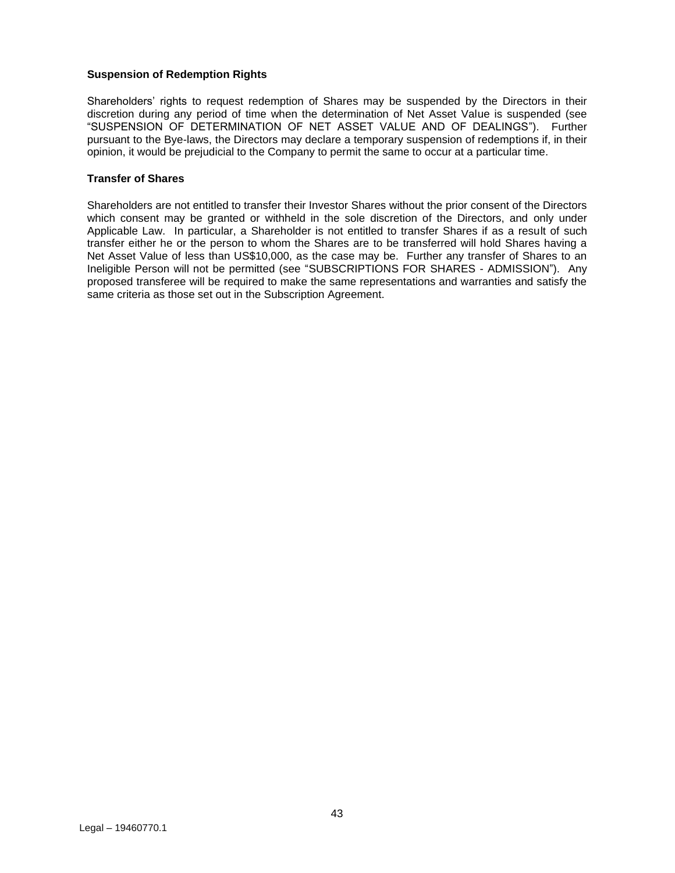## **Suspension of Redemption Rights**

Shareholders' rights to request redemption of Shares may be suspended by the Directors in their discretion during any period of time when the determination of Net Asset Value is suspended (see "SUSPENSION OF DETERMINATION OF NET ASSET VALUE AND OF DEALINGS"). Further pursuant to the Bye-laws, the Directors may declare a temporary suspension of redemptions if, in their opinion, it would be prejudicial to the Company to permit the same to occur at a particular time.

#### **Transfer of Shares**

Shareholders are not entitled to transfer their Investor Shares without the prior consent of the Directors which consent may be granted or withheld in the sole discretion of the Directors, and only under Applicable Law. In particular, a Shareholder is not entitled to transfer Shares if as a result of such transfer either he or the person to whom the Shares are to be transferred will hold Shares having a Net Asset Value of less than US\$10,000, as the case may be. Further any transfer of Shares to an Ineligible Person will not be permitted (see "SUBSCRIPTIONS FOR SHARES - ADMISSION"). Any proposed transferee will be required to make the same representations and warranties and satisfy the same criteria as those set out in the Subscription Agreement.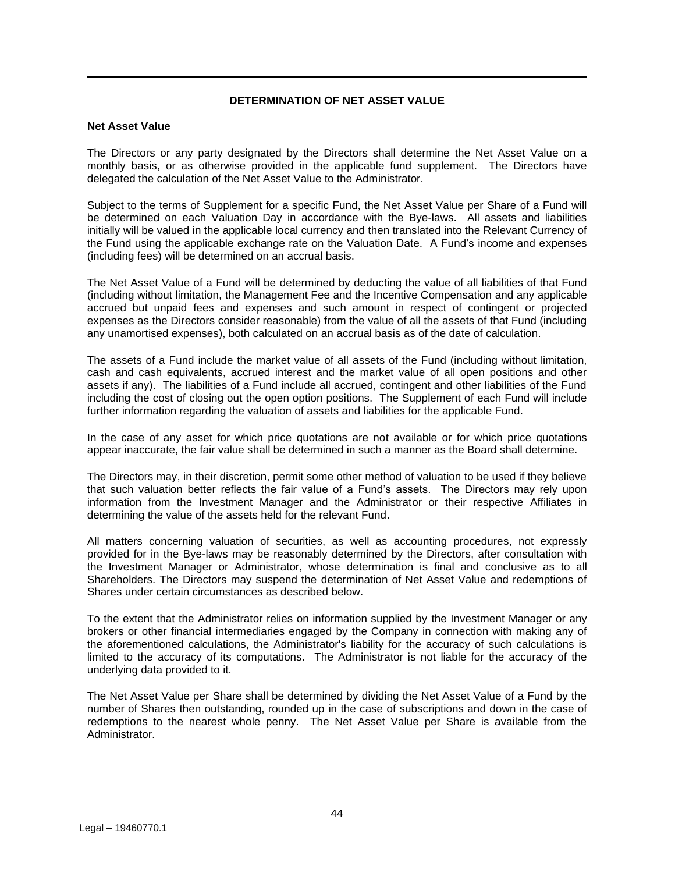## **DETERMINATION OF NET ASSET VALUE**

## <span id="page-43-0"></span>**Net Asset Value**

The Directors or any party designated by the Directors shall determine the Net Asset Value on a monthly basis, or as otherwise provided in the applicable fund supplement. The Directors have delegated the calculation of the Net Asset Value to the Administrator.

Subject to the terms of Supplement for a specific Fund, the Net Asset Value per Share of a Fund will be determined on each Valuation Day in accordance with the Bye-laws. All assets and liabilities initially will be valued in the applicable local currency and then translated into the Relevant Currency of the Fund using the applicable exchange rate on the Valuation Date. A Fund's income and expenses (including fees) will be determined on an accrual basis.

The Net Asset Value of a Fund will be determined by deducting the value of all liabilities of that Fund (including without limitation, the Management Fee and the Incentive Compensation and any applicable accrued but unpaid fees and expenses and such amount in respect of contingent or projected expenses as the Directors consider reasonable) from the value of all the assets of that Fund (including any unamortised expenses), both calculated on an accrual basis as of the date of calculation.

The assets of a Fund include the market value of all assets of the Fund (including without limitation, cash and cash equivalents, accrued interest and the market value of all open positions and other assets if any). The liabilities of a Fund include all accrued, contingent and other liabilities of the Fund including the cost of closing out the open option positions. The Supplement of each Fund will include further information regarding the valuation of assets and liabilities for the applicable Fund.

In the case of any asset for which price quotations are not available or for which price quotations appear inaccurate, the fair value shall be determined in such a manner as the Board shall determine.

The Directors may, in their discretion, permit some other method of valuation to be used if they believe that such valuation better reflects the fair value of a Fund's assets. The Directors may rely upon information from the Investment Manager and the Administrator or their respective Affiliates in determining the value of the assets held for the relevant Fund.

All matters concerning valuation of securities, as well as accounting procedures, not expressly provided for in the Bye-laws may be reasonably determined by the Directors, after consultation with the Investment Manager or Administrator, whose determination is final and conclusive as to all Shareholders. The Directors may suspend the determination of Net Asset Value and redemptions of Shares under certain circumstances as described below.

To the extent that the Administrator relies on information supplied by the Investment Manager or any brokers or other financial intermediaries engaged by the Company in connection with making any of the aforementioned calculations, the Administrator's liability for the accuracy of such calculations is limited to the accuracy of its computations. The Administrator is not liable for the accuracy of the underlying data provided to it.

The Net Asset Value per Share shall be determined by dividing the Net Asset Value of a Fund by the number of Shares then outstanding, rounded up in the case of subscriptions and down in the case of redemptions to the nearest whole penny. The Net Asset Value per Share is available from the Administrator.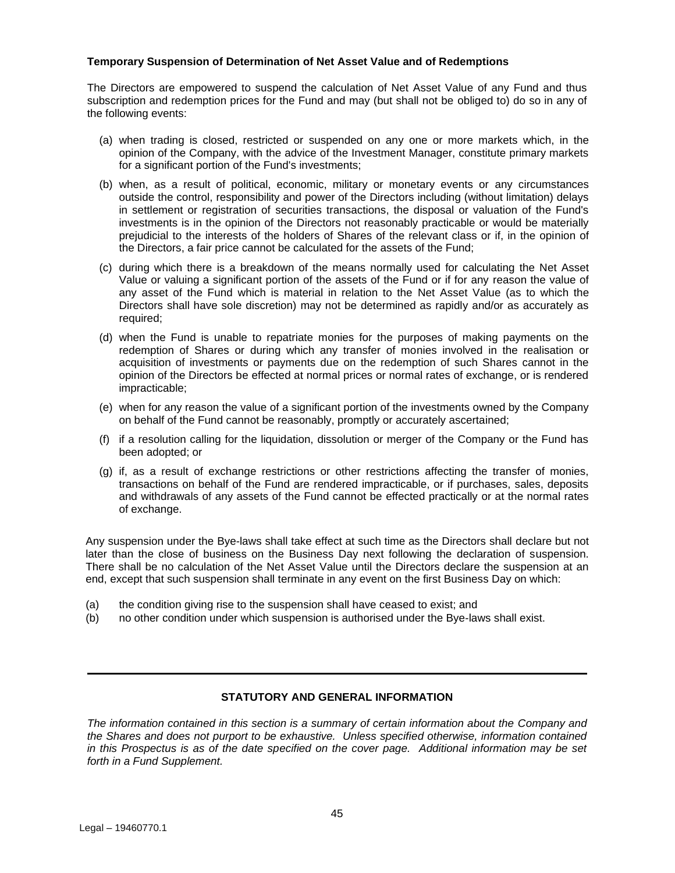## **Temporary Suspension of Determination of Net Asset Value and of Redemptions**

The Directors are empowered to suspend the calculation of Net Asset Value of any Fund and thus subscription and redemption prices for the Fund and may (but shall not be obliged to) do so in any of the following events:

- (a) when trading is closed, restricted or suspended on any one or more markets which, in the opinion of the Company, with the advice of the Investment Manager, constitute primary markets for a significant portion of the Fund's investments:
- (b) when, as a result of political, economic, military or monetary events or any circumstances outside the control, responsibility and power of the Directors including (without limitation) delays in settlement or registration of securities transactions, the disposal or valuation of the Fund's investments is in the opinion of the Directors not reasonably practicable or would be materially prejudicial to the interests of the holders of Shares of the relevant class or if, in the opinion of the Directors, a fair price cannot be calculated for the assets of the Fund;
- (c) during which there is a breakdown of the means normally used for calculating the Net Asset Value or valuing a significant portion of the assets of the Fund or if for any reason the value of any asset of the Fund which is material in relation to the Net Asset Value (as to which the Directors shall have sole discretion) may not be determined as rapidly and/or as accurately as required;
- (d) when the Fund is unable to repatriate monies for the purposes of making payments on the redemption of Shares or during which any transfer of monies involved in the realisation or acquisition of investments or payments due on the redemption of such Shares cannot in the opinion of the Directors be effected at normal prices or normal rates of exchange, or is rendered impracticable;
- (e) when for any reason the value of a significant portion of the investments owned by the Company on behalf of the Fund cannot be reasonably, promptly or accurately ascertained;
- (f) if a resolution calling for the liquidation, dissolution or merger of the Company or the Fund has been adopted; or
- (g) if, as a result of exchange restrictions or other restrictions affecting the transfer of monies, transactions on behalf of the Fund are rendered impracticable, or if purchases, sales, deposits and withdrawals of any assets of the Fund cannot be effected practically or at the normal rates of exchange.

Any suspension under the Bye-laws shall take effect at such time as the Directors shall declare but not later than the close of business on the Business Day next following the declaration of suspension. There shall be no calculation of the Net Asset Value until the Directors declare the suspension at an end, except that such suspension shall terminate in any event on the first Business Day on which:

- (a) the condition giving rise to the suspension shall have ceased to exist; and
- (b) no other condition under which suspension is authorised under the Bye-laws shall exist.

## **STATUTORY AND GENERAL INFORMATION**

<span id="page-44-0"></span>*The information contained in this section is a summary of certain information about the Company and the Shares and does not purport to be exhaustive. Unless specified otherwise, information contained in this Prospectus is as of the date specified on the cover page. Additional information may be set forth in a Fund Supplement.*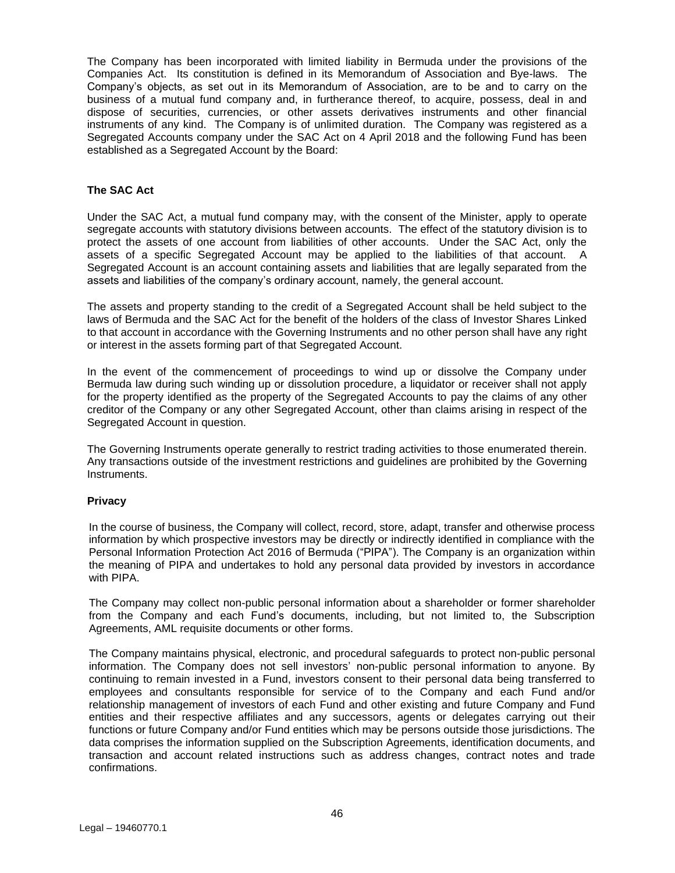The Company has been incorporated with limited liability in Bermuda under the provisions of the Companies Act. Its constitution is defined in its Memorandum of Association and Bye-laws. The Company's objects, as set out in its Memorandum of Association, are to be and to carry on the business of a mutual fund company and, in furtherance thereof, to acquire, possess, deal in and dispose of securities, currencies, or other assets derivatives instruments and other financial instruments of any kind. The Company is of unlimited duration. The Company was registered as a Segregated Accounts company under the SAC Act on 4 April 2018 and the following Fund has been established as a Segregated Account by the Board:

## **The SAC Act**

Under the SAC Act, a mutual fund company may, with the consent of the Minister, apply to operate segregate accounts with statutory divisions between accounts. The effect of the statutory division is to protect the assets of one account from liabilities of other accounts. Under the SAC Act, only the assets of a specific Segregated Account may be applied to the liabilities of that account. A Segregated Account is an account containing assets and liabilities that are legally separated from the assets and liabilities of the company's ordinary account, namely, the general account.

The assets and property standing to the credit of a Segregated Account shall be held subject to the laws of Bermuda and the SAC Act for the benefit of the holders of the class of Investor Shares Linked to that account in accordance with the Governing Instruments and no other person shall have any right or interest in the assets forming part of that Segregated Account.

In the event of the commencement of proceedings to wind up or dissolve the Company under Bermuda law during such winding up or dissolution procedure, a liquidator or receiver shall not apply for the property identified as the property of the Segregated Accounts to pay the claims of any other creditor of the Company or any other Segregated Account, other than claims arising in respect of the Segregated Account in question.

The Governing Instruments operate generally to restrict trading activities to those enumerated therein. Any transactions outside of the investment restrictions and guidelines are prohibited by the Governing Instruments.

## **Privacy**

In the course of business, the Company will collect, record, store, adapt, transfer and otherwise process information by which prospective investors may be directly or indirectly identified in compliance with the Personal Information Protection Act 2016 of Bermuda ("PIPA"). The Company is an organization within the meaning of PIPA and undertakes to hold any personal data provided by investors in accordance with PIPA.

The Company may collect non-public personal information about a shareholder or former shareholder from the Company and each Fund's documents, including, but not limited to, the Subscription Agreements, AML requisite documents or other forms.

The Company maintains physical, electronic, and procedural safeguards to protect non-public personal information. The Company does not sell investors' non-public personal information to anyone. By continuing to remain invested in a Fund, investors consent to their personal data being transferred to employees and consultants responsible for service of to the Company and each Fund and/or relationship management of investors of each Fund and other existing and future Company and Fund entities and their respective affiliates and any successors, agents or delegates carrying out their functions or future Company and/or Fund entities which may be persons outside those jurisdictions. The data comprises the information supplied on the Subscription Agreements, identification documents, and transaction and account related instructions such as address changes, contract notes and trade confirmations.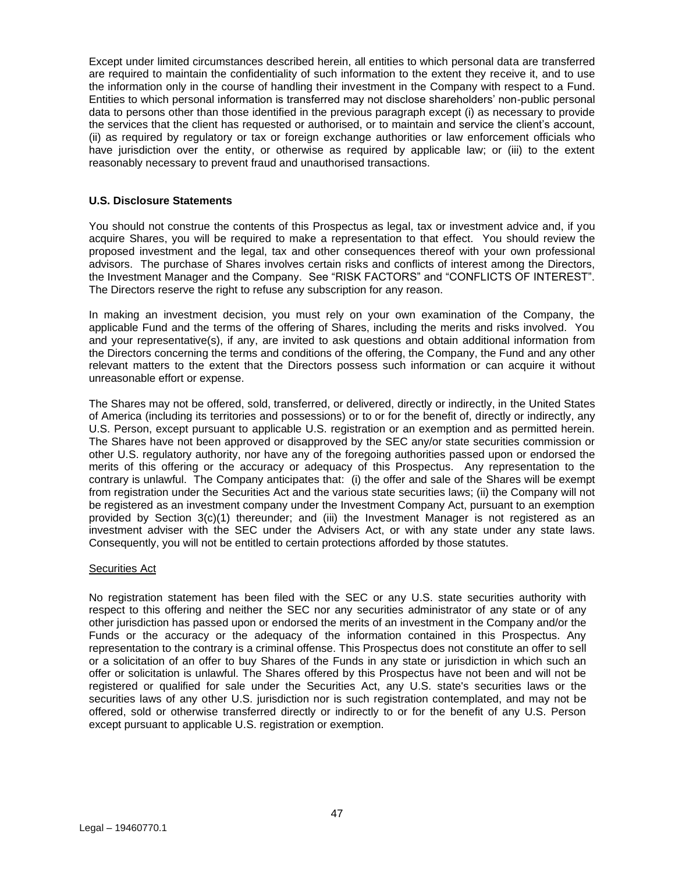Except under limited circumstances described herein, all entities to which personal data are transferred are required to maintain the confidentiality of such information to the extent they receive it, and to use the information only in the course of handling their investment in the Company with respect to a Fund. Entities to which personal information is transferred may not disclose shareholders' non-public personal data to persons other than those identified in the previous paragraph except (i) as necessary to provide the services that the client has requested or authorised, or to maintain and service the client's account, (ii) as required by regulatory or tax or foreign exchange authorities or law enforcement officials who have jurisdiction over the entity, or otherwise as required by applicable law; or (iii) to the extent reasonably necessary to prevent fraud and unauthorised transactions.

## **U.S. Disclosure Statements**

You should not construe the contents of this Prospectus as legal, tax or investment advice and, if you acquire Shares, you will be required to make a representation to that effect. You should review the proposed investment and the legal, tax and other consequences thereof with your own professional advisors. The purchase of Shares involves certain risks and conflicts of interest among the Directors, the Investment Manager and the Company. See "RISK FACTORS" and "CONFLICTS OF INTEREST". The Directors reserve the right to refuse any subscription for any reason.

In making an investment decision, you must rely on your own examination of the Company, the applicable Fund and the terms of the offering of Shares, including the merits and risks involved. You and your representative(s), if any, are invited to ask questions and obtain additional information from the Directors concerning the terms and conditions of the offering, the Company, the Fund and any other relevant matters to the extent that the Directors possess such information or can acquire it without unreasonable effort or expense.

The Shares may not be offered, sold, transferred, or delivered, directly or indirectly, in the United States of America (including its territories and possessions) or to or for the benefit of, directly or indirectly, any U.S. Person, except pursuant to applicable U.S. registration or an exemption and as permitted herein. The Shares have not been approved or disapproved by the SEC any/or state securities commission or other U.S. regulatory authority, nor have any of the foregoing authorities passed upon or endorsed the merits of this offering or the accuracy or adequacy of this Prospectus. Any representation to the contrary is unlawful. The Company anticipates that: (i) the offer and sale of the Shares will be exempt from registration under the Securities Act and the various state securities laws; (ii) the Company will not be registered as an investment company under the Investment Company Act, pursuant to an exemption provided by Section 3(c)(1) thereunder; and (iii) the Investment Manager is not registered as an investment adviser with the SEC under the Advisers Act, or with any state under any state laws. Consequently, you will not be entitled to certain protections afforded by those statutes.

## Securities Act

No registration statement has been filed with the SEC or any U.S. state securities authority with respect to this offering and neither the SEC nor any securities administrator of any state or of any other jurisdiction has passed upon or endorsed the merits of an investment in the Company and/or the Funds or the accuracy or the adequacy of the information contained in this Prospectus. Any representation to the contrary is a criminal offense. This Prospectus does not constitute an offer to sell or a solicitation of an offer to buy Shares of the Funds in any state or jurisdiction in which such an offer or solicitation is unlawful. The Shares offered by this Prospectus have not been and will not be registered or qualified for sale under the Securities Act, any U.S. state's securities laws or the securities laws of any other U.S. jurisdiction nor is such registration contemplated, and may not be offered, sold or otherwise transferred directly or indirectly to or for the benefit of any U.S. Person except pursuant to applicable U.S. registration or exemption.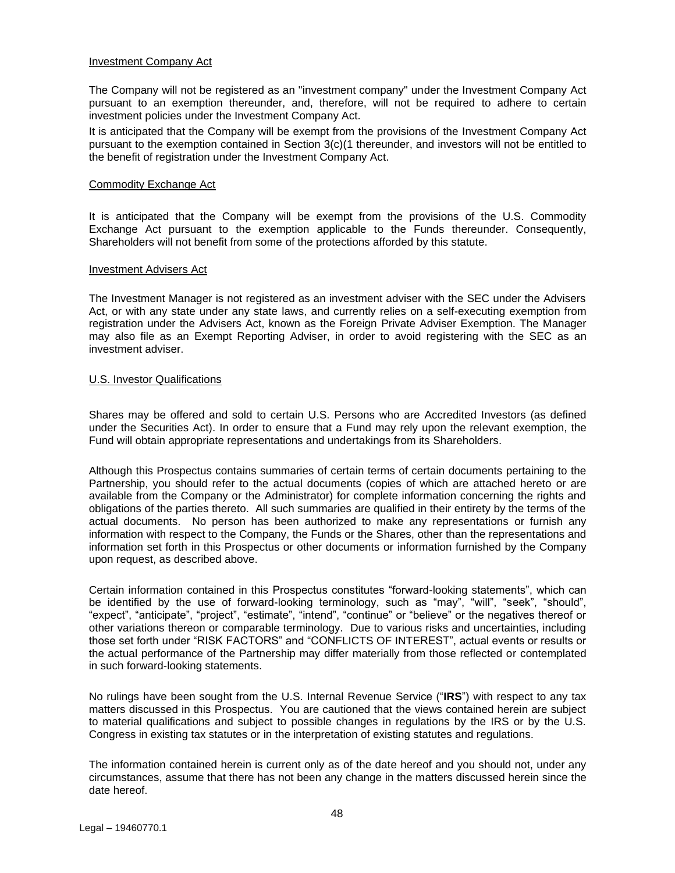#### Investment Company Act

The Company will not be registered as an "investment company" under the Investment Company Act pursuant to an exemption thereunder, and, therefore, will not be required to adhere to certain investment policies under the Investment Company Act.

It is anticipated that the Company will be exempt from the provisions of the Investment Company Act pursuant to the exemption contained in Section 3(c)(1 thereunder, and investors will not be entitled to the benefit of registration under the Investment Company Act.

#### Commodity Exchange Act

It is anticipated that the Company will be exempt from the provisions of the U.S. Commodity Exchange Act pursuant to the exemption applicable to the Funds thereunder. Consequently, Shareholders will not benefit from some of the protections afforded by this statute.

#### Investment Advisers Act

The Investment Manager is not registered as an investment adviser with the SEC under the Advisers Act, or with any state under any state laws, and currently relies on a self-executing exemption from registration under the Advisers Act, known as the Foreign Private Adviser Exemption. The Manager may also file as an Exempt Reporting Adviser, in order to avoid registering with the SEC as an investment adviser.

#### U.S. Investor Qualifications

Shares may be offered and sold to certain U.S. Persons who are Accredited Investors (as defined under the Securities Act). In order to ensure that a Fund may rely upon the relevant exemption, the Fund will obtain appropriate representations and undertakings from its Shareholders.

Although this Prospectus contains summaries of certain terms of certain documents pertaining to the Partnership, you should refer to the actual documents (copies of which are attached hereto or are available from the Company or the Administrator) for complete information concerning the rights and obligations of the parties thereto. All such summaries are qualified in their entirety by the terms of the actual documents. No person has been authorized to make any representations or furnish any information with respect to the Company, the Funds or the Shares, other than the representations and information set forth in this Prospectus or other documents or information furnished by the Company upon request, as described above.

Certain information contained in this Prospectus constitutes "forward-looking statements", which can be identified by the use of forward-looking terminology, such as "may", "will", "seek", "should", "expect", "anticipate", "project", "estimate", "intend", "continue" or "believe" or the negatives thereof or other variations thereon or comparable terminology. Due to various risks and uncertainties, including those set forth under "RISK FACTORS" and "CONFLICTS OF INTEREST", actual events or results or the actual performance of the Partnership may differ materially from those reflected or contemplated in such forward-looking statements.

No rulings have been sought from the U.S. Internal Revenue Service ("**IRS**") with respect to any tax matters discussed in this Prospectus. You are cautioned that the views contained herein are subject to material qualifications and subject to possible changes in regulations by the IRS or by the U.S. Congress in existing tax statutes or in the interpretation of existing statutes and regulations.

The information contained herein is current only as of the date hereof and you should not, under any circumstances, assume that there has not been any change in the matters discussed herein since the date hereof.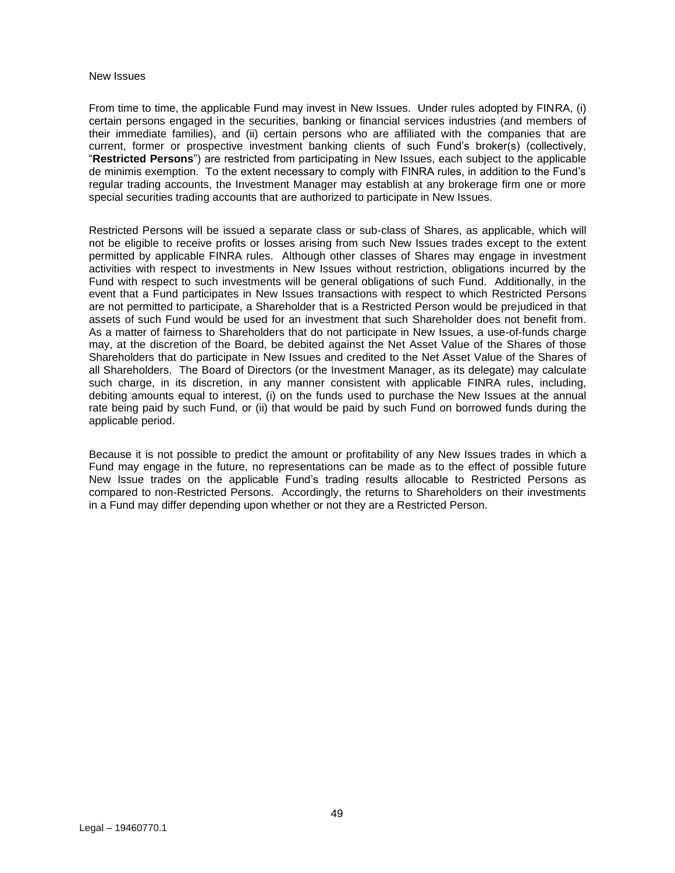#### New Issues

From time to time, the applicable Fund may invest in New Issues. Under rules adopted by FINRA, (i) certain persons engaged in the securities, banking or financial services industries (and members of their immediate families), and (ii) certain persons who are affiliated with the companies that are current, former or prospective investment banking clients of such Fund's broker(s) (collectively, "**Restricted Persons**") are restricted from participating in New Issues, each subject to the applicable de minimis exemption. To the extent necessary to comply with FINRA rules, in addition to the Fund's regular trading accounts, the Investment Manager may establish at any brokerage firm one or more special securities trading accounts that are authorized to participate in New Issues.

Restricted Persons will be issued a separate class or sub-class of Shares, as applicable, which will not be eligible to receive profits or losses arising from such New Issues trades except to the extent permitted by applicable FINRA rules. Although other classes of Shares may engage in investment activities with respect to investments in New Issues without restriction, obligations incurred by the Fund with respect to such investments will be general obligations of such Fund. Additionally, in the event that a Fund participates in New Issues transactions with respect to which Restricted Persons are not permitted to participate, a Shareholder that is a Restricted Person would be prejudiced in that assets of such Fund would be used for an investment that such Shareholder does not benefit from. As a matter of fairness to Shareholders that do not participate in New Issues, a use-of-funds charge may, at the discretion of the Board, be debited against the Net Asset Value of the Shares of those Shareholders that do participate in New Issues and credited to the Net Asset Value of the Shares of all Shareholders. The Board of Directors (or the Investment Manager, as its delegate) may calculate such charge, in its discretion, in any manner consistent with applicable FINRA rules, including, debiting amounts equal to interest, (i) on the funds used to purchase the New Issues at the annual rate being paid by such Fund, or (ii) that would be paid by such Fund on borrowed funds during the applicable period.

Because it is not possible to predict the amount or profitability of any New Issues trades in which a Fund may engage in the future, no representations can be made as to the effect of possible future New Issue trades on the applicable Fund's trading results allocable to Restricted Persons as compared to non-Restricted Persons. Accordingly, the returns to Shareholders on their investments in a Fund may differ depending upon whether or not they are a Restricted Person.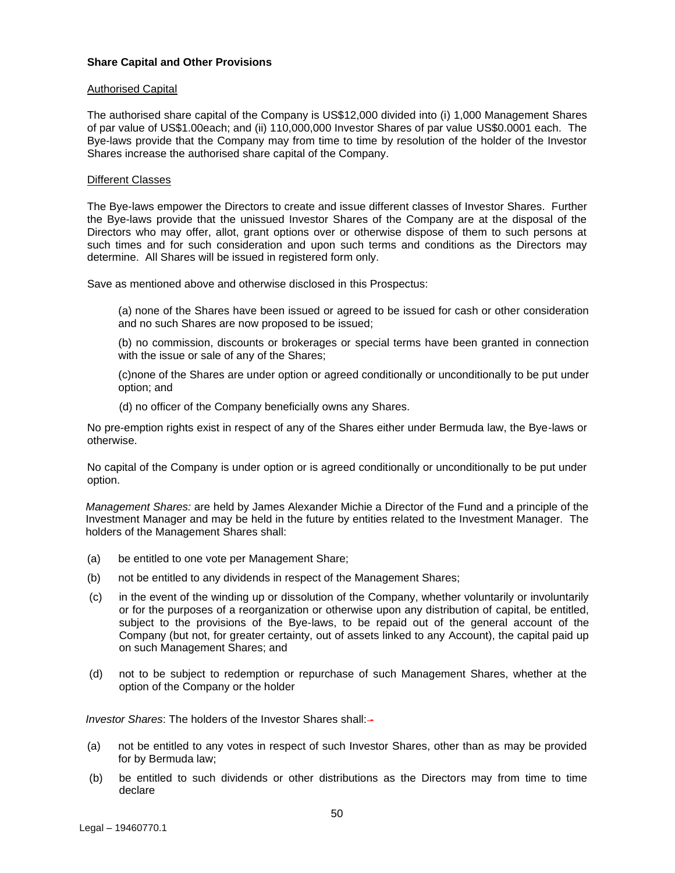#### **Share Capital and Other Provisions**

#### Authorised Capital

The authorised share capital of the Company is US\$12,000 divided into (i) 1,000 Management Shares of par value of US\$1.00each; and (ii) 110,000,000 Investor Shares of par value US\$0.0001 each. The Bye-laws provide that the Company may from time to time by resolution of the holder of the Investor Shares increase the authorised share capital of the Company.

#### Different Classes

The Bye-laws empower the Directors to create and issue different classes of Investor Shares. Further the Bye-laws provide that the unissued Investor Shares of the Company are at the disposal of the Directors who may offer, allot, grant options over or otherwise dispose of them to such persons at such times and for such consideration and upon such terms and conditions as the Directors may determine. All Shares will be issued in registered form only.

Save as mentioned above and otherwise disclosed in this Prospectus:

(a) none of the Shares have been issued or agreed to be issued for cash or other consideration and no such Shares are now proposed to be issued;

(b) no commission, discounts or brokerages or special terms have been granted in connection with the issue or sale of any of the Shares;

(c)none of the Shares are under option or agreed conditionally or unconditionally to be put under option; and

(d) no officer of the Company beneficially owns any Shares.

No pre-emption rights exist in respect of any of the Shares either under Bermuda law, the Bye-laws or otherwise.

No capital of the Company is under option or is agreed conditionally or unconditionally to be put under option.

*Management Shares:* are held by James Alexander Michie a Director of the Fund and a principle of the Investment Manager and may be held in the future by entities related to the Investment Manager. The holders of the Management Shares shall:

- (a) be entitled to one vote per Management Share;
- (b) not be entitled to any dividends in respect of the Management Shares;
- (c) in the event of the winding up or dissolution of the Company, whether voluntarily or involuntarily or for the purposes of a reorganization or otherwise upon any distribution of capital, be entitled, subject to the provisions of the Bye-laws, to be repaid out of the general account of the Company (but not, for greater certainty, out of assets linked to any Account), the capital paid up on such Management Shares; and
- (d) not to be subject to redemption or repurchase of such Management Shares, whether at the option of the Company or the holder

*Investor Shares*: The holders of the Investor Shares shall:-

- (a) not be entitled to any votes in respect of such Investor Shares, other than as may be provided for by Bermuda law;
- (b) be entitled to such dividends or other distributions as the Directors may from time to time declare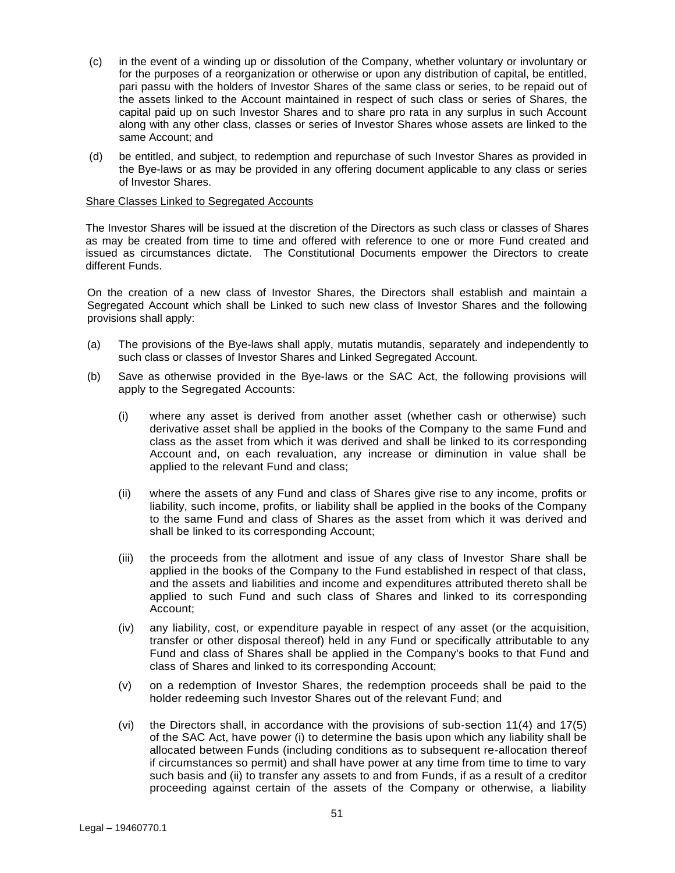- (c) in the event of a winding up or dissolution of the Company, whether voluntary or involuntary or for the purposes of a reorganization or otherwise or upon any distribution of capital, be entitled, pari passu with the holders of Investor Shares of the same class or series, to be repaid out of the assets linked to the Account maintained in respect of such class or series of Shares, the capital paid up on such Investor Shares and to share pro rata in any surplus in such Account along with any other class, classes or series of Investor Shares whose assets are linked to the same Account; and
- (d) be entitled, and subject, to redemption and repurchase of such Investor Shares as provided in the Bye-laws or as may be provided in any offering document applicable to any class or series of Investor Shares.

#### Share Classes Linked to Segregated Accounts

The Investor Shares will be issued at the discretion of the Directors as such class or classes of Shares as may be created from time to time and offered with reference to one or more Fund created and issued as circumstances dictate. The Constitutional Documents empower the Directors to create different Funds.

On the creation of a new class of Investor Shares, the Directors shall establish and maintain a Segregated Account which shall be Linked to such new class of Investor Shares and the following provisions shall apply:

- (a) The provisions of the Bye-laws shall apply, mutatis mutandis, separately and independently to such class or classes of Investor Shares and Linked Segregated Account.
- (b) Save as otherwise provided in the Bye-laws or the SAC Act, the following provisions will apply to the Segregated Accounts:
	- (i) where any asset is derived from another asset (whether cash or otherwise) such derivative asset shall be applied in the books of the Company to the same Fund and class as the asset from which it was derived and shall be linked to its corresponding Account and, on each revaluation, any increase or diminution in value shall be applied to the relevant Fund and class;
	- (ii) where the assets of any Fund and class of Shares give rise to any income, profits or liability, such income, profits, or liability shall be applied in the books of the Company to the same Fund and class of Shares as the asset from which it was derived and shall be linked to its corresponding Account;
	- (iii) the proceeds from the allotment and issue of any class of Investor Share shall be applied in the books of the Company to the Fund established in respect of that class, and the assets and liabilities and income and expenditures attributed thereto shall be applied to such Fund and such class of Shares and linked to its corresponding Account;
	- (iv) any liability, cost, or expenditure payable in respect of any asset (or the acquisition, transfer or other disposal thereof) held in any Fund or specifically attributable to any Fund and class of Shares shall be applied in the Company's books to that Fund and class of Shares and linked to its corresponding Account;
	- (v) on a redemption of Investor Shares, the redemption proceeds shall be paid to the holder redeeming such Investor Shares out of the relevant Fund; and
	- (vi) the Directors shall, in accordance with the provisions of sub-section 11(4) and 17(5) of the SAC Act, have power (i) to determine the basis upon which any liability shall be allocated between Funds (including conditions as to subsequent re-allocation thereof if circumstances so permit) and shall have power at any time from time to time to vary such basis and (ii) to transfer any assets to and from Funds, if as a result of a creditor proceeding against certain of the assets of the Company or otherwise, a liability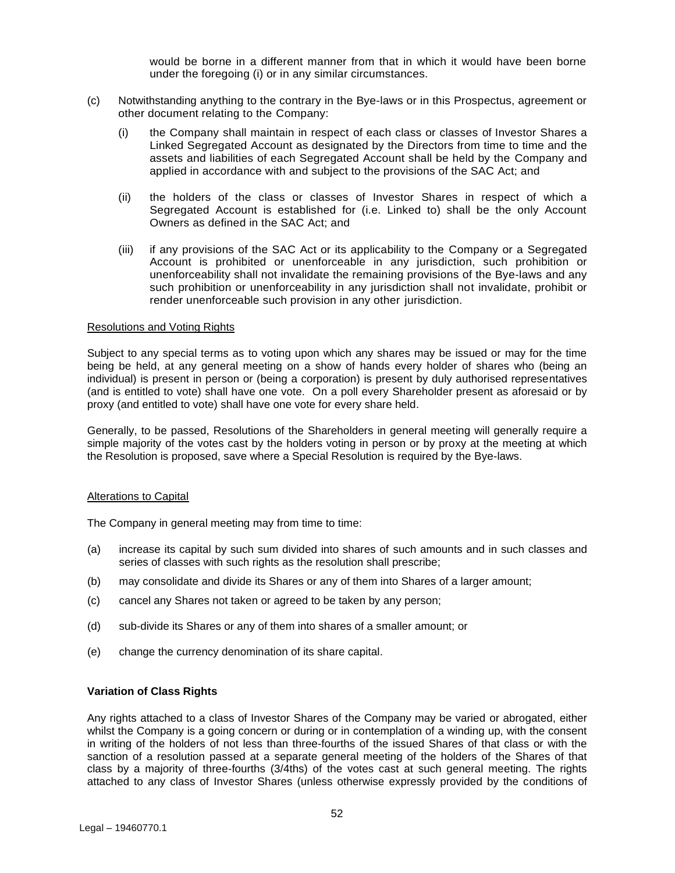would be borne in a different manner from that in which it would have been borne under the foregoing (i) or in any similar circumstances.

- (c) Notwithstanding anything to the contrary in the Bye-laws or in this Prospectus, agreement or other document relating to the Company:
	- (i) the Company shall maintain in respect of each class or classes of Investor Shares a Linked Segregated Account as designated by the Directors from time to time and the assets and liabilities of each Segregated Account shall be held by the Company and applied in accordance with and subject to the provisions of the SAC Act; and
	- (ii) the holders of the class or classes of Investor Shares in respect of which a Segregated Account is established for (i.e. Linked to) shall be the only Account Owners as defined in the SAC Act; and
	- (iii) if any provisions of the SAC Act or its applicability to the Company or a Segregated Account is prohibited or unenforceable in any jurisdiction, such prohibition or unenforceability shall not invalidate the remaining provisions of the Bye-laws and any such prohibition or unenforceability in any jurisdiction shall not invalidate, prohibit or render unenforceable such provision in any other jurisdiction.

#### Resolutions and Voting Rights

Subject to any special terms as to voting upon which any shares may be issued or may for the time being be held, at any general meeting on a show of hands every holder of shares who (being an individual) is present in person or (being a corporation) is present by duly authorised representatives (and is entitled to vote) shall have one vote. On a poll every Shareholder present as aforesaid or by proxy (and entitled to vote) shall have one vote for every share held.

Generally, to be passed, Resolutions of the Shareholders in general meeting will generally require a simple majority of the votes cast by the holders voting in person or by proxy at the meeting at which the Resolution is proposed, save where a Special Resolution is required by the Bye-laws.

#### Alterations to Capital

The Company in general meeting may from time to time:

- (a) increase its capital by such sum divided into shares of such amounts and in such classes and series of classes with such rights as the resolution shall prescribe;
- (b) may consolidate and divide its Shares or any of them into Shares of a larger amount;
- (c) cancel any Shares not taken or agreed to be taken by any person;
- (d) sub-divide its Shares or any of them into shares of a smaller amount; or
- (e) change the currency denomination of its share capital.

#### **Variation of Class Rights**

Any rights attached to a class of Investor Shares of the Company may be varied or abrogated, either whilst the Company is a going concern or during or in contemplation of a winding up, with the consent in writing of the holders of not less than three-fourths of the issued Shares of that class or with the sanction of a resolution passed at a separate general meeting of the holders of the Shares of that class by a majority of three-fourths (3/4ths) of the votes cast at such general meeting. The rights attached to any class of Investor Shares (unless otherwise expressly provided by the conditions of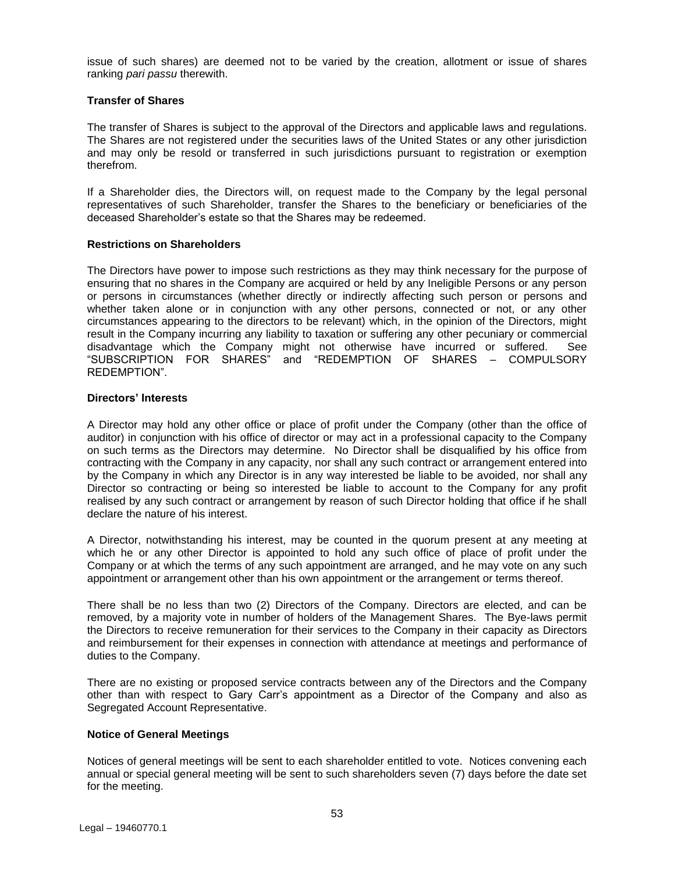issue of such shares) are deemed not to be varied by the creation, allotment or issue of shares ranking *pari passu* therewith.

## **Transfer of Shares**

The transfer of Shares is subject to the approval of the Directors and applicable laws and regulations. The Shares are not registered under the securities laws of the United States or any other jurisdiction and may only be resold or transferred in such jurisdictions pursuant to registration or exemption therefrom.

If a Shareholder dies, the Directors will, on request made to the Company by the legal personal representatives of such Shareholder, transfer the Shares to the beneficiary or beneficiaries of the deceased Shareholder's estate so that the Shares may be redeemed.

#### **Restrictions on Shareholders**

The Directors have power to impose such restrictions as they may think necessary for the purpose of ensuring that no shares in the Company are acquired or held by any Ineligible Persons or any person or persons in circumstances (whether directly or indirectly affecting such person or persons and whether taken alone or in conjunction with any other persons, connected or not, or any other circumstances appearing to the directors to be relevant) which, in the opinion of the Directors, might result in the Company incurring any liability to taxation or suffering any other pecuniary or commercial disadvantage which the Company might not otherwise have incurred or suffered. See "SUBSCRIPTION FOR SHARES" and "REDEMPTION OF SHARES – COMPULSORY REDEMPTION".

#### **Directors' Interests**

A Director may hold any other office or place of profit under the Company (other than the office of auditor) in conjunction with his office of director or may act in a professional capacity to the Company on such terms as the Directors may determine. No Director shall be disqualified by his office from contracting with the Company in any capacity, nor shall any such contract or arrangement entered into by the Company in which any Director is in any way interested be liable to be avoided, nor shall any Director so contracting or being so interested be liable to account to the Company for any profit realised by any such contract or arrangement by reason of such Director holding that office if he shall declare the nature of his interest.

A Director, notwithstanding his interest, may be counted in the quorum present at any meeting at which he or any other Director is appointed to hold any such office of place of profit under the Company or at which the terms of any such appointment are arranged, and he may vote on any such appointment or arrangement other than his own appointment or the arrangement or terms thereof.

There shall be no less than two (2) Directors of the Company. Directors are elected, and can be removed, by a majority vote in number of holders of the Management Shares. The Bye-laws permit the Directors to receive remuneration for their services to the Company in their capacity as Directors and reimbursement for their expenses in connection with attendance at meetings and performance of duties to the Company.

There are no existing or proposed service contracts between any of the Directors and the Company other than with respect to Gary Carr's appointment as a Director of the Company and also as Segregated Account Representative.

## **Notice of General Meetings**

Notices of general meetings will be sent to each shareholder entitled to vote. Notices convening each annual or special general meeting will be sent to such shareholders seven (7) days before the date set for the meeting.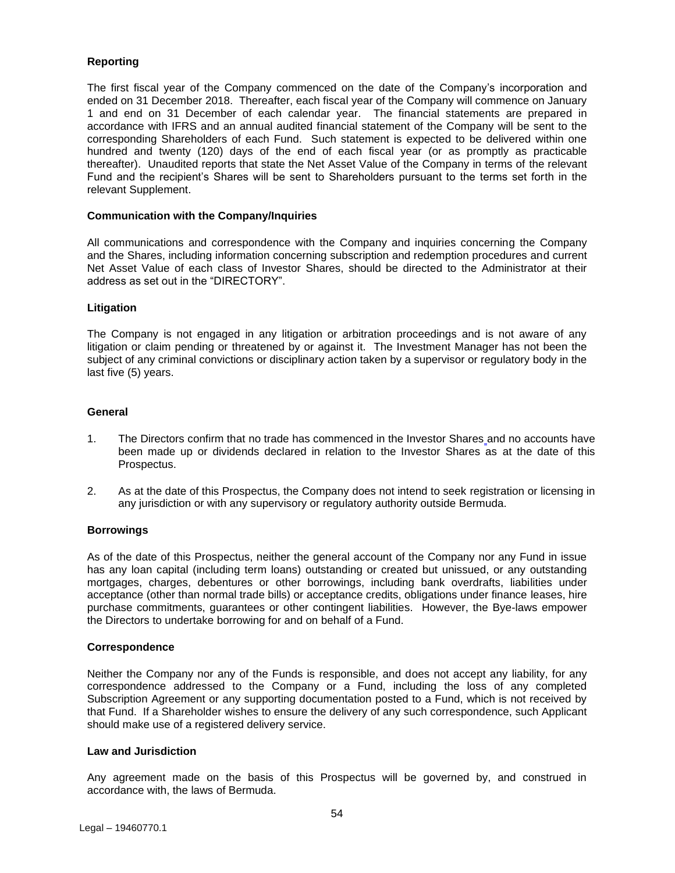## **Reporting**

The first fiscal year of the Company commenced on the date of the Company's incorporation and ended on 31 December 2018. Thereafter, each fiscal year of the Company will commence on January 1 and end on 31 December of each calendar year. The financial statements are prepared in accordance with IFRS and an annual audited financial statement of the Company will be sent to the corresponding Shareholders of each Fund. Such statement is expected to be delivered within one hundred and twenty (120) days of the end of each fiscal year (or as promptly as practicable thereafter). Unaudited reports that state the Net Asset Value of the Company in terms of the relevant Fund and the recipient's Shares will be sent to Shareholders pursuant to the terms set forth in the relevant Supplement.

## **Communication with the Company/Inquiries**

All communications and correspondence with the Company and inquiries concerning the Company and the Shares, including information concerning subscription and redemption procedures and current Net Asset Value of each class of Investor Shares, should be directed to the Administrator at their address as set out in the "DIRECTORY".

## **Litigation**

The Company is not engaged in any litigation or arbitration proceedings and is not aware of any litigation or claim pending or threatened by or against it. The Investment Manager has not been the subject of any criminal convictions or disciplinary action taken by a supervisor or regulatory body in the last five (5) years.

## **General**

- 1. The Directors confirm that no trade has commenced in the Investor Shares and no accounts have been made up or dividends declared in relation to the Investor Shares as at the date of this Prospectus.
- 2. As at the date of this Prospectus, the Company does not intend to seek registration or licensing in any jurisdiction or with any supervisory or regulatory authority outside Bermuda.

## **Borrowings**

As of the date of this Prospectus, neither the general account of the Company nor any Fund in issue has any loan capital (including term loans) outstanding or created but unissued, or any outstanding mortgages, charges, debentures or other borrowings, including bank overdrafts, liabilities under acceptance (other than normal trade bills) or acceptance credits, obligations under finance leases, hire purchase commitments, guarantees or other contingent liabilities. However, the Bye-laws empower the Directors to undertake borrowing for and on behalf of a Fund.

## **Correspondence**

Neither the Company nor any of the Funds is responsible, and does not accept any liability, for any correspondence addressed to the Company or a Fund, including the loss of any completed Subscription Agreement or any supporting documentation posted to a Fund, which is not received by that Fund. If a Shareholder wishes to ensure the delivery of any such correspondence, such Applicant should make use of a registered delivery service.

## **Law and Jurisdiction**

Any agreement made on the basis of this Prospectus will be governed by, and construed in accordance with, the laws of Bermuda.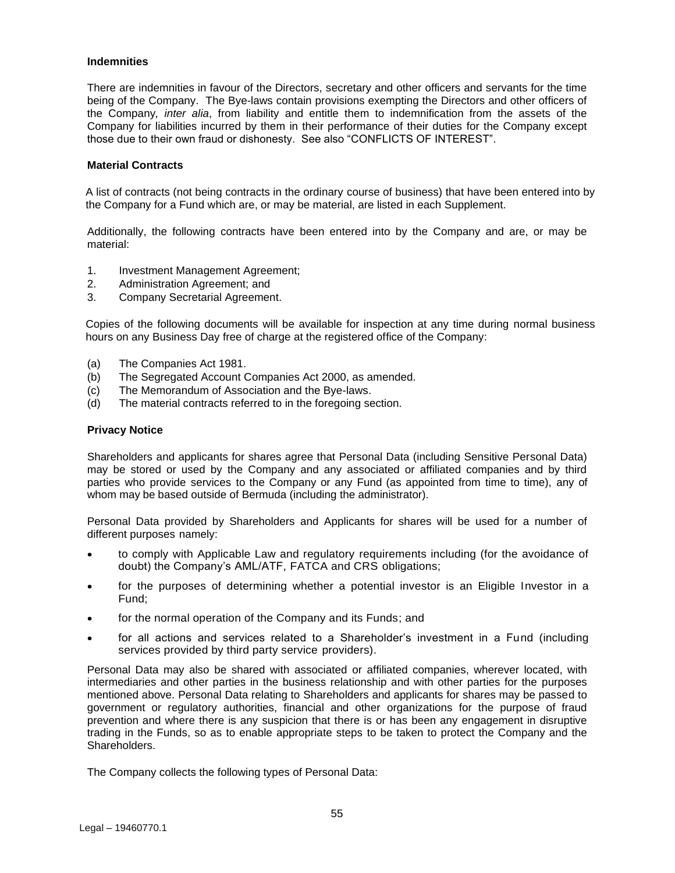## **Indemnities**

There are indemnities in favour of the Directors, secretary and other officers and servants for the time being of the Company. The Bye-laws contain provisions exempting the Directors and other officers of the Company*, inter alia*, from liability and entitle them to indemnification from the assets of the Company for liabilities incurred by them in their performance of their duties for the Company except those due to their own fraud or dishonesty. See also "CONFLICTS OF INTEREST".

#### **Material Contracts**

A list of contracts (not being contracts in the ordinary course of business) that have been entered into by the Company for a Fund which are, or may be material, are listed in each Supplement.

Additionally, the following contracts have been entered into by the Company and are, or may be material:

- 1. Investment Management Agreement;
- 2. Administration Agreement; and
- 3. Company Secretarial Agreement.

Copies of the following documents will be available for inspection at any time during normal business hours on any Business Day free of charge at the registered office of the Company:

- (a) The Companies Act 1981.
- (b) The Segregated Account Companies Act 2000, as amended.
- (c) The Memorandum of Association and the Bye-laws.
- (d) The material contracts referred to in the foregoing section.

## **Privacy Notice**

Shareholders and applicants for shares agree that Personal Data (including Sensitive Personal Data) may be stored or used by the Company and any associated or affiliated companies and by third parties who provide services to the Company or any Fund (as appointed from time to time), any of whom may be based outside of Bermuda (including the administrator).

Personal Data provided by Shareholders and Applicants for shares will be used for a number of different purposes namely:

- to comply with Applicable Law and regulatory requirements including (for the avoidance of doubt) the Company's AML/ATF, FATCA and CRS obligations;
- for the purposes of determining whether a potential investor is an Eligible Investor in a Fund;
- for the normal operation of the Company and its Funds; and
- for all actions and services related to a Shareholder's investment in a Fund (including services provided by third party service providers).

Personal Data may also be shared with associated or affiliated companies, wherever located, with intermediaries and other parties in the business relationship and with other parties for the purposes mentioned above. Personal Data relating to Shareholders and applicants for shares may be passed to government or regulatory authorities, financial and other organizations for the purpose of fraud prevention and where there is any suspicion that there is or has been any engagement in disruptive trading in the Funds, so as to enable appropriate steps to be taken to protect the Company and the Shareholders.

The Company collects the following types of Personal Data: